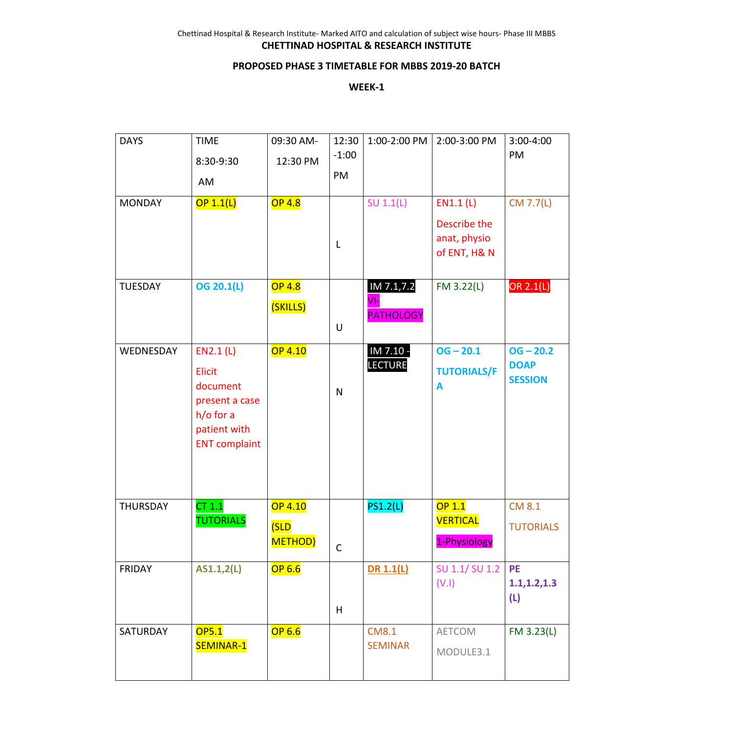# **PROPOSED PHASE 3 TIMETABLE FOR MBBS 2019-20 BATCH**

| <b>DAYS</b><br><b>MONDAY</b> | <b>TIME</b><br>8:30-9:30<br>AM<br>OP $1.1(L)$                                                                   | 09:30 AM-<br>12:30 PM<br>OP 4.8   | 12:30<br>$-1:00$<br>PM | 1:00-2:00 PM<br>SU 1.1(L)                | 2:00-3:00 PM<br>EN1.1(L)                         | 3:00-4:00<br>PM<br>CM 7.7(L)                 |
|------------------------------|-----------------------------------------------------------------------------------------------------------------|-----------------------------------|------------------------|------------------------------------------|--------------------------------------------------|----------------------------------------------|
|                              |                                                                                                                 |                                   | L                      |                                          | Describe the<br>anat, physio<br>of ENT, H& N     |                                              |
| <b>TUESDAY</b>               | <b>OG 20.1(L)</b>                                                                                               | OP 4.8<br>(SKILLS)                | $\cup$                 | IM 7.1,7.2<br>$VI -$<br><b>PATHOLOGY</b> | FM 3.22(L)                                       | OR 2.1(L)                                    |
| <b>WEDNESDAY</b>             | EN2.1(L)<br><b>Elicit</b><br>document<br>present a case<br>$h$ /o for a<br>patient with<br><b>ENT complaint</b> | OP 4.10                           | $\mathsf{N}$           | IM 7.10 -<br><b>LECTURE</b>              | $OG - 20.1$<br><b>TUTORIALS/F</b><br>A           | $OG - 20.2$<br><b>DOAP</b><br><b>SESSION</b> |
| <b>THURSDAY</b>              | CT 1.1<br><b>TUTORIALS</b>                                                                                      | OP 4.10<br>(SLD<br><b>METHOD)</b> | $\mathsf{C}$           | PS1.2(L)                                 | <b>OP 1.1</b><br><b>VERTICAL</b><br>1-Physiology | <b>CM 8.1</b><br><b>TUTORIALS</b>            |
| <b>FRIDAY</b>                | AS1.1,2(L)                                                                                                      | <b>OP 6.6</b>                     | H                      | <b>DR 1.1(L)</b>                         | SU 1.1/SU 1.2<br>(V.I)                           | <b>PE</b><br>1.1, 1.2, 1.3<br>(L)            |
| <b>SATURDAY</b>              | <b>OP5.1</b><br><b>SEMINAR-1</b>                                                                                | <b>OP 6.6</b>                     |                        | <b>CM8.1</b><br><b>SEMINAR</b>           | <b>AETCOM</b><br>MODULE3.1                       | $FM$ 3.23(L)                                 |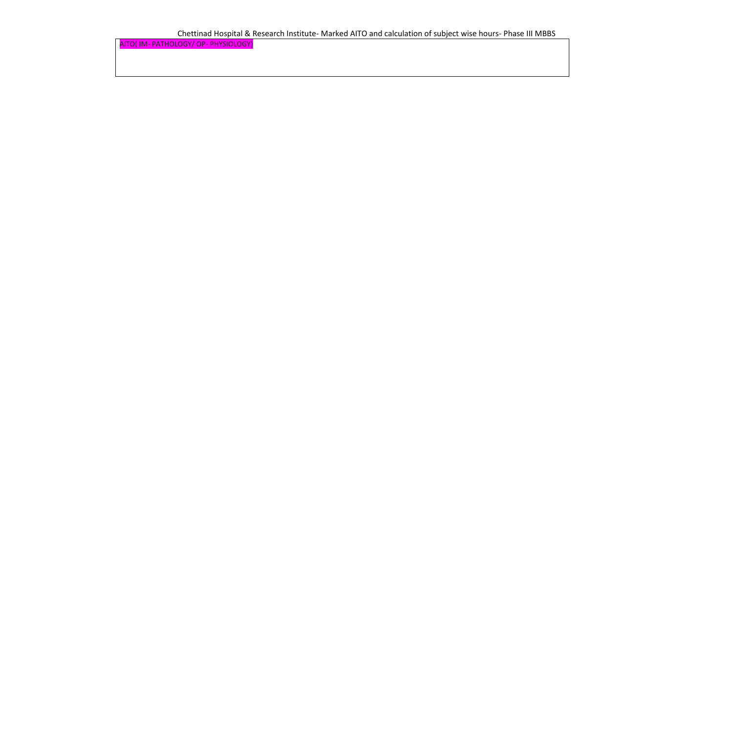AITO( IM- PATHOLOGY/ OP- PHYSIOLOGY)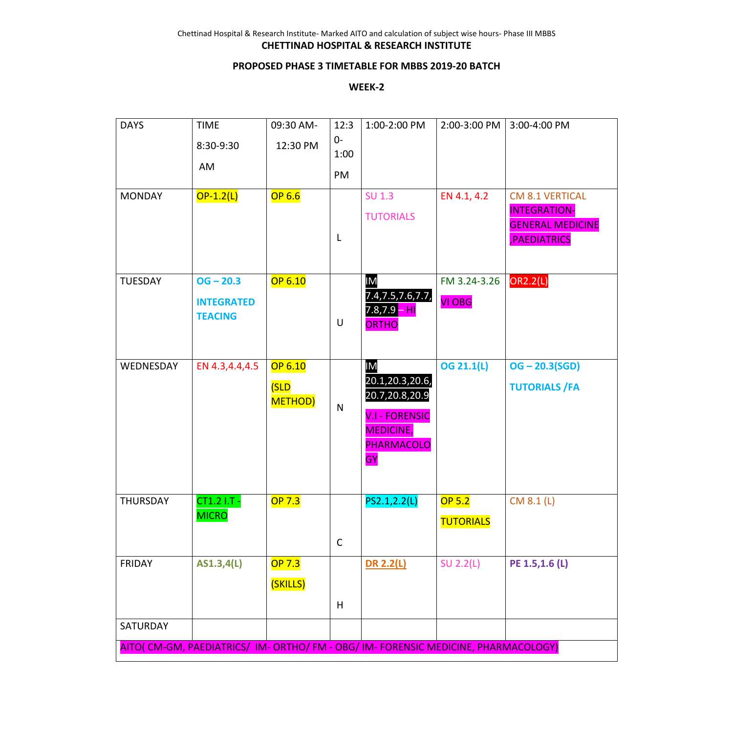#### **PROPOSED PHASE 3 TIMETABLE FOR MBBS 2019-20 BATCH**

| <b>DAYS</b><br><b>MONDAY</b> | <b>TIME</b><br>8:30-9:30<br>AM<br>$OP-1.2(L)$                                       | 09:30 AM-<br>12:30 PM<br><b>OP 6.6</b> | 12:3<br>0-<br>1:00<br><b>PM</b><br>L | 1:00-2:00 PM<br><b>SU 1.3</b><br><b>TUTORIALS</b>                                                                             | 2:00-3:00 PM<br>EN 4.1, 4.2       | 3:00-4:00 PM<br><b>CM 8.1 VERTICAL</b><br><b>INTEGRATION-</b><br><b>GENERAL MEDICINE</b><br><b>, PAEDIATRICS</b> |
|------------------------------|-------------------------------------------------------------------------------------|----------------------------------------|--------------------------------------|-------------------------------------------------------------------------------------------------------------------------------|-----------------------------------|------------------------------------------------------------------------------------------------------------------|
| <b>TUESDAY</b>               | $OG - 20.3$<br><b>INTEGRATED</b><br><b>TEACING</b>                                  | OP 6.10                                | $\cup$                               | <b>IM</b><br>7.4, 7.5, 7.6, 7.7,<br>$7.8, 7.9 - H1$<br><b>ORTHO</b>                                                           | FM 3.24-3.26<br><b>VI OBG</b>     | <b>OR2.2(L)</b>                                                                                                  |
| WEDNESDAY                    | EN 4.3,4.4,4.5                                                                      | OP 6.10<br>(SLD<br><b>METHOD</b> )     | $\mathsf{N}$                         | <b>IM</b><br>20.1,20.3,20.6,<br>20.7,20.8,20.9<br><b>V.I - FORENSIC</b><br><b>MEDICINE,</b><br><b>PHARMACOLO</b><br><b>GY</b> | OG 21.1(L)                        | $OG - 20.3(SGD)$<br><b>TUTORIALS / FA</b>                                                                        |
| <b>THURSDAY</b>              | CT1.2 I.T -<br><b>MICRO</b>                                                         | OP 7.3                                 | $\mathsf C$                          | PS2.1, 2.2(L)                                                                                                                 | <b>OP 5.2</b><br><b>TUTORIALS</b> | CM 8.1 (L)                                                                                                       |
| <b>FRIDAY</b>                | AS1.3,4(L)                                                                          | <b>OP 7.3</b><br>(SKILLS)              | H                                    | <b>DR 2.2(L)</b>                                                                                                              | $SU$ 2.2(L)                       | PE 1.5,1.6 (L)                                                                                                   |
| <b>SATURDAY</b>              | AITO( CM-GM, PAEDIATRICS/ IM- ORTHO/ FM - OBG/ IM- FORENSIC MEDICINE, PHARMACOLOGY) |                                        |                                      |                                                                                                                               |                                   |                                                                                                                  |
|                              |                                                                                     |                                        |                                      |                                                                                                                               |                                   |                                                                                                                  |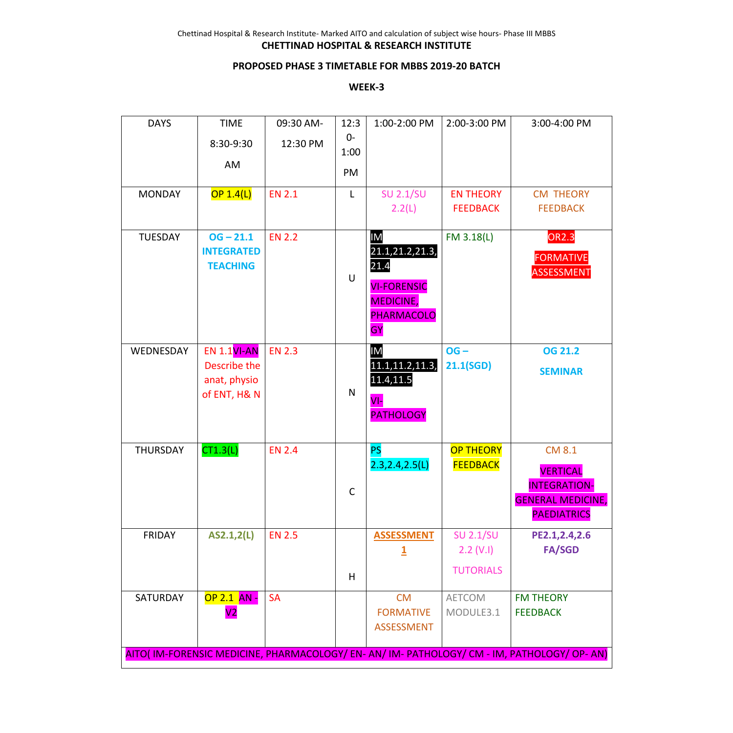# **PROPOSED PHASE 3 TIMETABLE FOR MBBS 2019-20 BATCH**

| <b>DAYS</b>     | <b>TIME</b>                  | 09:30 AM-     | 12:3         | 1:00-2:00 PM            | 2:00-3:00 PM     | 3:00-4:00 PM                                                                       |
|-----------------|------------------------------|---------------|--------------|-------------------------|------------------|------------------------------------------------------------------------------------|
|                 | 8:30-9:30                    | 12:30 PM      | $0-$         |                         |                  |                                                                                    |
|                 |                              |               | 1:00         |                         |                  |                                                                                    |
|                 | <b>AM</b>                    |               | PM           |                         |                  |                                                                                    |
| <b>MONDAY</b>   | $OP$ 1.4(L)                  | <b>EN 2.1</b> | L            | <b>SU 2.1/SU</b>        | <b>EN THEORY</b> | <b>CM THEORY</b>                                                                   |
|                 |                              |               |              | 2.2(L)                  | <b>FEEDBACK</b>  | <b>FEEDBACK</b>                                                                    |
|                 |                              |               |              |                         |                  |                                                                                    |
| <b>TUESDAY</b>  | $OG - 21.1$                  | <b>EN 2.2</b> |              | <b>IM</b>               | FM 3.18(L)       | <b>OR2.3</b>                                                                       |
|                 | <b>INTEGRATED</b>            |               |              | 21.1,21.2,21.3,         |                  | <b>FORMATIVE</b>                                                                   |
|                 | <b>TEACHING</b>              |               | $\cup$       | 21.4                    |                  | <b>ASSESSMENT</b>                                                                  |
|                 |                              |               |              | <b>VI-FORENSIC</b>      |                  |                                                                                    |
|                 |                              |               |              | <b>MEDICINE,</b>        |                  |                                                                                    |
|                 |                              |               |              | <b>PHARMACOLO</b><br>GY |                  |                                                                                    |
|                 |                              |               |              |                         |                  |                                                                                    |
| WEDNESDAY       | <b>EN 1.1VI-AN</b>           | <b>EN 2.3</b> |              | <b>IM</b>               | $OG -$           | <b>OG 21.2</b>                                                                     |
|                 | Describe the                 |               |              | 11.1,11.2,11.3,         | 21.1(SGD)        | <b>SEMINAR</b>                                                                     |
|                 | anat, physio<br>of ENT, H& N |               | $\mathsf{N}$ | 11.4,11.5               |                  |                                                                                    |
|                 |                              |               |              | $VI-$                   |                  |                                                                                    |
|                 |                              |               |              | <b>PATHOLOGY</b>        |                  |                                                                                    |
|                 |                              |               |              |                         |                  |                                                                                    |
| <b>THURSDAY</b> | CT1.3(L)                     | <b>EN 2.4</b> |              | <b>PS</b>               | <b>OP THEORY</b> | <b>CM 8.1</b>                                                                      |
|                 |                              |               |              | 2.3, 2.4, 2.5(L)        | <b>FEEDBACK</b>  | <b>VERTICAL</b>                                                                    |
|                 |                              |               | $\mathsf{C}$ |                         |                  | <b>INTEGRATION-</b>                                                                |
|                 |                              |               |              |                         |                  | <b>GENERAL MEDICINE,</b>                                                           |
|                 |                              |               |              |                         |                  | <b>PAEDIATRICS</b>                                                                 |
| <b>FRIDAY</b>   | AS2.1,2(L)                   | <b>EN 2.5</b> |              | <b>ASSESSMENT</b>       | <b>SU 2.1/SU</b> | PE2.1,2.4,2.6                                                                      |
|                 |                              |               |              |                         | 2.2 (V.1)        | <b>FA/SGD</b>                                                                      |
|                 |                              |               | H            |                         | <b>TUTORIALS</b> |                                                                                    |
|                 |                              |               |              |                         |                  |                                                                                    |
| SATURDAY        | OP 2.1 AN -                  | <b>SA</b>     |              | <b>CM</b>               | <b>AETCOM</b>    | <b>FM THEORY</b>                                                                   |
|                 | V <sub>2</sub>               |               |              | <b>FORMATIVE</b>        | MODULE3.1        | <b>FEEDBACK</b>                                                                    |
|                 |                              |               |              | <b>ASSESSMENT</b>       |                  |                                                                                    |
|                 |                              |               |              |                         |                  | AITO(IM-FORENSIC MEDICINE, PHARMACOLOGY/EN-AN/IM-PATHOLOGY/CM-IM, PATHOLOGY/OP-AN) |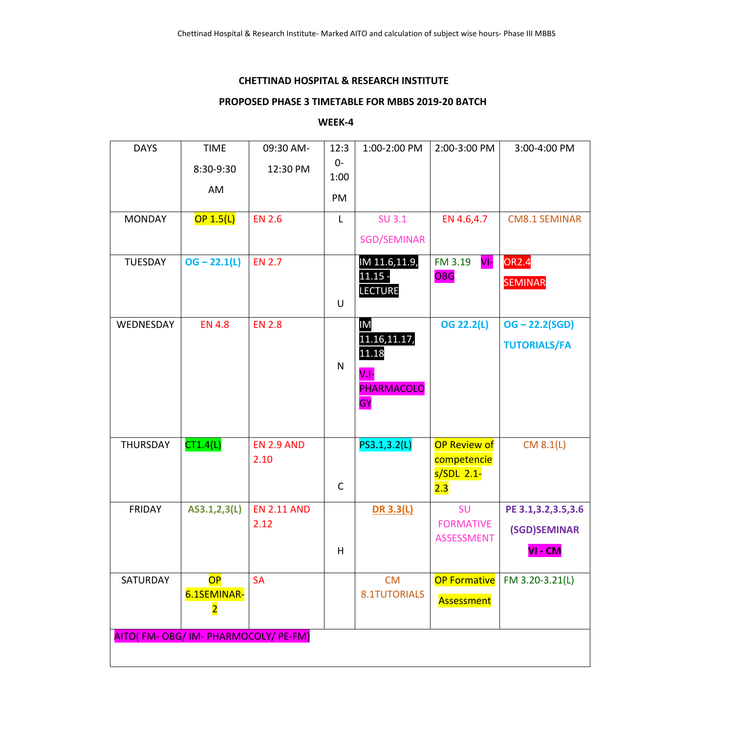#### **CHETTINAD HOSPITAL & RESEARCH INSTITUTE**

#### **PROPOSED PHASE 3 TIMETABLE FOR MBBS 2019-20 BATCH**

| <b>DAYS</b>                      | <b>TIME</b><br>8:30-9:30<br>AM                      | 09:30 AM-<br>12:30 PM      | 12:3<br>$0-$<br>1:00<br><b>PM</b> | 1:00-2:00 PM                                                                    | 2:00-3:00 PM                                            | 3:00-4:00 PM                                   |
|----------------------------------|-----------------------------------------------------|----------------------------|-----------------------------------|---------------------------------------------------------------------------------|---------------------------------------------------------|------------------------------------------------|
| <b>MONDAY</b>                    | OP 1.5(L)                                           | <b>EN 2.6</b>              | L                                 | <b>SU 3.1</b><br><b>SGD/SEMINAR</b>                                             | EN 4.6,4.7                                              | <b>CM8.1 SEMINAR</b>                           |
| <b>TUESDAY</b>                   | $OG - 22.1(L)$                                      | <b>EN 2.7</b>              | U                                 | IM 11.6,11.9,<br>$11.15 -$<br><b>LECTURE</b>                                    | <b>FM 3.19</b><br>$VI -$<br><b>OBG</b>                  | <b>OR2.4</b><br><b>SEMINAR</b>                 |
| WEDNESDAY                        | <b>EN 4.8</b>                                       | <b>EN 2.8</b>              | $\mathsf{N}$                      | <b>IM</b><br>11.16, 11.17,<br>11.18<br>$V.I-$<br><b>PHARMACOLO</b><br><b>GY</b> | <b>OG 22.2(L)</b>                                       | $OG - 22.2(SGD)$<br><b>TUTORIALS/FA</b>        |
| <b>THURSDAY</b>                  | CT1.4(L)                                            | <b>EN 2.9 AND</b><br>2.10  | $\mathsf C$                       | PS3.1, 3.2(L)                                                                   | <b>OP Review of</b><br>competencie<br>s/SDL 2.1-<br>2.3 | CM $8.1(L)$                                    |
| <b>FRIDAY</b>                    | AS3.1, 2, 3(L)                                      | <b>EN 2.11 AND</b><br>2.12 | H                                 | <b>DR 3.3(L)</b>                                                                | <b>SU</b><br><b>FORMATIVE</b><br><b>ASSESSMENT</b>      | PE 3.1, 3.2, 3.5, 3.6<br>(SGD)SEMINAR<br>VI-CM |
| <b>SATURDAY</b>                  | <b>OP</b><br>6.1SEMINAR-<br>$\overline{\mathbf{2}}$ | <b>SA</b>                  |                                   | <b>CM</b><br><b>8.1TUTORIALS</b>                                                | <b>OP Formative</b><br>Assessment                       | FM 3.20-3.21(L)                                |
| AITO(FM-OBG/IM-PHARMOCOLY/PE-FM) |                                                     |                            |                                   |                                                                                 |                                                         |                                                |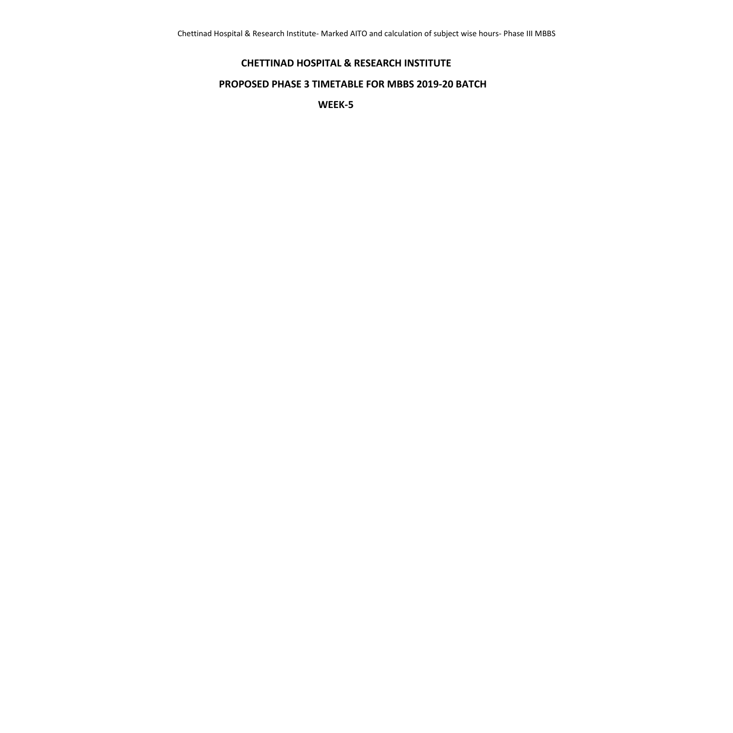# **CHETTINAD HOSPITAL & RESEARCH INSTITUTE**

#### **PROPOSED PHASE 3 TIMETABLE FOR MBBS 2019-20 BATCH**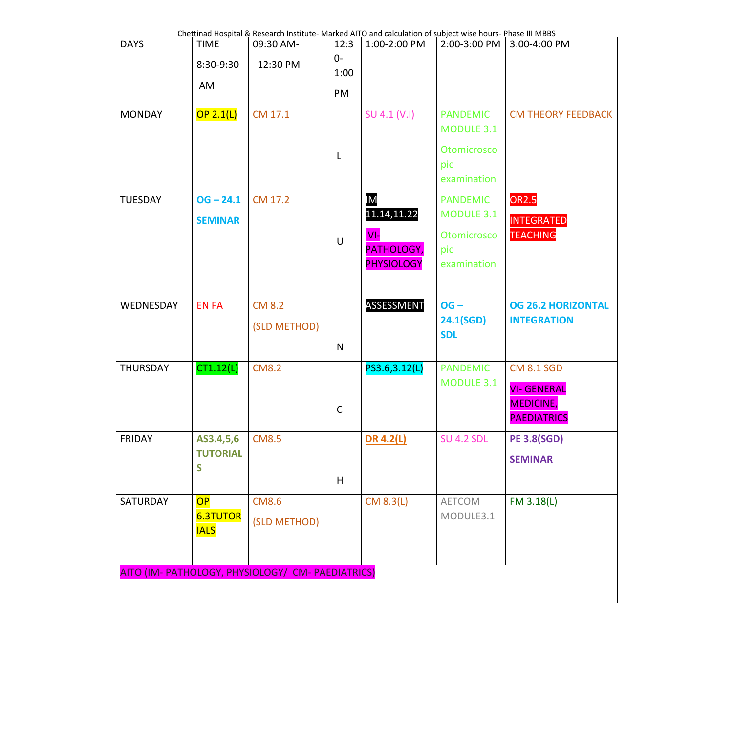| <b>DAYS</b>     | <b>TIME</b><br>8:30-9:30<br>AM              | Chettinad Hospital & Research Institute- Marked AITO and calculation of subject wise hours- Phase III MBBS<br>09:30 AM-<br>12:30 PM | 12:3<br>$0-$<br>1:00<br><b>PM</b> | 1:00-2:00 PM                                                          | 2:00-3:00 PM                                                              | 3:00-4:00 PM                                                                      |
|-----------------|---------------------------------------------|-------------------------------------------------------------------------------------------------------------------------------------|-----------------------------------|-----------------------------------------------------------------------|---------------------------------------------------------------------------|-----------------------------------------------------------------------------------|
| <b>MONDAY</b>   | $OP$ 2.1(L)                                 | <b>CM 17.1</b>                                                                                                                      | L                                 | SU 4.1 (V.I)                                                          | <b>PANDEMIC</b><br><b>MODULE 3.1</b><br>Otomicrosco<br>pic<br>examination | <b>CM THEORY FEEDBACK</b>                                                         |
| <b>TUESDAY</b>  | $OG - 24.1$<br><b>SEMINAR</b>               | <b>CM 17.2</b>                                                                                                                      | $\cup$                            | <b>IM</b><br>11.14,11.22<br>$VI -$<br>PATHOLOGY,<br><b>PHYSIOLOGY</b> | <b>PANDEMIC</b><br><b>MODULE 3.1</b><br>Otomicrosco<br>pic<br>examination | <b>OR2.5</b><br><b>INTEGRATED</b><br><b>TEACHING</b>                              |
| WEDNESDAY       | <b>EN FA</b>                                | <b>CM 8.2</b><br>(SLD METHOD)                                                                                                       | $\mathsf{N}$                      | ASSESSMENT                                                            | $OG -$<br>24.1(SGD)<br><b>SDL</b>                                         | OG 26.2 HORIZONTAL<br><b>INTEGRATION</b>                                          |
| <b>THURSDAY</b> | CT1.12(L)                                   | <b>CM8.2</b>                                                                                                                        | $\mathsf{C}$                      | PS3.6, 3.12(L)                                                        | <b>PANDEMIC</b><br>MODULE 3.1                                             | <b>CM 8.1 SGD</b><br><b>VI- GENERAL</b><br><b>MEDICINE,</b><br><b>PAEDIATRICS</b> |
| <b>FRIDAY</b>   | AS3.4,5,6<br><b>TUTORIAL</b><br>S           | <b>CM8.5</b>                                                                                                                        | H                                 | <b>DR 4.2(L)</b>                                                      | <b>SU 4.2 SDL</b>                                                         | <b>PE 3.8(SGD)</b><br><b>SEMINAR</b>                                              |
| <b>SATURDAY</b> | <b>OP</b><br><b>6.3TUTOR</b><br><b>IALS</b> | <b>CM8.6</b><br>(SLD METHOD)                                                                                                        |                                   | CM $8.3(L)$                                                           | <b>AETCOM</b><br>MODULE3.1                                                | FM 3.18(L)                                                                        |
|                 |                                             | AITO (IM- PATHOLOGY, PHYSIOLOGY/ CM- PAEDIATRICS)                                                                                   |                                   |                                                                       |                                                                           |                                                                                   |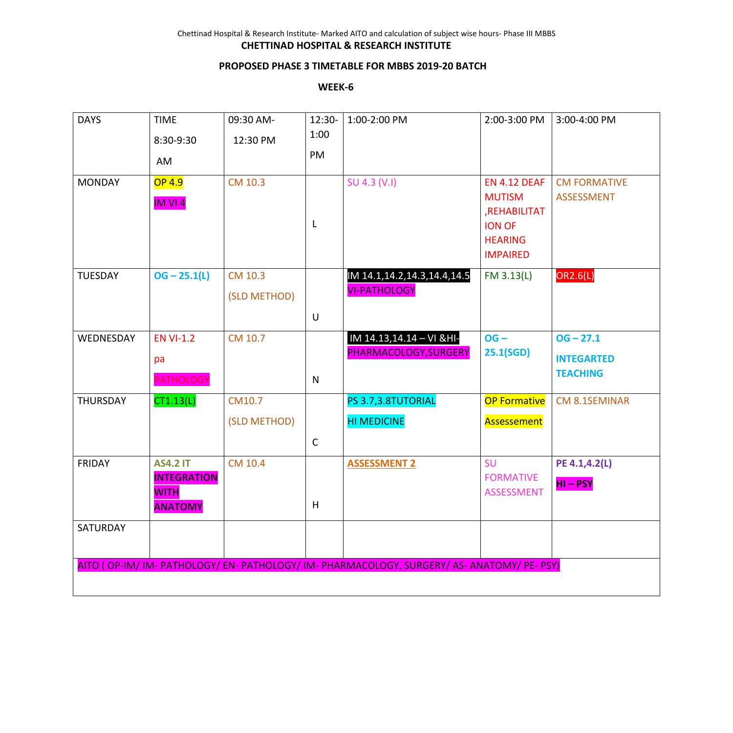# **PROPOSED PHASE 3 TIMETABLE FOR MBBS 2019-20 BATCH**

| <b>DAYS</b>     | <b>TIME</b><br>8:30-9:30                                               | 09:30 AM-<br>12:30 PM          | 12:30-<br>1:00 | 1:00-2:00 PM                                                                      | 2:00-3:00 PM                                                                                               | 3:00-4:00 PM                                        |
|-----------------|------------------------------------------------------------------------|--------------------------------|----------------|-----------------------------------------------------------------------------------|------------------------------------------------------------------------------------------------------------|-----------------------------------------------------|
|                 | AM                                                                     |                                | PM             |                                                                                   |                                                                                                            |                                                     |
| <b>MONDAY</b>   | <b>OP 4.9</b><br><b>IM VI4</b>                                         | <b>CM 10.3</b>                 | L              | SU 4.3 (V.I)                                                                      | <b>EN 4.12 DEAF</b><br><b>MUTISM</b><br>,REHABILITAT<br><b>ION OF</b><br><b>HEARING</b><br><b>IMPAIRED</b> | <b>CM FORMATIVE</b><br><b>ASSESSMENT</b>            |
| <b>TUESDAY</b>  | $OG - 25.1(L)$                                                         | <b>CM 10.3</b><br>(SLD METHOD) | $\cup$         | IM 14.1, 14.2, 14.3, 14.4, 14.5<br><b>VI-PATHOLOGY</b>                            | FM 3.13(L)                                                                                                 | OR2.6(L)                                            |
| WEDNESDAY       | <b>EN VI-1.2</b><br>pa<br><b>PATHOLOGY</b>                             | CM 10.7                        | N              | IM 14.13,14.14 - VI & HI-<br>PHARMACOLOGY, SURGERY                                | $OG -$<br>25.1(SGD)                                                                                        | $OG - 27.1$<br><b>INTEGARTED</b><br><b>TEACHING</b> |
| <b>THURSDAY</b> | CT1.13(L)                                                              | <b>CM10.7</b><br>(SLD METHOD)  | $\mathsf{C}$   | PS 3.7,3.8TUTORIAL<br><b>HI MEDICINE</b>                                          | <b>OP Formative</b><br>Assessement                                                                         | <b>CM 8.1SEMINAR</b>                                |
| <b>FRIDAY</b>   | <b>AS4.2 IT</b><br><b>INTEGRATION</b><br><b>WITH</b><br><b>ANATOMY</b> | <b>CM 10.4</b>                 | H              | <b>ASSESSMENT 2</b>                                                               | SU<br><b>FORMATIVE</b><br><b>ASSESSMENT</b>                                                                | PE 4.1,4.2(L)<br>$HI - PSY$                         |
| <b>SATURDAY</b> |                                                                        |                                |                |                                                                                   |                                                                                                            |                                                     |
|                 |                                                                        |                                |                | AITO (OP-IM/IM-PATHOLOGY/EN-PATHOLOGY/IM-PHARMACOLOGY, SURGERY/AS-ANATOMY/PE-PSY) |                                                                                                            |                                                     |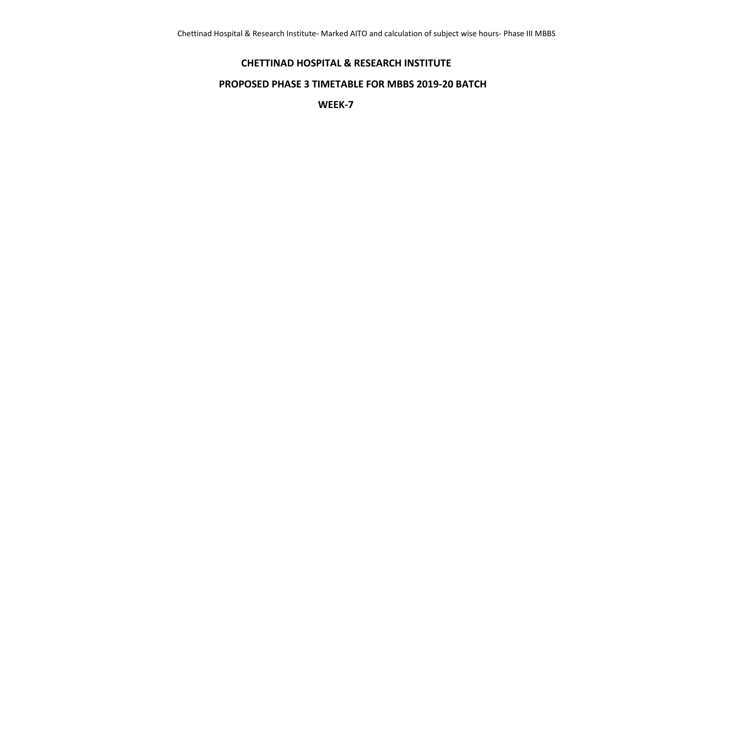# **CHETTINAD HOSPITAL & RESEARCH INSTITUTE**

#### **PROPOSED PHASE 3 TIMETABLE FOR MBBS 2019-20 BATCH**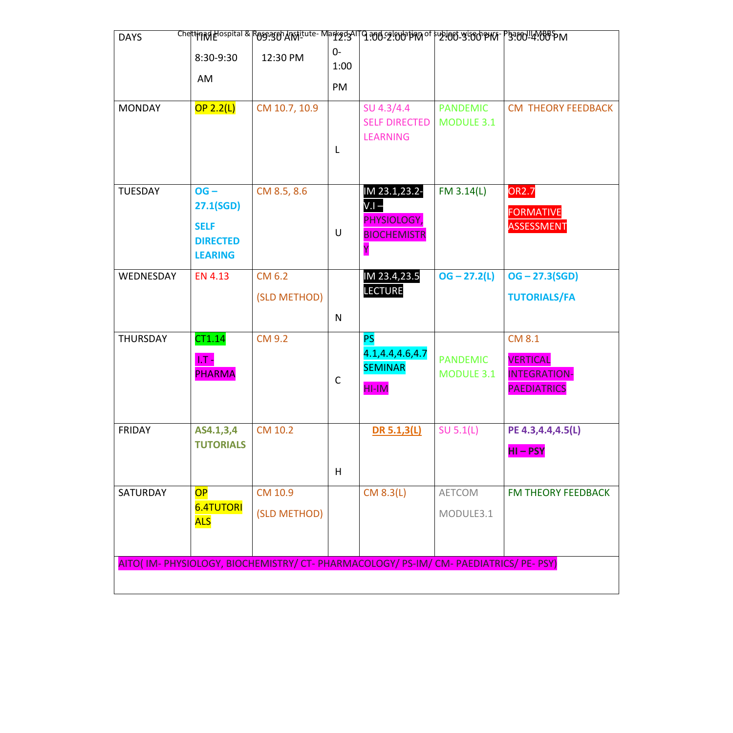| <b>DAYS</b>     |                                                                         | Chettinad Hospital & Research And Itute-Marked 4179 306-2100 bind of publicity stroch Phatolic Phatolic Andre |               |                                                               |                                      |                                                                               |
|-----------------|-------------------------------------------------------------------------|---------------------------------------------------------------------------------------------------------------|---------------|---------------------------------------------------------------|--------------------------------------|-------------------------------------------------------------------------------|
|                 | 8:30-9:30                                                               | 12:30 PM                                                                                                      | $O -$<br>1:00 |                                                               |                                      |                                                                               |
|                 | AM                                                                      |                                                                                                               | PM            |                                                               |                                      |                                                                               |
| <b>MONDAY</b>   | $OP$ 2.2(L)                                                             | CM 10.7, 10.9                                                                                                 | L             | SU 4.3/4.4<br><b>SELF DIRECTED</b><br><b>LEARNING</b>         | <b>PANDEMIC</b><br><b>MODULE 3.1</b> | <b>CM THEORY FEEDBACK</b>                                                     |
| <b>TUESDAY</b>  | $OG -$<br>27.1(SGD)<br><b>SELF</b><br><b>DIRECTED</b><br><b>LEARING</b> | CM 8.5, 8.6                                                                                                   | $\cup$        | IM 23.1,23.2-<br>$V.I -$<br>PHYSIOLOGY,<br><b>BIOCHEMISTR</b> | FM 3.14(L)                           | <b>OR2.7</b><br><b>FORMATIVE</b><br><b>ASSESSMENT</b>                         |
| WEDNESDAY       | <b>EN 4.13</b>                                                          | <b>CM 6.2</b><br>(SLD METHOD)                                                                                 | $\mathsf{N}$  | IM 23.4,23.5<br><b>LECTURE</b>                                | $OG - 27.2(L)$                       | $OG - 27.3(SGD)$<br><b>TUTORIALS/FA</b>                                       |
| <b>THURSDAY</b> | CT1.14<br>$LT -$<br><b>PHARMA</b>                                       | <b>CM 9.2</b>                                                                                                 | C             | <b>PS</b><br>4.1,4.4,4.6,4.7<br><b>SEMINAR</b><br>HI-IM       | <b>PANDEMIC</b><br><b>MODULE 3.1</b> | <b>CM 8.1</b><br><b>VERTICAL</b><br><b>INTEGRATION-</b><br><b>PAEDIATRICS</b> |
| <b>FRIDAY</b>   | AS4.1,3,4<br><b>TUTORIALS</b>                                           | <b>CM 10.2</b>                                                                                                | H             | <b>DR 5.1,3(L)</b>                                            | SU 5.1(L)                            | PE 4.3,4.4,4.5(L)<br>$HI - PSY$                                               |
| <b>SATURDAY</b> | OP<br><b>6.4TUTORI</b><br><b>ALS</b>                                    | <b>CM 10.9</b><br>(SLD METHOD)                                                                                |               | CM 8.3(L)                                                     | <b>AETCOM</b><br>MODULE3.1           | <b>FM THEORY FEEDBACK</b>                                                     |
|                 |                                                                         | AITO(IM-PHYSIOLOGY, BIOCHEMISTRY/CT-PHARMACOLOGY/PS-IM/CM-PAEDIATRICS/PE-PSY)                                 |               |                                                               |                                      |                                                                               |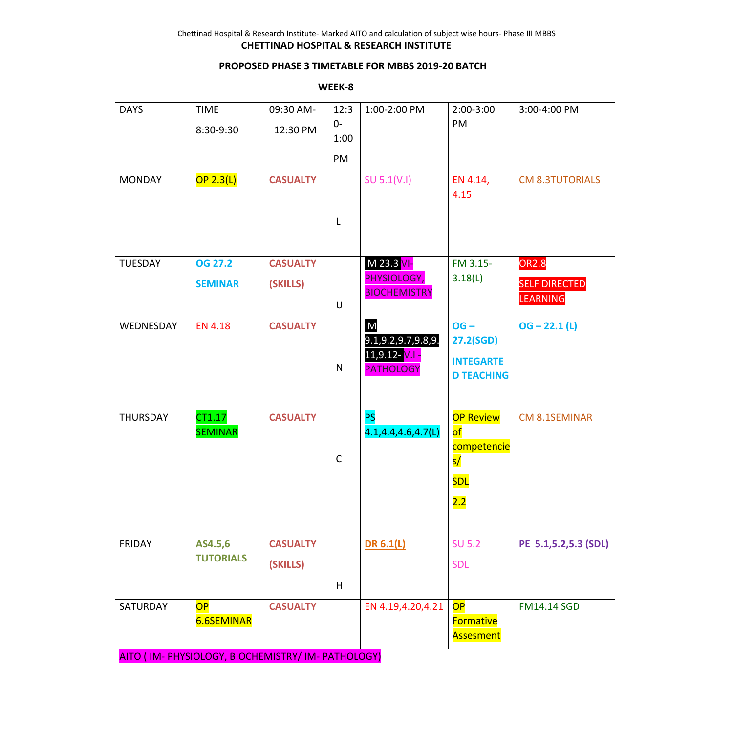# **PROPOSED PHASE 3 TIMETABLE FOR MBBS 2019-20 BATCH**

| <b>DAYS</b>                                     | <b>TIME</b>              | 09:30 AM-       | 12:3         | 1:00-2:00 PM                                    | $2:00-3:00$                           | 3:00-4:00 PM                     |
|-------------------------------------------------|--------------------------|-----------------|--------------|-------------------------------------------------|---------------------------------------|----------------------------------|
|                                                 | 8:30-9:30                | 12:30 PM        | $0-$<br>1:00 |                                                 | PM                                    |                                  |
|                                                 |                          |                 | PM           |                                                 |                                       |                                  |
| <b>MONDAY</b>                                   | OP $2.3(L)$              | <b>CASUALTY</b> |              | SU 5.1(V.1)                                     | EN 4.14,<br>4.15                      | <b>CM 8.3TUTORIALS</b>           |
|                                                 |                          |                 | L            |                                                 |                                       |                                  |
| <b>TUESDAY</b>                                  | <b>OG 27.2</b>           | <b>CASUALTY</b> |              | IM 23.3 VI-                                     | FM 3.15-                              | <b>OR2.8</b>                     |
|                                                 | <b>SEMINAR</b>           | (SKILLS)        |              | PHYSIOLOGY,<br><b>BIOCHEMISTRY</b>              | 3.18(L)                               | <b>SELF DIRECTED</b><br>LEARNING |
|                                                 |                          |                 | $\cup$       |                                                 |                                       |                                  |
| WEDNESDAY                                       | <b>EN 4.18</b>           | <b>CASUALTY</b> |              | <b>IM</b><br>9.1,9.2,9.7,9.8,9.                 | $OG -$<br>27.2(SGD)                   | $OG - 22.1 (L)$                  |
|                                                 |                          |                 | $\mathsf{N}$ | 11,9.12- <mark>V.I -</mark><br><b>PATHOLOGY</b> | <b>INTEGARTE</b><br><b>D TEACHING</b> |                                  |
|                                                 |                          |                 |              |                                                 |                                       |                                  |
| <b>THURSDAY</b>                                 | CT1.17<br><b>SEMINAR</b> | <b>CASUALTY</b> |              | <b>PS</b><br>$4.1,4.4,4.6,4.7$ (L)              | <b>OP Review</b><br>$\mathsf{of}$     | <b>CM 8.1SEMINAR</b>             |
|                                                 |                          |                 | $\mathsf{C}$ |                                                 | competencie<br>s/                     |                                  |
|                                                 |                          |                 |              |                                                 | <b>SDL</b>                            |                                  |
|                                                 |                          |                 |              |                                                 | 2.2                                   |                                  |
| <b>FRIDAY</b>                                   | AS4.5,6                  | <b>CASUALTY</b> |              | <b>DR 6.1(L)</b>                                | <b>SU 5.2</b>                         | PE 5.1,5.2,5.3 (SDL)             |
|                                                 | <b>TUTORIALS</b>         | (SKILLS)        |              |                                                 | <b>SDL</b>                            |                                  |
|                                                 |                          |                 | H            |                                                 |                                       |                                  |
| <b>SATURDAY</b>                                 | <b>OP</b>                | <b>CASUALTY</b> |              | EN 4.19,4.20,4.21                               | <b>OP</b>                             | <b>FM14.14 SGD</b>               |
|                                                 | <b>6.6SEMINAR</b>        |                 |              |                                                 | Formative<br><b>Assesment</b>         |                                  |
| AITO (IM-PHYSIOLOGY, BIOCHEMISTRY/IM-PATHOLOGY) |                          |                 |              |                                                 |                                       |                                  |
|                                                 |                          |                 |              |                                                 |                                       |                                  |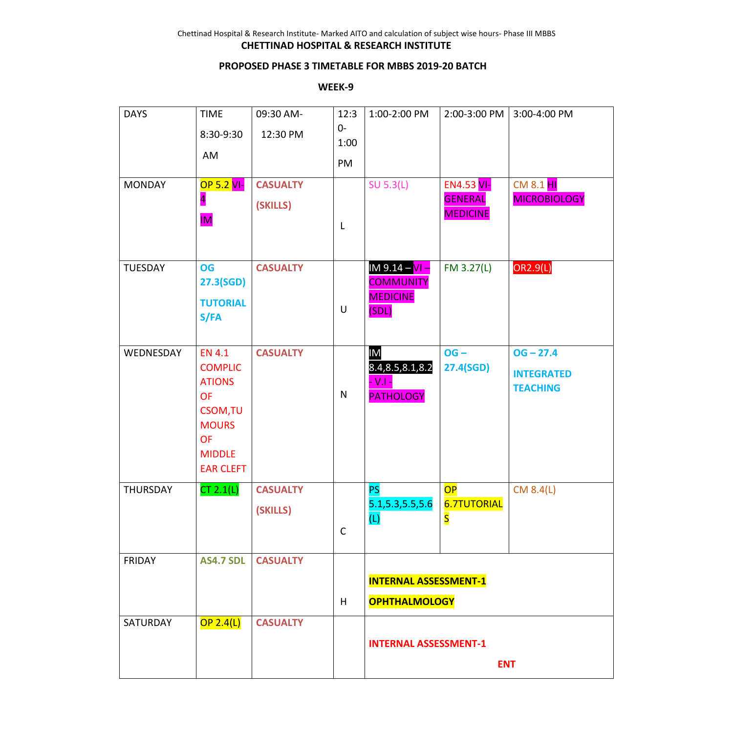# **PROPOSED PHASE 3 TIMETABLE FOR MBBS 2019-20 BATCH**

| <b>DAYS</b>     | <b>TIME</b><br>8:30-9:30<br>AM                                                                                                                    | 09:30 AM-<br>12:30 PM       | 12:3<br>$0 -$<br>1:00<br>PM | 1:00-2:00 PM                                                    | 2:00-3:00 PM                                           | 3:00-4:00 PM                                        |
|-----------------|---------------------------------------------------------------------------------------------------------------------------------------------------|-----------------------------|-----------------------------|-----------------------------------------------------------------|--------------------------------------------------------|-----------------------------------------------------|
| <b>MONDAY</b>   | <b>OP 5.2 VI-</b><br>4<br><b>IM</b>                                                                                                               | <b>CASUALTY</b><br>(SKILLS) | L                           | $SU$ 5.3(L)                                                     | <b>EN4.53 VI-</b><br><b>GENERAL</b><br><b>MEDICINE</b> | CM 8.1 H<br><b>MICROBIOLOGY</b>                     |
| <b>TUESDAY</b>  | <b>OG</b><br>27.3(SGD)<br><b>TUTORIAL</b><br>S/FA                                                                                                 | <b>CASUALTY</b>             | $\cup$                      | IM $9.14 - 1$<br><b>COMMUNITY</b><br><b>MEDICINE</b><br>(SDL)   | FM 3.27(L)                                             | <b>OR2.9(L)</b>                                     |
| WEDNESDAY       | <b>EN 4.1</b><br><b>COMPLIC</b><br><b>ATIONS</b><br><b>OF</b><br><b>CSOM,TU</b><br><b>MOURS</b><br><b>OF</b><br><b>MIDDLE</b><br><b>EAR CLEFT</b> | <b>CASUALTY</b>             | $\mathsf{N}$                | <b>IM</b><br>8.4, 8.5, 8.1, 8.2<br>$-V.I -$<br><b>PATHOLOGY</b> | $OG -$<br>27.4(SGD)                                    | $OG - 27.4$<br><b>INTEGRATED</b><br><b>TEACHING</b> |
| <b>THURSDAY</b> | CT 2.1(L)                                                                                                                                         | <b>CASUALTY</b><br>(SKILLS) | $\mathsf C$                 | <b>PS</b><br>5.1, 5.3, 5.5, 5.6<br>(L)                          | OP<br><b>6.7TUTORIAL</b><br>$\overline{\mathsf{S}}$    | CM $8.4(L)$                                         |
| <b>FRIDAY</b>   | <b>AS4.7 SDL</b>                                                                                                                                  | <b>CASUALTY</b>             | H                           | <b>INTERNAL ASSESSMENT-1</b><br><b>OPHTHALMOLOGY</b>            |                                                        |                                                     |
| <b>SATURDAY</b> | $OP$ 2.4(L)                                                                                                                                       | <b>CASUALTY</b>             |                             | <b>INTERNAL ASSESSMENT-1</b><br><b>ENT</b>                      |                                                        |                                                     |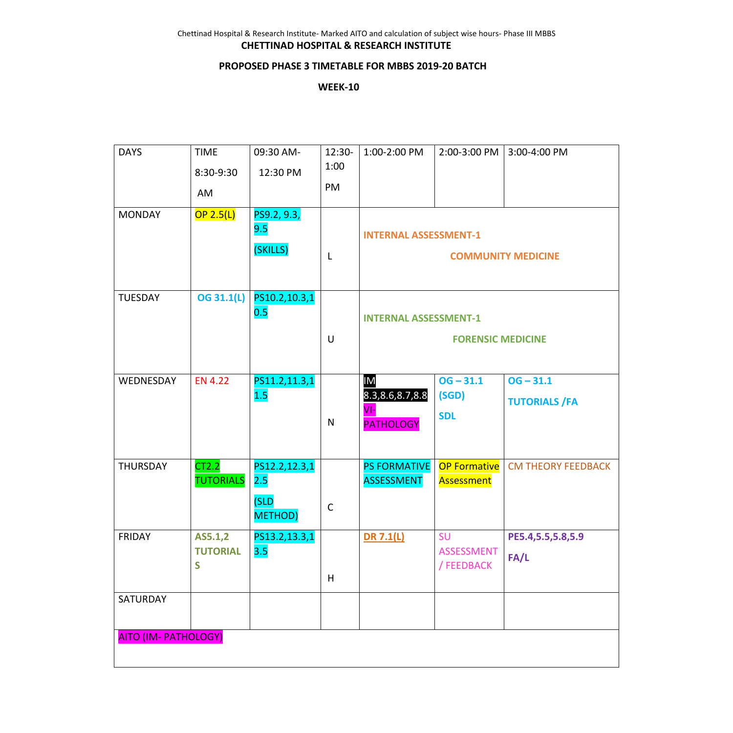# **PROPOSED PHASE 3 TIMETABLE FOR MBBS 2019-20 BATCH**

| <b>DAYS</b>                                    | <b>TIME</b><br>8:30-9:30<br>AM   | 09:30 AM-<br>12:30 PM                           | $12:30-$<br>1:00<br>PM | 1:00-2:00 PM                                                                    | 2:00-3:00 PM                             | 3:00-4:00 PM                         |  |
|------------------------------------------------|----------------------------------|-------------------------------------------------|------------------------|---------------------------------------------------------------------------------|------------------------------------------|--------------------------------------|--|
| <b>MONDAY</b>                                  | $OP$ 2.5(L)                      | PS9.2, 9.3,<br>9.5<br>(SKILLS)                  | L                      | <b>INTERNAL ASSESSMENT-1</b><br><b>COMMUNITY MEDICINE</b>                       |                                          |                                      |  |
| <b>TUESDAY</b>                                 | OG 31.1(L)                       | PS10.2,10.3,1<br>0.5                            | $\cup$                 | <b>INTERNAL ASSESSMENT-1</b>                                                    | <b>FORENSIC MEDICINE</b>                 |                                      |  |
| WEDNESDAY                                      | <b>EN 4.22</b>                   | PS11.2,11.3,1<br>1.5                            | $\mathsf{N}$           | <b>IM</b><br>8.3, 8.6, 8.7, 8.8<br>$\overline{\text{VI}}$ -<br><b>PATHOLOGY</b> | $OG - 31.1$<br>(SGD)<br><b>SDL</b>       | $OG - 31.1$<br><b>TUTORIALS / FA</b> |  |
| <b>THURSDAY</b>                                | <b>CT2.2</b><br><b>TUTORIALS</b> | PS12.2,12.3,1<br>2.5<br>(SLD<br><b>METHOD</b> ) | $\mathsf C$            | <b>PS FORMATIVE</b><br><b>ASSESSMENT</b>                                        | <b>OP Formative</b><br><b>Assessment</b> | <b>CM THEORY FEEDBACK</b>            |  |
| <b>FRIDAY</b>                                  | AS5.1,2<br><b>TUTORIAL</b><br>S  | PS13.2,13.3,1<br>3.5                            | H                      | <b>DR 7.1(L)</b>                                                                | SU<br><b>ASSESSMENT</b><br>/ FEEDBACK    | PE5.4,5.5,5.8,5.9<br>FA/L            |  |
| <b>SATURDAY</b><br><b>AITO (IM- PATHOLOGY)</b> |                                  |                                                 |                        |                                                                                 |                                          |                                      |  |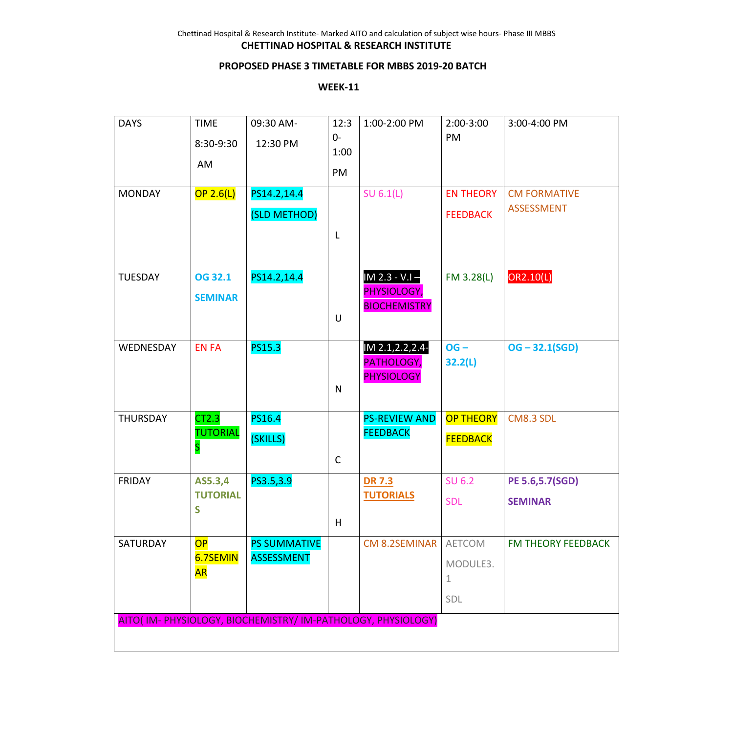# **PROPOSED PHASE 3 TIMETABLE FOR MBBS 2019-20 BATCH**

 **WEEK-11**

| <b>DAYS</b><br><b>MONDAY</b> | <b>TIME</b><br>8:30-9:30<br>AM<br>$OP$ 2.6(L) | 09:30 AM-<br>12:30 PM<br>PS14.2,14.4<br>(SLD METHOD)       | 12:3<br>$0 -$<br>1:00<br>PM<br>L | 1:00-2:00 PM<br>SU $6.1(L)$                            | $2:00-3:00$<br>PM<br><b>EN THEORY</b><br><b>FEEDBACK</b> | 3:00-4:00 PM<br><b>CM FORMATIVE</b><br><b>ASSESSMENT</b> |
|------------------------------|-----------------------------------------------|------------------------------------------------------------|----------------------------------|--------------------------------------------------------|----------------------------------------------------------|----------------------------------------------------------|
| <b>TUESDAY</b>               | <b>OG 32.1</b><br><b>SEMINAR</b>              | PS14.2,14.4                                                | $\cup$                           | $IM 2.3 - V.I -$<br>PHYSIOLOGY,<br><b>BIOCHEMISTRY</b> | FM 3.28(L)                                               | OR2.10(L)                                                |
| WEDNESDAY                    | <b>EN FA</b>                                  | <b>PS15.3</b>                                              | $\mathsf{N}$                     | IM 2.1, 2.2, 2.4-<br>PATHOLOGY,<br><b>PHYSIOLOGY</b>   | $OG -$<br>32.2(L)                                        | $OG - 32.1(SGD)$                                         |
| <b>THURSDAY</b>              | CT2.3<br><b>TUTORIAL</b><br>S                 | <b>PS16.4</b><br>(SKILLS)                                  | $\mathsf C$                      | <b>PS-REVIEW AND</b><br><b>FEEDBACK</b>                | <b>OP THEORY</b><br><b>FEEDBACK</b>                      | <b>CM8.3 SDL</b>                                         |
| <b>FRIDAY</b>                | AS5.3,4<br><b>TUTORIAL</b><br>S               | PS3.5,3.9                                                  | H                                | <b>DR 7.3</b><br><b>TUTORIALS</b>                      | <b>SU 6.2</b><br><b>SDL</b>                              | <b>PE 5.6,5.7(SGD)</b><br><b>SEMINAR</b>                 |
| <b>SATURDAY</b>              | <b>OP</b><br>6.7SEMIN<br><b>AR</b>            | <b>PS SUMMATIVE</b><br><b>ASSESSMENT</b>                   |                                  | <b>CM 8.2SEMINAR</b>                                   | <b>AETCOM</b><br>MODULE3.<br>1<br>SDL                    | <b>FM THEORY FEEDBACK</b>                                |
|                              |                                               | AITO(IM-PHYSIOLOGY, BIOCHEMISTRY/IM-PATHOLOGY, PHYSIOLOGY) |                                  |                                                        |                                                          |                                                          |

 $\overline{\phantom{0}}$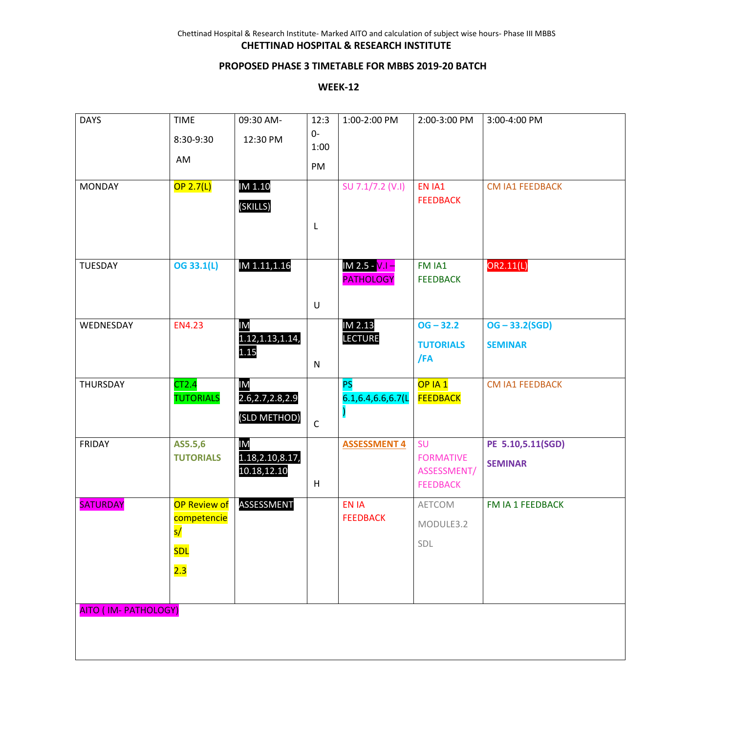# **PROPOSED PHASE 3 TIMETABLE FOR MBBS 2019-20 BATCH**

| <b>DAYS</b>                 | <b>TIME</b>                 | 09:30 AM-                      | 12:3         | 1:00-2:00 PM                    | 2:00-3:00 PM                   | 3:00-4:00 PM           |
|-----------------------------|-----------------------------|--------------------------------|--------------|---------------------------------|--------------------------------|------------------------|
|                             | 8:30-9:30                   | 12:30 PM                       | $0-$         |                                 |                                |                        |
|                             |                             |                                | 1:00         |                                 |                                |                        |
|                             | AM                          |                                | PM           |                                 |                                |                        |
| <b>MONDAY</b>               | OP $2.7(L)$                 | IM 1.10                        |              | SU 7.1/7.2 (V.I)                | <b>EN IA1</b>                  | <b>CM IA1 FEEDBACK</b> |
|                             |                             | (SKILLS)                       |              |                                 | <b>FEEDBACK</b>                |                        |
|                             |                             |                                |              |                                 |                                |                        |
|                             |                             |                                | L            |                                 |                                |                        |
|                             |                             |                                |              |                                 |                                |                        |
| <b>TUESDAY</b>              | OG 33.1(L)                  | IM 1.11,1.16                   |              | IM 2.5 - <mark>V.I –</mark>     | FM IA1                         | OR2.11(L)              |
|                             |                             |                                |              | <b>PATHOLOGY</b>                | <b>FEEDBACK</b>                |                        |
|                             |                             |                                | U            |                                 |                                |                        |
|                             |                             |                                |              |                                 |                                |                        |
| WEDNESDAY                   | <b>EN4.23</b>               | <b>IM</b><br>1.12, 1.13, 1.14, |              | IM 2.13<br><b>LECTURE</b>       | $OG - 32.2$                    | $OG - 33.2(SGD)$       |
|                             |                             | 1.15                           |              |                                 | <b>TUTORIALS</b>               | <b>SEMINAR</b>         |
|                             |                             |                                | N            |                                 | /FA                            |                        |
| THURSDAY                    | CT2.4                       | IM                             |              | <b>PS</b>                       | OP IA 1                        | <b>CM IA1 FEEDBACK</b> |
|                             | <b>TUTORIALS</b>            | 2.6, 2.7, 2.8, 2.9             |              | $6.1, 6.4, 6.6, 6.7$ (L         | <b>FEEDBACK</b>                |                        |
|                             |                             | (SLD METHOD)                   |              |                                 |                                |                        |
|                             |                             |                                | $\mathsf{C}$ |                                 |                                |                        |
| <b>FRIDAY</b>               | AS5.5,6                     | <b>IM</b>                      |              | <b>ASSESSMENT 4</b>             | SU                             | PE 5.10,5.11(SGD)      |
|                             | <b>TUTORIALS</b>            | 1.18, 2.10, 8.17,              |              |                                 | <b>FORMATIVE</b>               | <b>SEMINAR</b>         |
|                             |                             | 10.18,12.10                    | H            |                                 | ASSESSMENT/<br><b>FEEDBACK</b> |                        |
|                             |                             |                                |              |                                 |                                |                        |
| <b>SATURDAY</b>             | OP Review of<br>competencie | ASSESSMENT                     |              | <b>EN IA</b><br><b>FEEDBACK</b> | <b>AETCOM</b>                  | FM IA 1 FEEDBACK       |
|                             | s/                          |                                |              |                                 | MODULE3.2                      |                        |
|                             | <b>SDL</b>                  |                                |              |                                 | SDL                            |                        |
|                             |                             |                                |              |                                 |                                |                        |
|                             | 2.3                         |                                |              |                                 |                                |                        |
|                             |                             |                                |              |                                 |                                |                        |
| <b>AITO (IM- PATHOLOGY)</b> |                             |                                |              |                                 |                                |                        |
|                             |                             |                                |              |                                 |                                |                        |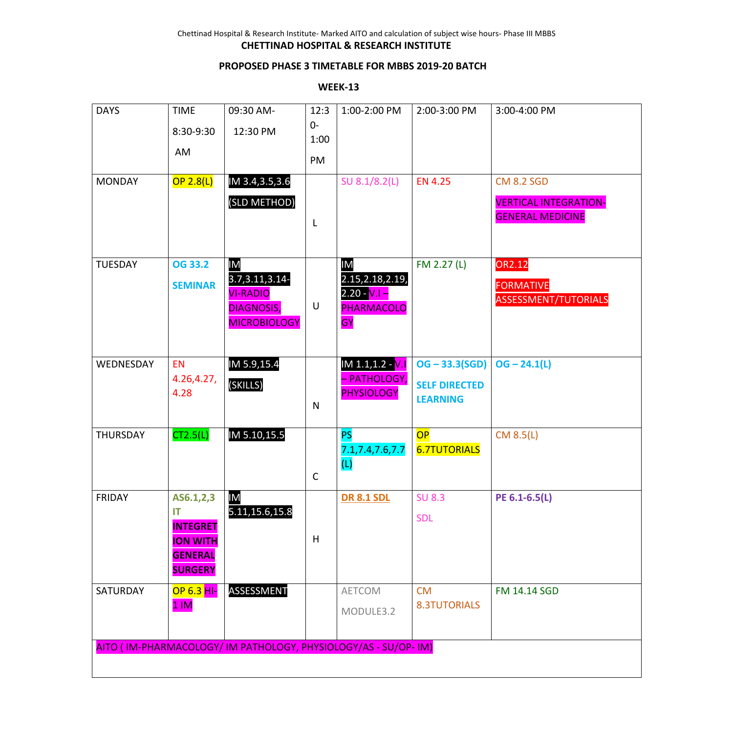# **PROPOSED PHASE 3 TIMETABLE FOR MBBS 2019-20 BATCH**

| <b>DAYS</b>     | <b>TIME</b><br>8:30-9:30<br>AM                                                            | 09:30 AM-<br>12:30 PM                                                                       | 12:3<br>$0-$<br>1:00<br>PM | 1:00-2:00 PM                                                                       | 2:00-3:00 PM                                                | 3:00-4:00 PM                                                                 |
|-----------------|-------------------------------------------------------------------------------------------|---------------------------------------------------------------------------------------------|----------------------------|------------------------------------------------------------------------------------|-------------------------------------------------------------|------------------------------------------------------------------------------|
| <b>MONDAY</b>   | $OP$ 2.8(L)                                                                               | IM 3.4, 3.5, 3.6<br>(SLD METHOD)                                                            | L                          | SU 8.1/8.2(L)                                                                      | <b>EN 4.25</b>                                              | <b>CM 8.2 SGD</b><br><b>VERTICAL INTEGRATION-</b><br><b>GENERAL MEDICINE</b> |
| <b>TUESDAY</b>  | <b>OG 33.2</b><br><b>SEMINAR</b>                                                          | <b>IM</b><br>3.7, 3.11, 3.14<br><b>VI-RADIO</b><br><b>DIAGNOSIS,</b><br><b>MICROBIOLOGY</b> | U                          | <b>IM</b><br>2.15, 2.18, 2.19,<br>$2.20 - V.I -$<br><b>PHARMACOLO</b><br><b>GY</b> | FM 2.27 (L)                                                 | <b>OR2.12</b><br><b>FORMATIVE</b><br><b>ASSESSMENT/TUTORIALS</b>             |
| WEDNESDAY       | <b>EN</b><br>4.26, 4.27,<br>4.28                                                          | IM 5.9,15.4<br>(SKILLS)                                                                     | $\mathsf{N}$               | IM 1.1,1.2 - <mark>V.I</mark><br>- PATHOLOGY,<br><b>PHYSIOLOGY</b>                 | $OG - 33.3(SGD)$<br><b>SELF DIRECTED</b><br><b>LEARNING</b> | $OG - 24.1(L)$                                                               |
| <b>THURSDAY</b> | CT2.5(L)                                                                                  | IM 5.10,15.5                                                                                | $\mathsf C$                | <b>PS</b><br>7.1,7.4,7.6,7.7<br>(L)                                                | OP<br><b>6.7TUTORIALS</b>                                   | <b>CM 8.5(L)</b>                                                             |
| <b>FRIDAY</b>   | AS6.1,2,3<br>IT<br><b>INTEGRET</b><br><b>ION WITH</b><br><b>GENERAL</b><br><b>SURGERY</b> | <b>IM</b><br>5.11,15.6,15.8                                                                 | H                          | <b>DR 8.1 SDL</b>                                                                  | <b>SU 8.3</b><br><b>SDL</b>                                 | PE 6.1-6.5(L)                                                                |
| <b>SATURDAY</b> | <b>OP 6.3 HI-</b><br>11M                                                                  | ASSESSMENT                                                                                  |                            | <b>AETCOM</b><br>MODULE3.2                                                         | <b>CM</b><br><b>8.3TUTORIALS</b>                            | <b>FM 14.14 SGD</b>                                                          |
|                 |                                                                                           | AITO (IM-PHARMACOLOGY/IM PATHOLOGY, PHYSIOLOGY/AS - SU/OP-IM)                               |                            |                                                                                    |                                                             |                                                                              |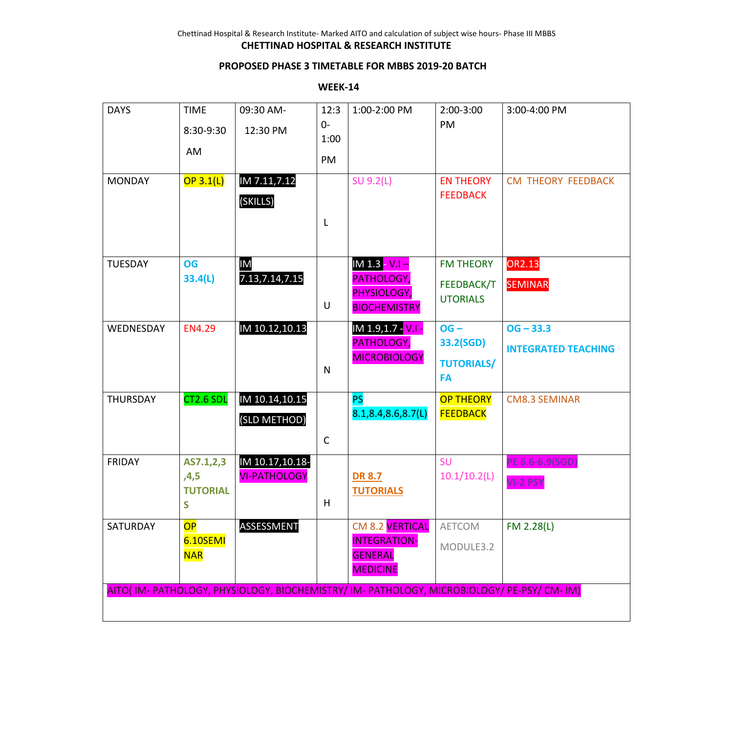# **PROPOSED PHASE 3 TIMETABLE FOR MBBS 2019-20 BATCH**

| <b>DAYS</b>     | <b>TIME</b><br>8:30-9:30<br>AM             | 09:30 AM-<br>12:30 PM                  | 12:3<br>$0-$<br>1:00<br><b>PM</b> | 1:00-2:00 PM                                                                         | $2:00-3:00$<br>PM                                 | 3:00-4:00 PM                              |
|-----------------|--------------------------------------------|----------------------------------------|-----------------------------------|--------------------------------------------------------------------------------------|---------------------------------------------------|-------------------------------------------|
| <b>MONDAY</b>   | OP $3.1(L)$                                | IM 7.11,7.12<br>(SKILLS)               | L                                 | <b>SU 9.2(L)</b>                                                                     | <b>EN THEORY</b><br><b>FEEDBACK</b>               | CM THEORY FEEDBACK                        |
| <b>TUESDAY</b>  | <b>OG</b><br>33.4(L)                       | <b>IM</b><br>7.13,7.14,7.15            | U                                 | $IM 1.3 - V.I -$<br>PATHOLOGY,<br>PHYSIOLOGY,<br><b>BIOCHEMISTRY</b>                 | <b>FM THEORY</b><br>FEEDBACK/T<br><b>UTORIALS</b> | <b>OR2.13</b><br><b>SEMINAR</b>           |
| WEDNESDAY       | <b>EN4.29</b>                              | IM 10.12,10.13                         | N                                 | IM 1.9,1.7 - <mark>V.I -</mark><br>PATHOLOGY,<br><b>MICROBIOLOGY</b>                 | $OG -$<br>33.2(SGD)<br><b>TUTORIALS/</b><br>FA    | $OG - 33.3$<br><b>INTEGRATED TEACHING</b> |
| <b>THURSDAY</b> | CT2.6 SDL                                  | IM 10.14,10.15<br>(SLD METHOD)         | $\mathsf{C}$                      | <b>PS</b><br>$8.1, 8.4, 8.6, 8.7$ (L)                                                | <b>OP THEORY</b><br><b>FEEDBACK</b>               | <b>CM8.3 SEMINAR</b>                      |
| <b>FRIDAY</b>   | AS7.1,2,3<br>,4,5<br><b>TUTORIAL</b><br>S  | IM 10.17,10.18-<br><b>VI-PATHOLOGY</b> | H                                 | <b>DR 8.7</b><br><b>TUTORIALS</b>                                                    | <b>SU</b><br>10.1/10.2(L)                         | PE 6.6-6.9(SGD)<br><b>VI-2 PSY</b>        |
| <b>SATURDAY</b> | <b>OP</b><br><b>6.10SEMI</b><br><b>NAR</b> | ASSESSMENT                             |                                   | <b>CM 8.2 VERTICAL</b><br><b>INTEGRATION-</b><br><b>GENERAL</b><br><b>MEDICINE</b>   | <b>AETCOM</b><br>MODULE3.2                        | FM 2.28(L)                                |
|                 |                                            |                                        |                                   | AITO(IM-PATHOLOGY, PHYSIOLOGY, BIOCHEMISTRY/IM-PATHOLOGY, MICROBIOLOGY/PE-PSY/CM-IM) |                                                   |                                           |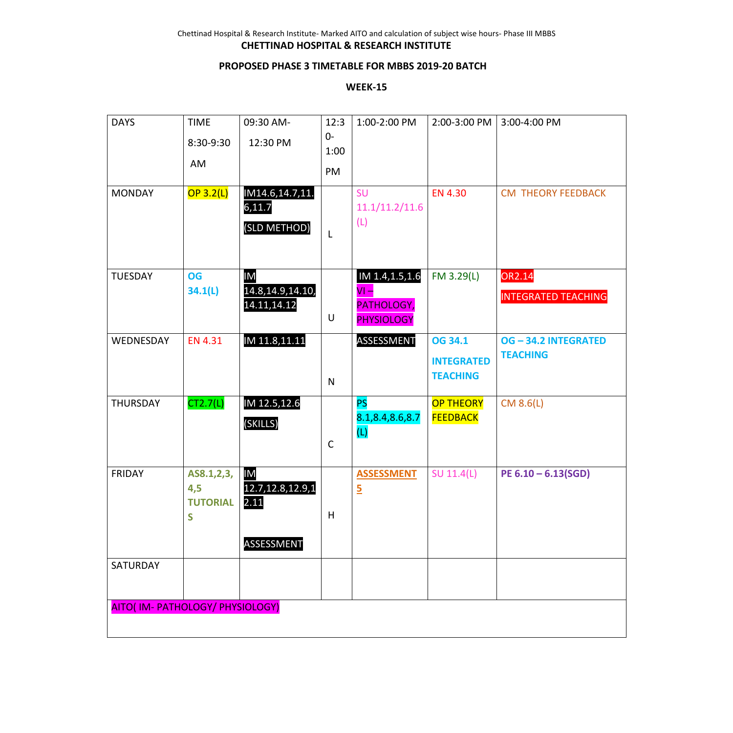# **PROPOSED PHASE 3 TIMETABLE FOR MBBS 2019-20 BATCH**

| <b>DAYS</b>                   | <b>TIME</b>     | 09:30 AM-                 | 12:3         | 1:00-2:00 PM                    | 2:00-3:00 PM                        | 3:00-4:00 PM               |
|-------------------------------|-----------------|---------------------------|--------------|---------------------------------|-------------------------------------|----------------------------|
|                               | 8:30-9:30       | 12:30 PM                  | $0-$<br>1:00 |                                 |                                     |                            |
|                               | AM              |                           | PM           |                                 |                                     |                            |
|                               |                 |                           |              |                                 |                                     |                            |
| <b>MONDAY</b>                 | $OP$ 3.2(L)     | IM14.6,14.7,11.<br>6,11.7 |              | SU<br>11.1/11.2/11.6            | <b>EN 4.30</b>                      | <b>CM THEORY FEEDBACK</b>  |
|                               |                 |                           |              | (L)                             |                                     |                            |
|                               |                 | (SLD METHOD)              | L            |                                 |                                     |                            |
|                               |                 |                           |              |                                 |                                     |                            |
| <b>TUESDAY</b>                | OG              | <b>IM</b>                 |              | IM 1.4,1.5,1.6                  | FM 3.29(L)                          | OR2.14                     |
|                               | 34.1(L)         | 14.8, 14.9, 14.10,        |              | $\overline{\mathsf{VI}}$ –      |                                     | <b>INTEGRATED TEACHING</b> |
|                               |                 | 14.11,14.12               | U            | PATHOLOGY,<br><b>PHYSIOLOGY</b> |                                     |                            |
| WEDNESDAY                     | <b>EN 4.31</b>  | IM 11.8,11.11             |              | ASSESSMENT                      | <b>OG 34.1</b>                      | <b>OG-34.2 INTEGRATED</b>  |
|                               |                 |                           |              |                                 | <b>INTEGRATED</b>                   | <b>TEACHING</b>            |
|                               |                 |                           |              |                                 | <b>TEACHING</b>                     |                            |
|                               |                 |                           | $\mathsf{N}$ |                                 |                                     |                            |
| <b>THURSDAY</b>               | CT2.7(L)        | IM 12.5,12.6              |              | <b>PS</b><br>8.1,8.4,8.6,8.7    | <b>OP THEORY</b><br><b>FEEDBACK</b> | CM $8.6(L)$                |
|                               |                 | (SKILLS)                  |              | (L)                             |                                     |                            |
|                               |                 |                           | $\mathsf{C}$ |                                 |                                     |                            |
| <b>FRIDAY</b>                 | AS8.1,2,3,      | <b>IM</b>                 |              | <b>ASSESSMENT</b>               | SU 11.4(L)                          | PE $6.10 - 6.13(SGD)$      |
|                               | 4,5             | 12.7,12.8,12.9,1          |              | $\overline{5}$                  |                                     |                            |
|                               | <b>TUTORIAL</b> | 2.11                      |              |                                 |                                     |                            |
|                               | S               |                           | H            |                                 |                                     |                            |
|                               |                 | ASSESSMENT                |              |                                 |                                     |                            |
| <b>SATURDAY</b>               |                 |                           |              |                                 |                                     |                            |
|                               |                 |                           |              |                                 |                                     |                            |
| AITO(IM-PATHOLOGY/PHYSIOLOGY) |                 |                           |              |                                 |                                     |                            |
|                               |                 |                           |              |                                 |                                     |                            |
|                               |                 |                           |              |                                 |                                     |                            |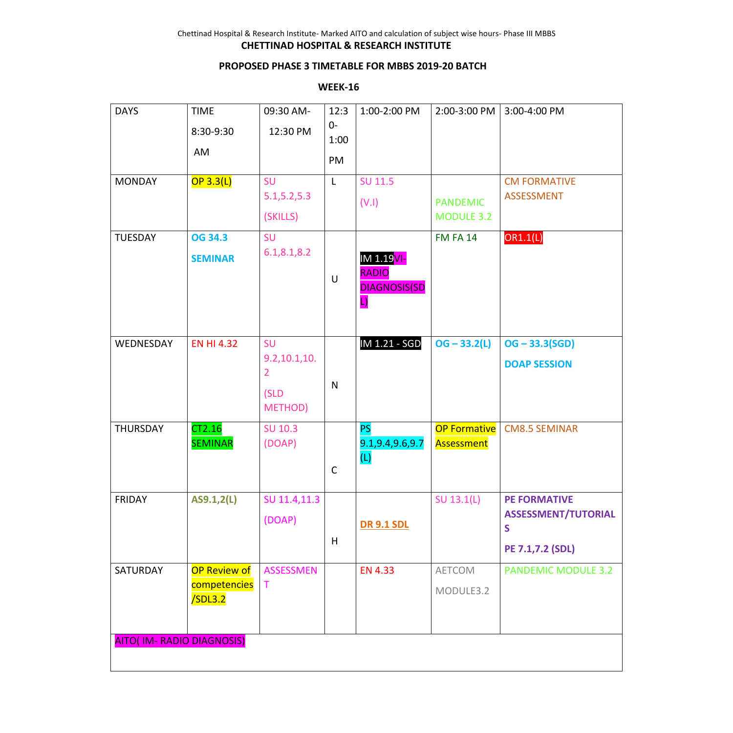# **PROPOSED PHASE 3 TIMETABLE FOR MBBS 2019-20 BATCH**

| <b>DAYS</b>                       | <b>TIME</b><br>8:30-9:30<br>AM                | 09:30 AM-<br>12:30 PM                                            | 12:3<br>$0 -$<br>1:00<br>PM | 1:00-2:00 PM                                                    | 2:00-3:00 PM                         | 3:00-4:00 PM                                                                      |
|-----------------------------------|-----------------------------------------------|------------------------------------------------------------------|-----------------------------|-----------------------------------------------------------------|--------------------------------------|-----------------------------------------------------------------------------------|
| <b>MONDAY</b>                     | OP $3.3(L)$                                   | <b>SU</b><br>5.1, 5.2, 5.3<br>(SKILLS)                           | $\mathsf{L}%$               | <b>SU 11.5</b><br>(V.1)                                         | <b>PANDEMIC</b><br><b>MODULE 3.2</b> | <b>CM FORMATIVE</b><br><b>ASSESSMENT</b>                                          |
| <b>TUESDAY</b>                    | <b>OG 34.3</b><br><b>SEMINAR</b>              | SU<br>6.1,8.1,8.2                                                | $\cup$                      | IM 1.19 <mark>VI-</mark><br><b>RADIO</b><br><b>DIAGNOSIS(SD</b> | <b>FM FA 14</b>                      | OR1.1(L)                                                                          |
| WEDNESDAY                         | <b>EN HI 4.32</b>                             | SU<br>9.2, 10.1, 10.<br>$\overline{2}$<br>(SLD<br><b>METHOD)</b> | N                           | IM 1.21 - SGD                                                   | $OG - 33.2(L)$                       | $OG - 33.3(SGD)$<br><b>DOAP SESSION</b>                                           |
| <b>THURSDAY</b>                   | CT2.16<br><b>SEMINAR</b>                      | <b>SU 10.3</b><br>(DOAP)                                         | $\mathsf{C}$                | <b>PS</b><br>9.1,9.4,9.6,9.7<br>(L)                             | <b>OP Formative</b><br>Assessment    | <b>CM8.5 SEMINAR</b>                                                              |
| <b>FRIDAY</b>                     | AS9.1,2(L)                                    | SU 11.4,11.3<br>(DOAP)                                           | H                           | <b>DR 9.1 SDL</b>                                               | SU $13.1(L)$                         | <b>PE FORMATIVE</b><br><b>ASSESSMENT/TUTORIAL</b><br>S<br><b>PE 7.1,7.2 (SDL)</b> |
| <b>SATURDAY</b>                   | <b>OP Review of</b><br>competencies<br>SDL3.2 | <b>ASSESSMEN</b><br>Τ                                            |                             | <b>EN 4.33</b>                                                  | <b>AETCOM</b><br>MODULE3.2           | <b>PANDEMIC MODULE 3.2</b>                                                        |
| <b>AITO( IM- RADIO DIAGNOSIS)</b> |                                               |                                                                  |                             |                                                                 |                                      |                                                                                   |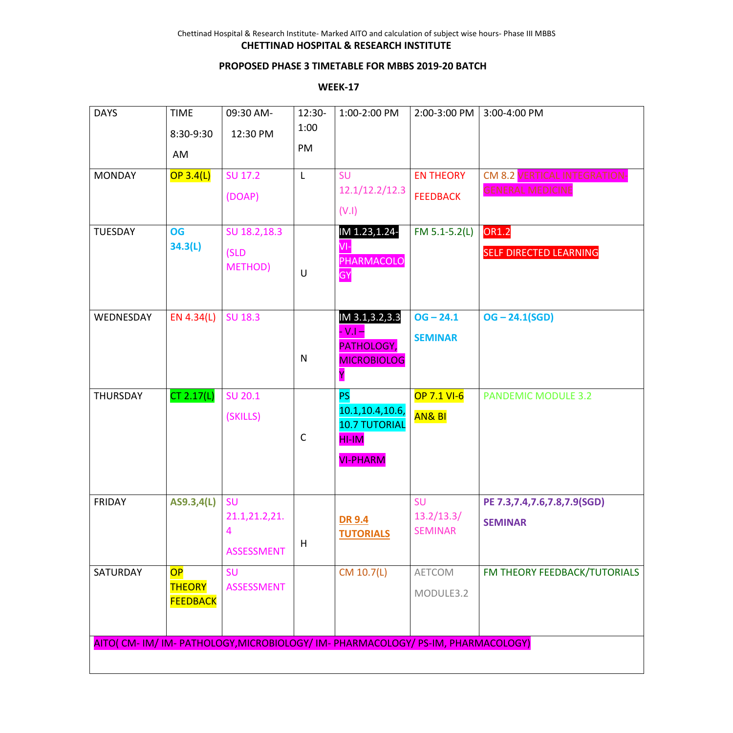# **PROPOSED PHASE 3 TIMETABLE FOR MBBS 2019-20 BATCH**

| <b>DAYS</b>     | <b>TIME</b>     | 09:30 AM-         | 12:30-       | 1:00-2:00 PM                                                                      | 2:00-3:00 PM      | 3:00-4:00 PM                        |
|-----------------|-----------------|-------------------|--------------|-----------------------------------------------------------------------------------|-------------------|-------------------------------------|
|                 | 8:30-9:30       | 12:30 PM          | 1:00         |                                                                                   |                   |                                     |
|                 | AM              |                   | PM           |                                                                                   |                   |                                     |
|                 |                 |                   |              |                                                                                   |                   |                                     |
| <b>MONDAY</b>   | $OP$ 3.4(L)     | <b>SU 17.2</b>    | $\mathsf{L}$ | <b>SU</b>                                                                         | <b>EN THEORY</b>  | <b>CM 8.2 VERTICAL INTEGRATION-</b> |
|                 |                 | (DOAP)            |              | 12.1/12.2/12.3                                                                    | <b>FEEDBACK</b>   | <b>GENERAL MEDICINE</b>             |
|                 |                 |                   |              | (V.1)                                                                             |                   |                                     |
| <b>TUESDAY</b>  | <b>OG</b>       | SU 18.2,18.3      |              | IM 1.23,1.24-                                                                     | $FM 5.1 - 5.2(L)$ | <b>OR1.2</b>                        |
|                 | 34.3(L)         | (SLD              |              | IVI-                                                                              |                   | <b>SELF DIRECTED LEARNING</b>       |
|                 |                 | <b>METHOD</b> )   |              | PHARMACOLO                                                                        |                   |                                     |
|                 |                 |                   | U            | <b>GY</b>                                                                         |                   |                                     |
|                 |                 |                   |              |                                                                                   |                   |                                     |
| WEDNESDAY       | $EN$ 4.34(L)    | <b>SU 18.3</b>    |              | IM 3.1, 3.2, 3.3                                                                  | $OG - 24.1$       | $OG - 24.1(SGD)$                    |
|                 |                 |                   |              | $-V.I -$                                                                          | <b>SEMINAR</b>    |                                     |
|                 |                 |                   |              | PATHOLOGY,                                                                        |                   |                                     |
|                 |                 |                   | $\mathsf{N}$ | <b>MICROBIOLOG</b>                                                                |                   |                                     |
|                 |                 |                   |              |                                                                                   |                   |                                     |
| <b>THURSDAY</b> | CT 2.17(L)      | <b>SU 20.1</b>    |              | <b>PS</b>                                                                         | OP 7.1 VI-6       | <b>PANDEMIC MODULE 3.2</b>          |
|                 |                 | (SKILLS)          |              | 10.1,10.4,10.6,                                                                   | <b>AN&amp; BI</b> |                                     |
|                 |                 |                   | $\mathsf{C}$ | <b>10.7 TUTORIAL</b>                                                              |                   |                                     |
|                 |                 |                   |              | HI-IM                                                                             |                   |                                     |
|                 |                 |                   |              | <b>VI-PHARM</b>                                                                   |                   |                                     |
|                 |                 |                   |              |                                                                                   |                   |                                     |
| <b>FRIDAY</b>   | AS9.3,4(L)      | <b>SU</b>         |              |                                                                                   | <b>SU</b>         | PE 7.3, 7.4, 7.6, 7.8, 7.9 (SGD)    |
|                 |                 | 21.1,21.2,21.     |              | <b>DR 9.4</b>                                                                     | 13.2/13.3/        | <b>SEMINAR</b>                      |
|                 |                 | 4                 |              | <b>TUTORIALS</b>                                                                  | <b>SEMINAR</b>    |                                     |
|                 |                 | <b>ASSESSMENT</b> | H            |                                                                                   |                   |                                     |
| <b>SATURDAY</b> | <b>OP</b>       | <b>SU</b>         |              | CM 10.7(L)                                                                        | <b>AETCOM</b>     | FM THEORY FEEDBACK/TUTORIALS        |
|                 | <b>THEORY</b>   | <b>ASSESSMENT</b> |              |                                                                                   | MODULE3.2         |                                     |
|                 | <b>FEEDBACK</b> |                   |              |                                                                                   |                   |                                     |
|                 |                 |                   |              |                                                                                   |                   |                                     |
|                 |                 |                   |              | AITO( CM- IM/ IM- PATHOLOGY, MICROBIOLOGY/ IM- PHARMACOLOGY/ PS-IM, PHARMACOLOGY) |                   |                                     |
|                 |                 |                   |              |                                                                                   |                   |                                     |
|                 |                 |                   |              |                                                                                   |                   |                                     |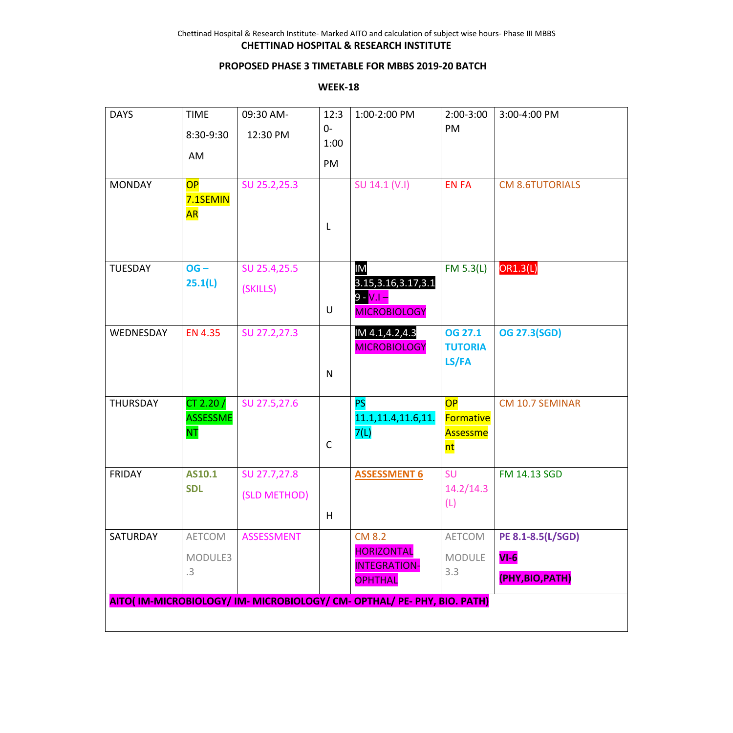# **PROPOSED PHASE 3 TIMETABLE FOR MBBS 2019-20 BATCH**

| <b>DAYS</b>     | <b>TIME</b>                                   | 09:30 AM-                    | 12:3         | 1:00-2:00 PM                                                                        | 2:00-3:00                                 | 3:00-4:00 PM                                    |
|-----------------|-----------------------------------------------|------------------------------|--------------|-------------------------------------------------------------------------------------|-------------------------------------------|-------------------------------------------------|
|                 | 8:30-9:30                                     | 12:30 PM                     | $0-$<br>1:00 |                                                                                     | PM                                        |                                                 |
|                 | AM                                            |                              | PM           |                                                                                     |                                           |                                                 |
| <b>MONDAY</b>   | OP<br>7.1SEMIN                                | SU 25.2,25.3                 |              | SU 14.1 (V.I)                                                                       | <b>EN FA</b>                              | <b>CM 8.6TUTORIALS</b>                          |
|                 | <b>AR</b>                                     |                              | L            |                                                                                     |                                           |                                                 |
| <b>TUESDAY</b>  | $OG -$<br>25.1(L)                             | SU 25.4,25.5<br>(SKILLS)     | U            | <b>IM</b><br>3.15, 3.16, 3.17, 3.1<br>9 - <mark>V.I –</mark><br><b>MICROBIOLOGY</b> | FM 5.3(L)                                 | <b>OR1.3(L)</b>                                 |
| WEDNESDAY       | <b>EN 4.35</b>                                | SU 27.2,27.3                 | $\mathsf{N}$ | IM 4.1,4.2,4.3<br><b>MICROBIOLOGY</b>                                               | <b>OG 27.1</b><br><b>TUTORIA</b><br>LS/FA | <b>OG 27.3(SGD)</b>                             |
| <b>THURSDAY</b> | $CT$ 2.20 $/$<br><b>ASSESSME</b><br><b>NT</b> | SU 27.5,27.6                 | $\mathsf C$  | <b>PS</b><br>11.1,11.4,11.6,11.<br>7(L)                                             | <b>OP</b><br>Formative<br>Assessme<br>nt  | <b>CM 10.7 SEMINAR</b>                          |
| <b>FRIDAY</b>   | AS10.1<br><b>SDL</b>                          | SU 27.7,27.8<br>(SLD METHOD) | H            | <b>ASSESSMENT 6</b>                                                                 | <b>SU</b><br>14.2/14.3<br>(L)             | <b>FM 14.13 SGD</b>                             |
| <b>SATURDAY</b> | <b>AETCOM</b><br>MODULE3<br>.3                | <b>ASSESSMENT</b>            |              | <b>CM 8.2</b><br><b>HORIZONTAL</b><br><b>INTEGRATION-</b><br><b>OPHTHAL</b>         | <b>AETCOM</b><br><b>MODULE</b><br>3.3     | PE 8.1-8.5(L/SGD)<br>$VI-6$<br>(PHY, BIO, PATH) |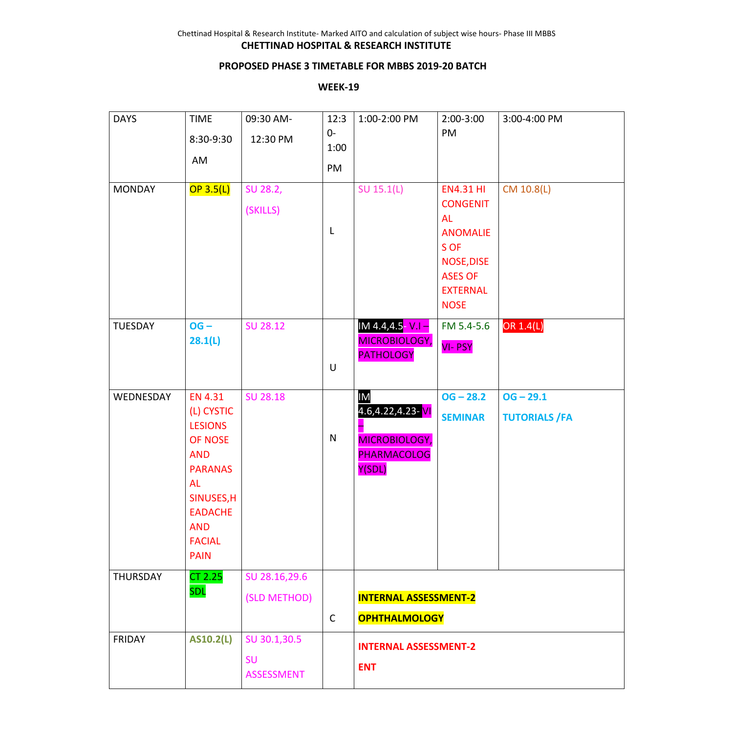# **PROPOSED PHASE 3 TIMETABLE FOR MBBS 2019-20 BATCH**

| <b>DAYS</b>     | <b>TIME</b><br>8:30-9:30<br>AM                                                                                                                                                       | 09:30 AM-<br>12:30 PM                   | 12:3<br>$0-$<br>1:00<br>PM | 1:00-2:00 PM                                                                                 | $2:00-3:00$<br>PM                                                                                                                                    | 3:00-4:00 PM                         |  |
|-----------------|--------------------------------------------------------------------------------------------------------------------------------------------------------------------------------------|-----------------------------------------|----------------------------|----------------------------------------------------------------------------------------------|------------------------------------------------------------------------------------------------------------------------------------------------------|--------------------------------------|--|
| <b>MONDAY</b>   | $OP$ 3.5(L)                                                                                                                                                                          | SU 28.2,<br>(SKILLS)                    | L                          | SU 15.1(L)                                                                                   | <b>EN4.31 HI</b><br><b>CONGENIT</b><br><b>AL</b><br><b>ANOMALIE</b><br>S OF<br><b>NOSE, DISE</b><br><b>ASES OF</b><br><b>EXTERNAL</b><br><b>NOSE</b> | CM 10.8(L)                           |  |
| <b>TUESDAY</b>  | $OG -$<br>28.1(L)                                                                                                                                                                    | <b>SU 28.12</b>                         | $\bigcup$                  | $\overline{IM}$ 4.4,4.5- $\overline{VI}$ -<br>MICROBIOLOGY,<br><b>PATHOLOGY</b>              | FM 5.4-5.6<br>VI-PSY                                                                                                                                 | OR 1.4(L)                            |  |
| WEDNESDAY       | <b>EN 4.31</b><br>(L) CYSTIC<br><b>LESIONS</b><br>OF NOSE<br><b>AND</b><br><b>PARANAS</b><br><b>AL</b><br>SINUSES, H<br><b>EADACHE</b><br><b>AND</b><br><b>FACIAL</b><br><b>PAIN</b> | <b>SU 28.18</b>                         | N                          | <b>IM</b><br>4.6,4.22,4.23- <mark>VI</mark><br>MICROBIOLOGY,<br><b>PHARMACOLOG</b><br>Y(SDL) | $OG - 28.2$<br><b>SEMINAR</b>                                                                                                                        | $OG - 29.1$<br><b>TUTORIALS / FA</b> |  |
| <b>THURSDAY</b> | <b>CT 2.25</b><br><b>SDL</b>                                                                                                                                                         | SU 28.16,29.6<br>(SLD METHOD)           | $\mathsf{C}$               | <b>INTERNAL ASSESSMENT-2</b><br><b>OPHTHALMOLOGY</b>                                         |                                                                                                                                                      |                                      |  |
| <b>FRIDAY</b>   | <b>AS10.2(L)</b>                                                                                                                                                                     | SU 30.1,30.5<br>SU<br><b>ASSESSMENT</b> |                            | <b>INTERNAL ASSESSMENT-2</b><br><b>ENT</b>                                                   |                                                                                                                                                      |                                      |  |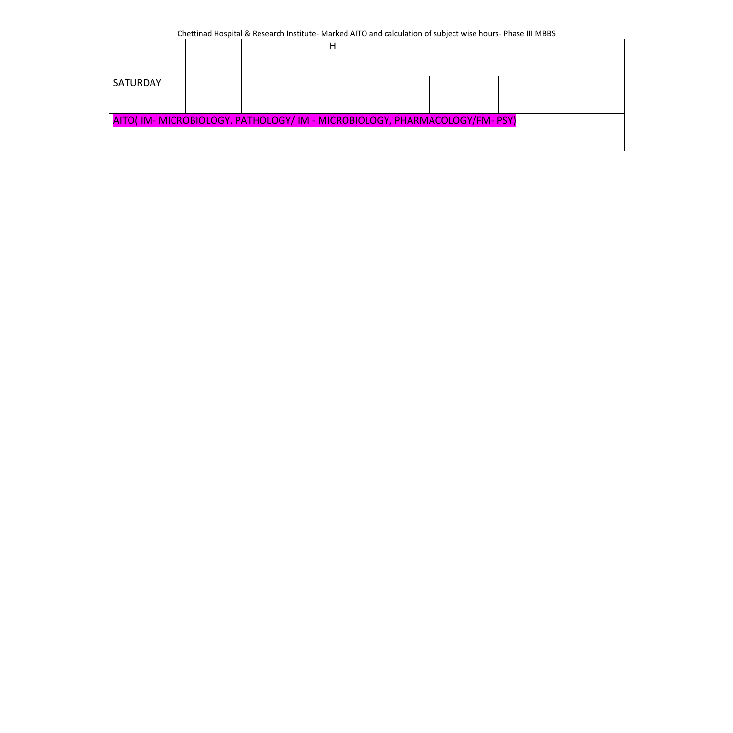|                                                                         |  |  | H |  |  |  |  |  |
|-------------------------------------------------------------------------|--|--|---|--|--|--|--|--|
|                                                                         |  |  |   |  |  |  |  |  |
| <b>SATURDAY</b>                                                         |  |  |   |  |  |  |  |  |
|                                                                         |  |  |   |  |  |  |  |  |
| AITO(IM-MICROBIOLOGY. PATHOLOGY/IM - MICROBIOLOGY, PHARMACOLOGY/FM-PSY) |  |  |   |  |  |  |  |  |
|                                                                         |  |  |   |  |  |  |  |  |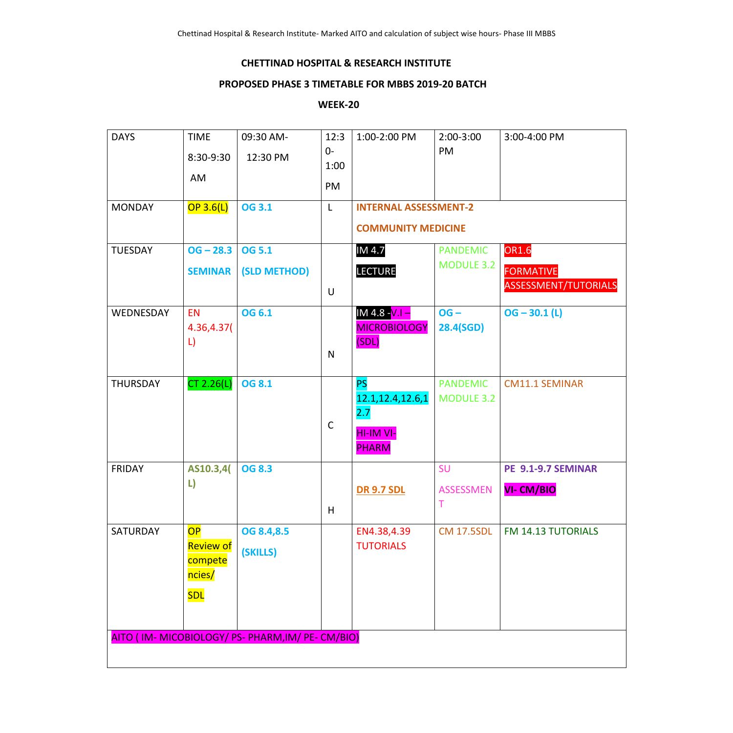# **CHETTINAD HOSPITAL & RESEARCH INSTITUTE**

#### **PROPOSED PHASE 3 TIMETABLE FOR MBBS 2019-20 BATCH**

| <b>DAYS</b><br><b>MONDAY</b> | <b>TIME</b><br>8:30-9:30<br>AM<br>$OP$ 3.6(L) | 09:30 AM-<br>12:30 PM<br><b>OG 3.1</b>            | 12:3<br>$0-$<br>1:00<br>PM<br>L | 1:00-2:00 PM<br><b>INTERNAL ASSESSMENT-2</b><br><b>COMMUNITY MEDICINE</b> | $2:00-3:00$<br>PM             | 3:00-4:00 PM                             |
|------------------------------|-----------------------------------------------|---------------------------------------------------|---------------------------------|---------------------------------------------------------------------------|-------------------------------|------------------------------------------|
|                              |                                               |                                                   |                                 |                                                                           |                               |                                          |
| <b>TUESDAY</b>               | $OG - 28.3$                                   | <b>OG 5.1</b>                                     |                                 | IM 4.7                                                                    | <b>PANDEMIC</b><br>MODULE 3.2 | <b>OR1.6</b>                             |
|                              | <b>SEMINAR</b>                                | (SLD METHOD)                                      | $\cup$                          | <b>LECTURE</b>                                                            |                               | <b>FORMATIVE</b><br>ASSESSMENT/TUTORIALS |
| WEDNESDAY                    | <b>EN</b>                                     | <b>OG 6.1</b>                                     |                                 | IM 4.8 - <mark>V.I –</mark>                                               | $OG -$                        | $OG - 30.1 (L)$                          |
|                              | 4.36,4.37(                                    |                                                   |                                 | <b>MICROBIOLOGY</b>                                                       | 28.4(SGD)                     |                                          |
|                              | L)                                            |                                                   | $\mathsf{N}$                    | (SDL)                                                                     |                               |                                          |
| <b>THURSDAY</b>              | $CT$ 2.26(L)                                  | <b>OG 8.1</b>                                     |                                 | <b>PS</b>                                                                 | <b>PANDEMIC</b>               | <b>CM11.1 SEMINAR</b>                    |
|                              |                                               |                                                   |                                 | 12.1, 12.4, 12.6, 1                                                       | <b>MODULE 3.2</b>             |                                          |
|                              |                                               |                                                   | $\mathsf C$                     | 2.7<br>HI-IM VI-                                                          |                               |                                          |
|                              |                                               |                                                   |                                 | <b>PHARM</b>                                                              |                               |                                          |
| <b>FRIDAY</b>                | AS10.3,4(                                     | <b>OG 8.3</b>                                     |                                 |                                                                           | SU                            | PE 9.1-9.7 SEMINAR                       |
|                              | L)                                            |                                                   |                                 | <b>DR 9.7 SDL</b>                                                         | <b>ASSESSMEN</b>              | <b>VI-CM/BIO</b>                         |
|                              |                                               |                                                   | $\mathsf{H}$                    |                                                                           | Τ                             |                                          |
| <b>SATURDAY</b>              | <b>OP</b>                                     | OG 8.4,8.5                                        |                                 | EN4.38,4.39                                                               | <b>CM 17.5SDL</b>             | FM 14.13 TUTORIALS                       |
|                              | <b>Review of</b>                              | (SKILLS)                                          |                                 | <b>TUTORIALS</b>                                                          |                               |                                          |
|                              | compete                                       |                                                   |                                 |                                                                           |                               |                                          |
|                              | ncies/                                        |                                                   |                                 |                                                                           |                               |                                          |
|                              | <b>SDL</b>                                    |                                                   |                                 |                                                                           |                               |                                          |
|                              |                                               |                                                   |                                 |                                                                           |                               |                                          |
|                              |                                               | AITO (IM- MICOBIOLOGY/ PS- PHARM, IM/ PE- CM/BIO) |                                 |                                                                           |                               |                                          |
|                              |                                               |                                                   |                                 |                                                                           |                               |                                          |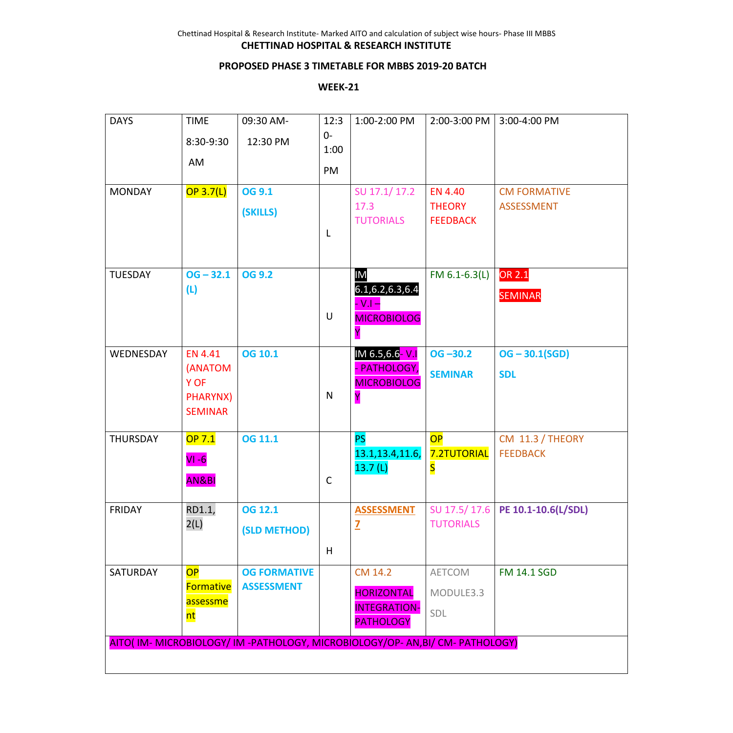# **PROPOSED PHASE 3 TIMETABLE FOR MBBS 2019-20 BATCH**

| <b>DAYS</b>     | <b>TIME</b><br>8:30-9:30<br>AM                                  | 09:30 AM-<br>12:30 PM                                                    | 12:3<br>$O -$<br>1:00 | 1:00-2:00 PM                                                                   | 2:00-3:00 PM                                                                                                                                                             | 3:00-4:00 PM                             |
|-----------------|-----------------------------------------------------------------|--------------------------------------------------------------------------|-----------------------|--------------------------------------------------------------------------------|--------------------------------------------------------------------------------------------------------------------------------------------------------------------------|------------------------------------------|
|                 |                                                                 |                                                                          | PM                    |                                                                                |                                                                                                                                                                          |                                          |
| <b>MONDAY</b>   | $OP$ 3.7(L)                                                     | <b>OG 9.1</b><br>(SKILLS)                                                | L                     | SU 17.1/17.2<br>17.3<br><b>TUTORIALS</b>                                       | <b>EN 4.40</b><br><b>THEORY</b><br><b>FEEDBACK</b>                                                                                                                       | <b>CM FORMATIVE</b><br><b>ASSESSMENT</b> |
| <b>TUESDAY</b>  | $OG - 32.1$<br>(L)                                              | <b>OG 9.2</b>                                                            | U                     | <b>IM</b><br>6.1, 6.2, 6.3, 6.4<br>$-$ V.I $-$<br><b>MICROBIOLOG</b>           | FM $6.1 - 6.3(L)$                                                                                                                                                        | OR 2.1<br><b>SEMINAR</b>                 |
| WEDNESDAY       | <b>EN 4.41</b><br>(ANATOM<br>Y OF<br>PHARYNX)<br><b>SEMINAR</b> | <b>OG 10.1</b>                                                           | $\mathsf{N}$          | IM 6.5,6.6 <mark>- V.I</mark><br>PATHOLOGY,<br><b>MICROBIOLOG</b>              | $OG - 30.2$<br><b>SEMINAR</b>                                                                                                                                            | $OG - 30.1(SGD)$<br><b>SDL</b>           |
| <b>THURSDAY</b> | OP 7.1<br>$VI - 6$<br>AN&BI                                     | <b>OG 11.1</b>                                                           | $\mathsf{C}$          | <b>PS</b><br>13.1, 13.4, 11.6,<br>13.7(L)                                      | <b>OP</b><br>7.2TUTORIAL<br>$\mathsf{S}% _{t}\left( t\right) \equiv\mathsf{S}_{t}\left( t\right) ,\ \mathsf{S}_{t}\left( t\right) \equiv\mathsf{S}_{t}\left( t\right) ,$ | CM 11.3 / THEORY<br><b>FEEDBACK</b>      |
| <b>FRIDAY</b>   | RD1.1,<br>2(L)                                                  | <b>OG 12.1</b><br>(SLD METHOD)                                           | H                     | <b>ASSESSMENT</b><br><u>7</u>                                                  | SU 17.5/17.6<br><b>TUTORIALS</b>                                                                                                                                         | PE 10.1-10.6(L/SDL)                      |
| <b>SATURDAY</b> | OP<br>Formative<br>assessme<br>nt                               | <b>OG FORMATIVE</b><br><b>ASSESSMENT</b>                                 |                       | <b>CM 14.2</b><br><b>HORIZONTAL</b><br><b>INTEGRATION-</b><br><b>PATHOLOGY</b> | <b>AETCOM</b><br>MODULE3.3<br>SDL                                                                                                                                        | <b>FM 14.1 SGD</b>                       |
|                 |                                                                 | AITO(IM-MICROBIOLOGY/IM-PATHOLOGY, MICROBIOLOGY/OP-AN, BI/ CM-PATHOLOGY) |                       |                                                                                |                                                                                                                                                                          |                                          |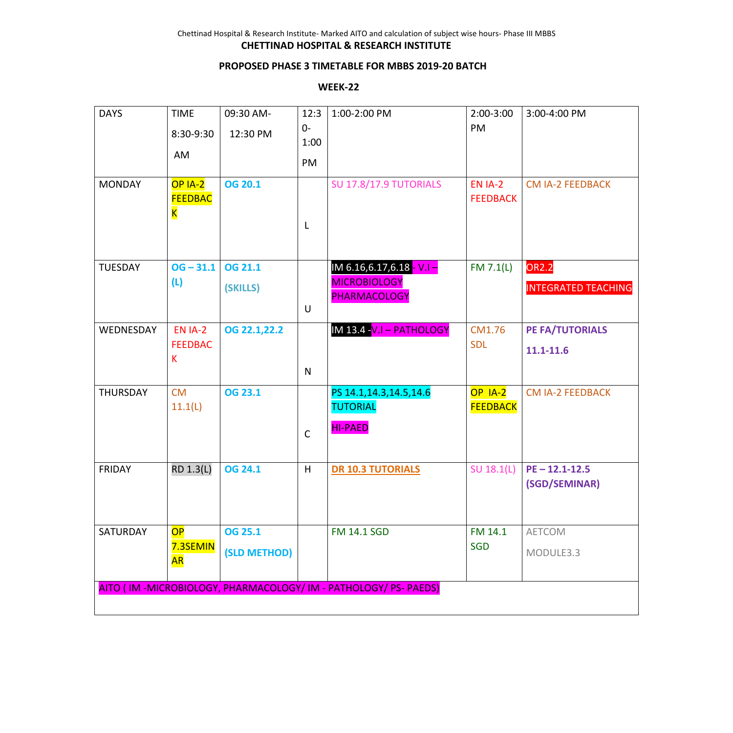# **PROPOSED PHASE 3 TIMETABLE FOR MBBS 2019-20 BATCH**

| <b>DAYS</b>     | <b>TIME</b>               | 09:30 AM-      | 12:3         | 1:00-2:00 PM                                                   | $2:00-3:00$                       | 3:00-4:00 PM               |
|-----------------|---------------------------|----------------|--------------|----------------------------------------------------------------|-----------------------------------|----------------------------|
|                 | 8:30-9:30                 | 12:30 PM       | $0-$<br>1:00 |                                                                | PM                                |                            |
|                 | AM                        |                | PM           |                                                                |                                   |                            |
|                 |                           |                |              |                                                                |                                   |                            |
| <b>MONDAY</b>   | OP IA-2<br><b>FEEDBAC</b> | <b>OG 20.1</b> |              | <b>SU 17.8/17.9 TUTORIALS</b>                                  | <b>EN IA-2</b><br><b>FEEDBACK</b> | <b>CM IA-2 FEEDBACK</b>    |
|                 | <mark>K</mark>            |                |              |                                                                |                                   |                            |
|                 |                           |                | L            |                                                                |                                   |                            |
|                 |                           |                |              |                                                                |                                   |                            |
| <b>TUESDAY</b>  | $OG - 31.1$               | <b>OG 21.1</b> |              | IM 6.16,6.17,6.18 - V.I-                                       | FM 7.1(L)                         | <b>OR2.2</b>               |
|                 | (L)                       | (SKILLS)       |              | <b>MICROBIOLOGY</b><br><b>PHARMACOLOGY</b>                     |                                   | <b>INTEGRATED TEACHING</b> |
|                 |                           |                | $\cup$       |                                                                |                                   |                            |
| WEDNESDAY       | EN IA-2                   | OG 22.1,22.2   |              | IM 13.4 - V.I - PATHOLOGY                                      | <b>CM1.76</b>                     | PE FA/TUTORIALS            |
|                 | <b>FEEDBAC</b>            |                |              |                                                                | <b>SDL</b>                        | 11.1-11.6                  |
|                 | K                         |                | $\mathsf{N}$ |                                                                |                                   |                            |
| <b>THURSDAY</b> | <b>CM</b>                 | <b>OG 23.1</b> |              | PS 14.1, 14.3, 14.5, 14.6                                      | OP IA-2                           | <b>CM IA-2 FEEDBACK</b>    |
|                 | 11.1(L)                   |                |              | <b>TUTORIAL</b>                                                | <b>FEEDBACK</b>                   |                            |
|                 |                           |                | $\mathsf C$  | <b>HI-PAED</b>                                                 |                                   |                            |
|                 |                           |                |              |                                                                |                                   |                            |
| <b>FRIDAY</b>   | RD 1.3(L)                 | <b>OG 24.1</b> | H            | <b>DR 10.3 TUTORIALS</b>                                       | SU 18.1(L)                        | $PE - 12.1 - 12.5$         |
|                 |                           |                |              |                                                                |                                   | (SGD/SEMINAR)              |
|                 |                           |                |              |                                                                |                                   |                            |
| <b>SATURDAY</b> | <b>OP</b>                 | <b>OG 25.1</b> |              | <b>FM 14.1 SGD</b>                                             | FM 14.1                           | <b>AETCOM</b>              |
|                 | 7.3SEMIN                  | (SLD METHOD)   |              |                                                                | <b>SGD</b>                        | MODULE3.3                  |
|                 | <b>AR</b>                 |                |              |                                                                |                                   |                            |
|                 |                           |                |              | AITO (IM-MICROBIOLOGY, PHARMACOLOGY/IM - PATHOLOGY/ PS- PAEDS) |                                   |                            |
|                 |                           |                |              |                                                                |                                   |                            |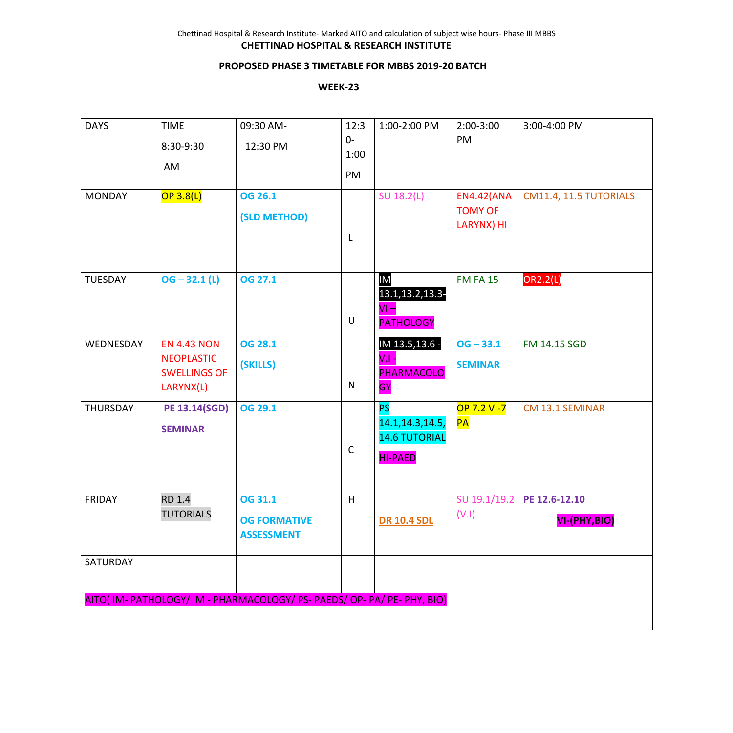# **PROPOSED PHASE 3 TIMETABLE FOR MBBS 2019-20 BATCH**

| <b>DAYS</b><br><b>MONDAY</b> | <b>TIME</b><br>8:30-9:30<br>AM                                              | 09:30 AM-<br>12:30 PM<br><b>OG 26.1</b>                       | 12:3<br>$0 -$<br>1:00<br>PM | 1:00-2:00 PM                                                             | $2:00-3:00$<br>PM                                 | 3:00-4:00 PM                  |
|------------------------------|-----------------------------------------------------------------------------|---------------------------------------------------------------|-----------------------------|--------------------------------------------------------------------------|---------------------------------------------------|-------------------------------|
|                              | $OP$ 3.8(L)                                                                 | (SLD METHOD)                                                  | L                           | SU 18.2(L)                                                               | <b>EN4.42(ANA</b><br><b>TOMY OF</b><br>LARYNX) HI | CM11.4, 11.5 TUTORIALS        |
| <b>TUESDAY</b>               | $OG - 32.1 (L)$                                                             | <b>OG 27.1</b>                                                | $\bigcup$                   | <b>IM</b><br>13.1, 13.2, 13.3-<br>$VI -$<br><b>PATHOLOGY</b>             | <b>FM FA 15</b>                                   | <b>OR2.2(L)</b>               |
| WEDNESDAY                    | <b>EN 4.43 NON</b><br><b>NEOPLASTIC</b><br><b>SWELLINGS OF</b><br>LARYNX(L) | <b>OG 28.1</b><br>(SKILLS)                                    | N                           | IM 13.5,13.6 -<br>$V.I -$<br><b>PHARMACOLO</b><br><b>GY</b>              | $OG - 33.1$<br><b>SEMINAR</b>                     | <b>FM 14.15 SGD</b>           |
| <b>THURSDAY</b>              | <b>PE 13.14(SGD)</b><br><b>SEMINAR</b>                                      | OG 29.1                                                       | $\mathsf C$                 | <b>PS</b><br>14.1, 14.3, 14.5,<br><b>14.6 TUTORIAL</b><br><b>HI-PAED</b> | <b>OP 7.2 VI-7</b><br><b>PA</b>                   | CM 13.1 SEMINAR               |
| <b>FRIDAY</b>                | <b>RD 1.4</b><br><b>TUTORIALS</b>                                           | <b>OG 31.1</b><br><b>OG FORMATIVE</b><br><b>ASSESSMENT</b>    | H                           | <b>DR 10.4 SDL</b>                                                       | SU 19.1/19.2<br>(V.1)                             | PE 12.6-12.10<br>VI-(PHY,BIO) |
| <b>SATURDAY</b>              |                                                                             |                                                               |                             |                                                                          |                                                   |                               |
|                              |                                                                             | AITO(IM-PATHOLOGY/IM-PHARMACOLOGY/PS-PAEDS/OP-PA/PE-PHY, BIO) |                             |                                                                          |                                                   |                               |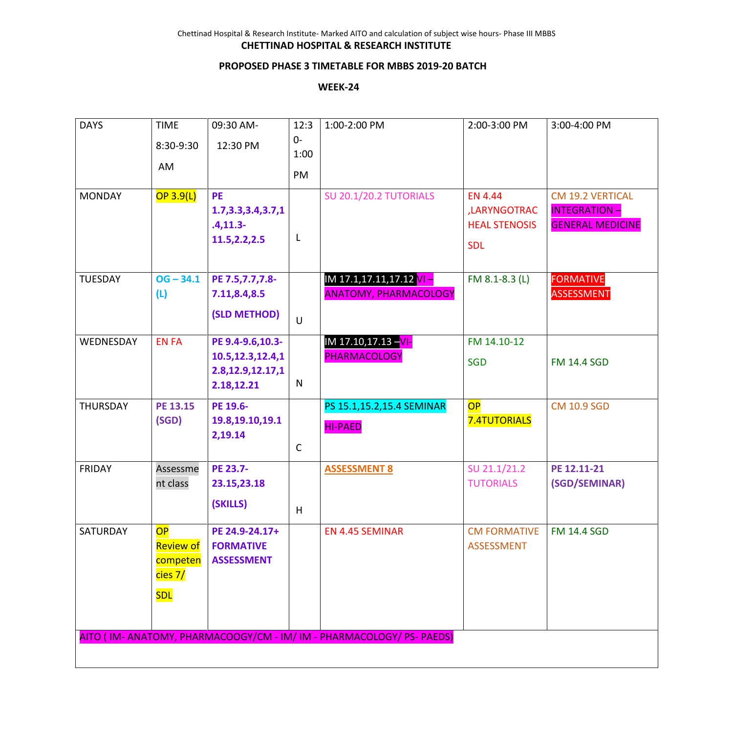# **PROPOSED PHASE 3 TIMETABLE FOR MBBS 2019-20 BATCH**

| <b>DAYS</b>     | <b>TIME</b>         | 09:30 AM-                         | 12:3         | 1:00-2:00 PM                                                        | 2:00-3:00 PM                         | 3:00-4:00 PM                                    |
|-----------------|---------------------|-----------------------------------|--------------|---------------------------------------------------------------------|--------------------------------------|-------------------------------------------------|
|                 | 8:30-9:30           | 12:30 PM                          | $0 -$        |                                                                     |                                      |                                                 |
|                 | AM                  |                                   | 1:00         |                                                                     |                                      |                                                 |
|                 |                     |                                   | <b>PM</b>    |                                                                     |                                      |                                                 |
| <b>MONDAY</b>   | $OP$ 3.9(L)         | <b>PE</b>                         |              | <b>SU 20.1/20.2 TUTORIALS</b>                                       | <b>EN 4.44</b>                       | <b>CM 19.2 VERTICAL</b>                         |
|                 |                     | 1.7,3.3,3.4,3.7,1<br>$.4,11.3-$   |              |                                                                     | ,LARYNGOTRAC<br><b>HEAL STENOSIS</b> | <b>INTEGRATION -</b><br><b>GENERAL MEDICINE</b> |
|                 |                     | 11.5, 2.2, 2.5                    | L            |                                                                     |                                      |                                                 |
|                 |                     |                                   |              |                                                                     | <b>SDL</b>                           |                                                 |
| <b>TUESDAY</b>  | $OG - 34.1$         | PE 7.5,7.7,7.8-                   |              | IM 17.1,17.11,17.12 <mark>VI-</mark>                                | FM 8.1-8.3 (L)                       | <b>FORMATIVE</b>                                |
|                 | (L)                 | 7.11,8.4,8.5                      |              | <b>ANATOMY, PHARMACOLOGY</b>                                        |                                      | <b>ASSESSMENT</b>                               |
|                 |                     | (SLD METHOD)                      | $\cup$       |                                                                     |                                      |                                                 |
| WEDNESDAY       | <b>EN FA</b>        | PE 9.4-9.6,10.3-                  |              | IM 17.10,17.13 -VI-                                                 | FM 14.10-12                          |                                                 |
|                 |                     | 10.5, 12.3, 12.4, 1               |              | <b>PHARMACOLOGY</b>                                                 | <b>SGD</b>                           | <b>FM 14.4 SGD</b>                              |
|                 |                     | 2.8, 12.9, 12.17, 1<br>2.18,12.21 | N            |                                                                     |                                      |                                                 |
| <b>THURSDAY</b> | <b>PE 13.15</b>     | PE 19.6-                          |              | PS 15.1,15.2,15.4 SEMINAR                                           | <b>OP</b>                            | <b>CM 10.9 SGD</b>                              |
|                 | (SGD)               | 19.8, 19.10, 19.1                 |              |                                                                     | <b>7.4TUTORIALS</b>                  |                                                 |
|                 |                     | 2,19.14                           |              | <b>HI-PAED</b>                                                      |                                      |                                                 |
|                 |                     |                                   | $\mathsf{C}$ |                                                                     |                                      |                                                 |
| FRIDAY          | Assessme            | PE 23.7-                          |              | <b>ASSESSMENT 8</b>                                                 | SU 21.1/21.2                         | PE 12.11-21                                     |
|                 | nt class            | 23.15,23.18                       |              |                                                                     | <b>TUTORIALS</b>                     | (SGD/SEMINAR)                                   |
|                 |                     | (SKILLS)                          | H            |                                                                     |                                      |                                                 |
| <b>SATURDAY</b> | OP                  | PE 24.9-24.17+                    |              | <b>EN 4.45 SEMINAR</b>                                              | <b>CM FORMATIVE</b>                  | <b>FM 14.4 SGD</b>                              |
|                 | <b>Review of</b>    | <b>FORMATIVE</b>                  |              |                                                                     | <b>ASSESSMENT</b>                    |                                                 |
|                 | competen<br>cies 7/ | <b>ASSESSMENT</b>                 |              |                                                                     |                                      |                                                 |
|                 | <b>SDL</b>          |                                   |              |                                                                     |                                      |                                                 |
|                 |                     |                                   |              |                                                                     |                                      |                                                 |
|                 |                     |                                   |              |                                                                     |                                      |                                                 |
|                 |                     |                                   |              | AITO (IM-ANATOMY, PHARMACOOGY/CM - IM/IM - PHARMACOLOGY/ PS- PAEDS) |                                      |                                                 |
|                 |                     |                                   |              |                                                                     |                                      |                                                 |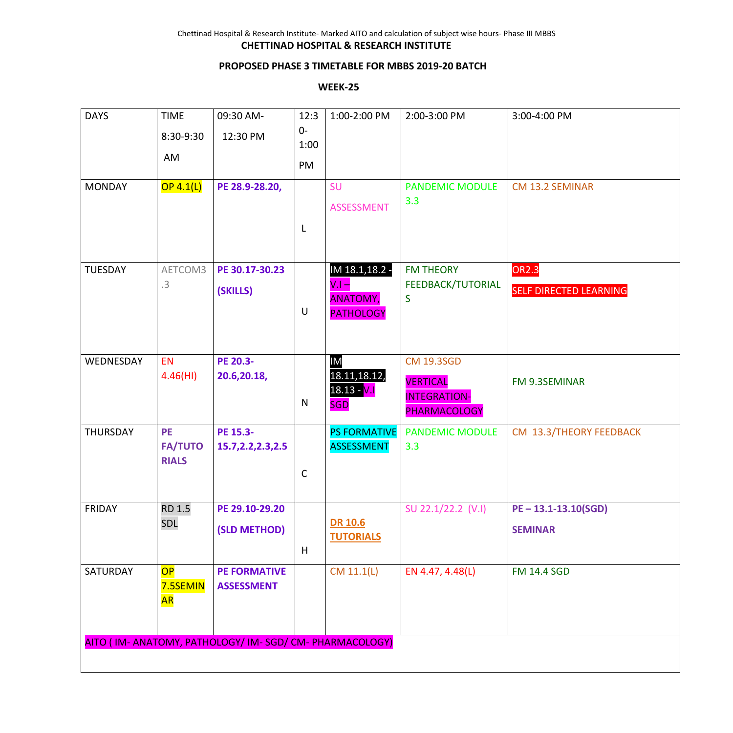# **PROPOSED PHASE 3 TIMETABLE FOR MBBS 2019-20 BATCH**

| <b>DAYS</b>     | <b>TIME</b>                 | 09:30 AM-                                           | 12:3         | 1:00-2:00 PM                 | 2:00-3:00 PM           | 3:00-4:00 PM                  |
|-----------------|-----------------------------|-----------------------------------------------------|--------------|------------------------------|------------------------|-------------------------------|
|                 | 8:30-9:30                   | 12:30 PM                                            | $0-$         |                              |                        |                               |
|                 |                             |                                                     | 1:00         |                              |                        |                               |
|                 | AM                          |                                                     | PM           |                              |                        |                               |
| <b>MONDAY</b>   | $OP$ 4.1(L)                 | PE 28.9-28.20,                                      |              | SU                           | <b>PANDEMIC MODULE</b> | <b>CM 13.2 SEMINAR</b>        |
|                 |                             |                                                     |              |                              | 3.3                    |                               |
|                 |                             |                                                     |              | <b>ASSESSMENT</b>            |                        |                               |
|                 |                             |                                                     | L            |                              |                        |                               |
|                 |                             |                                                     |              |                              |                        |                               |
| <b>TUESDAY</b>  | AETCOM3                     | PE 30.17-30.23                                      |              | IM 18.1,18.2 -               | <b>FM THEORY</b>       | <b>OR2.3</b>                  |
|                 | .3                          |                                                     |              | $V.I -$                      | FEEDBACK/TUTORIAL      |                               |
|                 |                             | (SKILLS)                                            |              | <b>ANATOMY,</b>              | $\mathsf{S}$           | <b>SELF DIRECTED LEARNING</b> |
|                 |                             |                                                     | U            | <b>PATHOLOGY</b>             |                        |                               |
|                 |                             |                                                     |              |                              |                        |                               |
|                 |                             |                                                     |              |                              |                        |                               |
| WEDNESDAY       | <b>EN</b>                   | <b>PE 20.3-</b>                                     |              | <b>IM</b>                    | <b>CM 19.3SGD</b>      |                               |
|                 | 4.46(HI)                    | 20.6,20.18,                                         |              | 18.11,18.12,<br>$18.13 - V.$ | <b>VERTICAL</b>        | <b>FM 9.3SEMINAR</b>          |
|                 |                             |                                                     | $\mathsf{N}$ | <b>SGD</b>                   | <b>INTEGRATION-</b>    |                               |
|                 |                             |                                                     |              |                              | <b>PHARMACOLOGY</b>    |                               |
| <b>THURSDAY</b> | <b>PE</b>                   | PE 15.3-                                            |              | <b>PS FORMATIVE</b>          | <b>PANDEMIC MODULE</b> | CM 13.3/THEORY FEEDBACK       |
|                 | <b>FA/TUTO</b>              | 15.7, 2.2, 2.3, 2.5                                 |              | <b>ASSESSMENT</b>            | 3.3                    |                               |
|                 | <b>RIALS</b>                |                                                     | $\mathsf{C}$ |                              |                        |                               |
|                 |                             |                                                     |              |                              |                        |                               |
| <b>FRIDAY</b>   |                             | PE 29.10-29.20                                      |              |                              |                        |                               |
|                 | <b>RD 1.5</b><br><b>SDL</b> |                                                     |              | DR 10.6                      | SU 22.1/22.2 (V.I)     | $PE - 13.1 - 13.10(SGD)$      |
|                 |                             | (SLD METHOD)                                        |              | <b>TUTORIALS</b>             |                        | <b>SEMINAR</b>                |
|                 |                             |                                                     | H            |                              |                        |                               |
| <b>SATURDAY</b> | <b>OP</b>                   | <b>PE FORMATIVE</b>                                 |              | $CM$ 11.1(L)                 | EN 4.47, 4.48(L)       | <b>FM 14.4 SGD</b>            |
|                 | 7.5SEMIN                    | <b>ASSESSMENT</b>                                   |              |                              |                        |                               |
|                 | <b>AR</b>                   |                                                     |              |                              |                        |                               |
|                 |                             |                                                     |              |                              |                        |                               |
|                 |                             | AITO (IM-ANATOMY, PATHOLOGY/IM-SGD/CM-PHARMACOLOGY) |              |                              |                        |                               |
|                 |                             |                                                     |              |                              |                        |                               |
|                 |                             |                                                     |              |                              |                        |                               |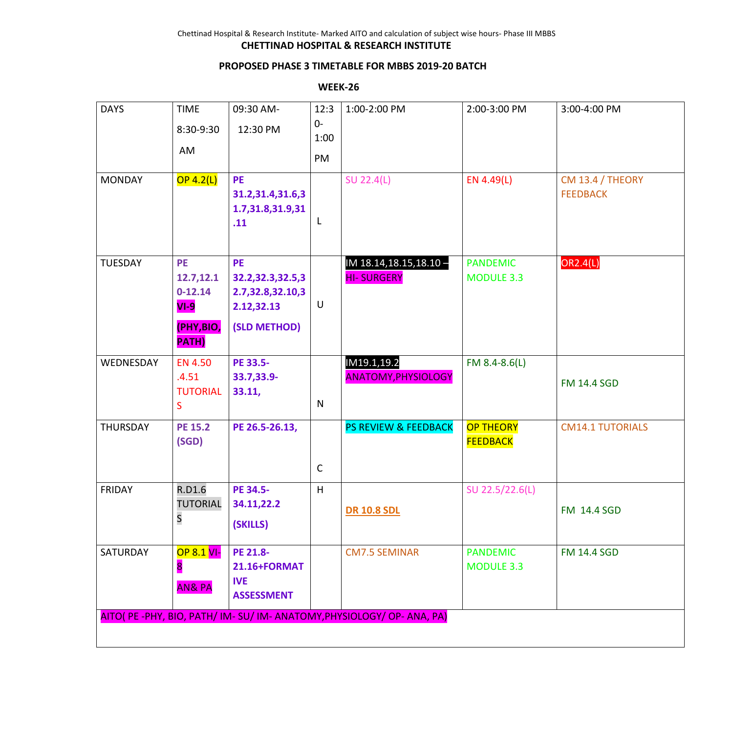# **PROPOSED PHASE 3 TIMETABLE FOR MBBS 2019-20 BATCH**

| <b>DAYS</b>     | <b>TIME</b><br>8:30-9:30                                               | 09:30 AM-<br>12:30 PM                                                           | 12:3<br>$0-$<br>1:00 | 1:00-2:00 PM                                                            | 2:00-3:00 PM                         | 3:00-4:00 PM                               |
|-----------------|------------------------------------------------------------------------|---------------------------------------------------------------------------------|----------------------|-------------------------------------------------------------------------|--------------------------------------|--------------------------------------------|
|                 | AM                                                                     |                                                                                 | <b>PM</b>            |                                                                         |                                      |                                            |
| <b>MONDAY</b>   | $OP$ 4.2(L)                                                            | <b>PE</b><br>31.2,31.4,31.6,3<br>1.7,31.8,31.9,31<br>.11                        | L                    | <b>SU 22.4(L)</b>                                                       | EN 4.49(L)                           | <b>CM 13.4 / THEORY</b><br><b>FEEDBACK</b> |
| <b>TUESDAY</b>  | <b>PE</b><br>12.7, 12.1<br>$0 - 12.14$<br>$VI-9$<br>(PHY,BIO,<br>PATH) | <b>PE</b><br>32.2,32.3,32.5,3<br>2.7,32.8,32.10,3<br>2.12,32.13<br>(SLD METHOD) | $\bigcup$            | IM 18.14,18.15,18.10-<br><b>HI-SURGERY</b>                              | <b>PANDEMIC</b><br><b>MODULE 3.3</b> | <b>OR2.4(L)</b>                            |
| WEDNESDAY       | <b>EN 4.50</b><br>.4.51<br><b>TUTORIAL</b><br>$\mathsf{S}$             | PE 33.5-<br>33.7,33.9-<br>33.11,                                                | N                    | IM19.1,19.2<br><b>ANATOMY, PHYSIOLOGY</b>                               | FM $8.4 - 8.6(L)$                    | <b>FM 14.4 SGD</b>                         |
| <b>THURSDAY</b> | <b>PE 15.2</b><br>(SGD)                                                | PE 26.5-26.13,                                                                  | $\mathsf C$          | <b>PS REVIEW &amp; FEEDBACK</b>                                         | <b>OP THEORY</b><br><b>FEEDBACK</b>  | <b>CM14.1 TUTORIALS</b>                    |
| <b>FRIDAY</b>   | R.D1.6<br><b>TUTORIAL</b><br>$\mathsf S$                               | PE 34.5-<br>34.11,22.2<br>(SKILLS)                                              | H                    | <b>DR 10.8 SDL</b>                                                      | SU 22.5/22.6(L)                      | <b>FM 14.4 SGD</b>                         |
| <b>SATURDAY</b> | OP 8.1 VI-<br>8<br><b>AN&amp; PA</b>                                   | <b>PE 21.8-</b><br><b>21.16+FORMAT</b><br><b>IVE</b><br><b>ASSESSMENT</b>       |                      | <b>CM7.5 SEMINAR</b>                                                    | <b>PANDEMIC</b><br><b>MODULE 3.3</b> | <b>FM 14.4 SGD</b>                         |
|                 |                                                                        |                                                                                 |                      | AITO( PE -PHY, BIO, PATH/ IM- SU/ IM- ANATOMY, PHYSIOLOGY/ OP- ANA, PA) |                                      |                                            |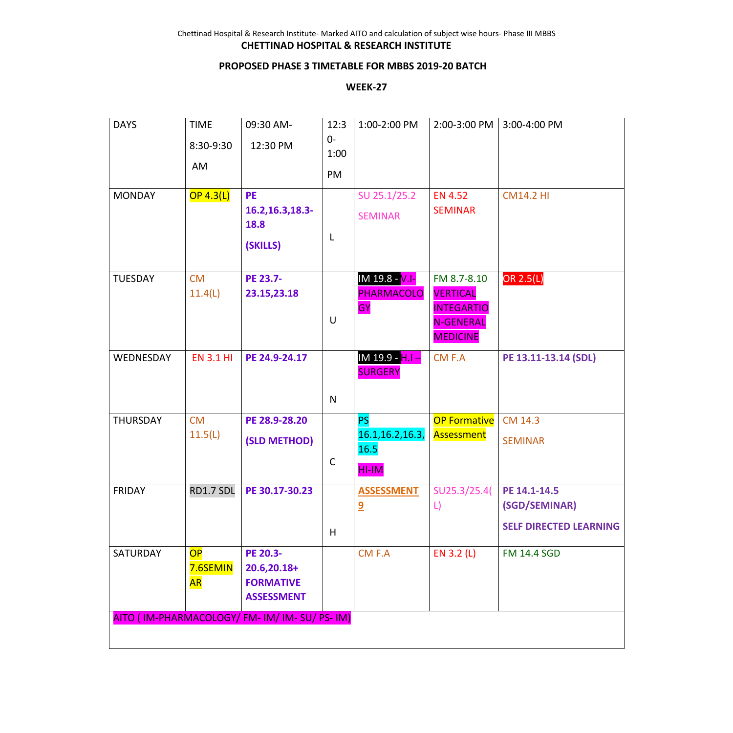# **PROPOSED PHASE 3 TIMETABLE FOR MBBS 2019-20 BATCH**

| 8:30-9:30<br>AM             | 12:30 PM                                                           | 12:3<br>$0-$<br>1:00<br><b>PM</b>     |                                                               | 2:00-3:00 PM                                                                               | 3:00-4:00 PM<br><b>CM14.2 HI</b>                               |
|-----------------------------|--------------------------------------------------------------------|---------------------------------------|---------------------------------------------------------------|--------------------------------------------------------------------------------------------|----------------------------------------------------------------|
|                             | 16.2, 16.3, 18.3-<br>18.8<br>(SKILLS)                              | L                                     | <b>SEMINAR</b>                                                | <b>SEMINAR</b>                                                                             |                                                                |
| <b>CM</b><br>11.4(L)        | <b>PE 23.7-</b><br>23.15,23.18                                     | U                                     | IM 19.8 - <mark>V.I-</mark><br><b>PHARMACOLO</b><br><b>GY</b> | FM 8.7-8.10<br><b>VERTICAL</b><br><b>INTEGARTIO</b><br><b>N-GENERAL</b><br><b>MEDICINE</b> | OR 2.5(L)                                                      |
| <b>EN 3.1 HI</b>            | PE 24.9-24.17                                                      | $\mathsf{N}$                          | IM 19.9 - H.I -<br><b>SURGERY</b>                             | <b>CMF.A</b>                                                                               | PE 13.11-13.14 (SDL)                                           |
| <b>CM</b><br>11.5(L)        | PE 28.9-28.20<br>(SLD METHOD)                                      | $\mathsf{C}$                          | <b>PS</b><br>16.1, 16.2, 16.3,<br>16.5<br>HI-IM               | <b>OP Formative</b><br><b>Assessment</b>                                                   | <b>CM 14.3</b><br><b>SEMINAR</b>                               |
| RD1.7 SDL                   | PE 30.17-30.23                                                     | H                                     | <b>ASSESSMENT</b><br>$\overline{\mathbf{a}}$                  | SU25.3/25.4(<br>$\Box$                                                                     | PE 14.1-14.5<br>(SGD/SEMINAR)<br><b>SELF DIRECTED LEARNING</b> |
| OP<br>7.6SEMIN<br><b>AR</b> | PE 20.3-<br>$20.6,20.18+$<br><b>FORMATIVE</b><br><b>ASSESSMENT</b> |                                       | CM F.A                                                        | $EN$ 3.2 (L)                                                                               | <b>FM 14.4 SGD</b>                                             |
|                             | $OP$ 4.3(L)                                                        | <b>TIME</b><br>09:30 AM-<br><b>PE</b> | AITO ( IM-PHARMACOLOGY/ FM- IM/ IM- SU/ PS- IM)               | 1:00-2:00 PM<br>SU 25.1/25.2                                                               | <b>EN 4.52</b>                                                 |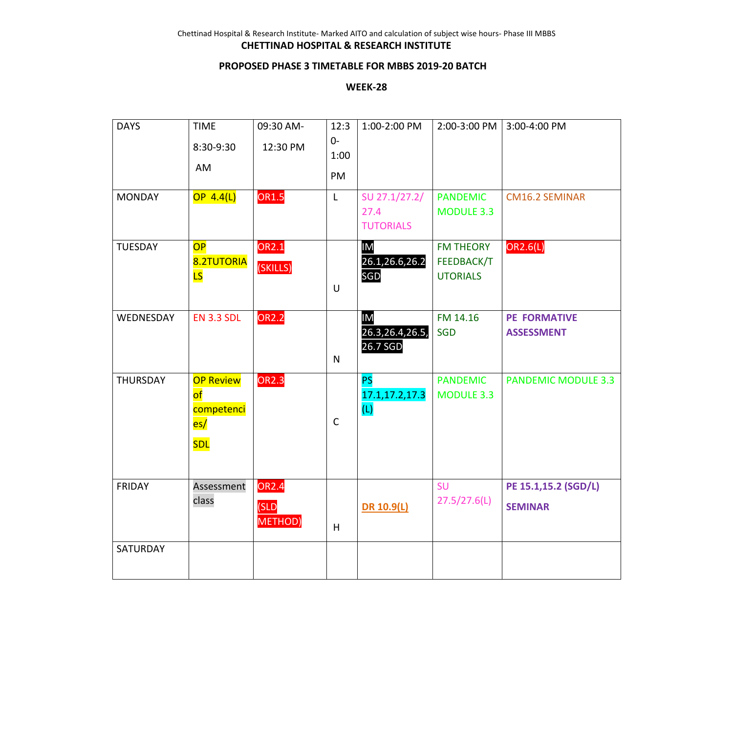# **PROPOSED PHASE 3 TIMETABLE FOR MBBS 2019-20 BATCH**

| <b>DAYS</b>     | <b>TIME</b><br>8:30-9:30<br>AM                                                    | 09:30 AM-<br>12:30 PM                  | 12:3<br>$0-$<br>1:00<br>PM | 1:00-2:00 PM                              | 2:00-3:00 PM                                      | 3:00-4:00 PM                             |
|-----------------|-----------------------------------------------------------------------------------|----------------------------------------|----------------------------|-------------------------------------------|---------------------------------------------------|------------------------------------------|
| <b>MONDAY</b>   | OP $4.4(L)$                                                                       | <b>OR1.5</b>                           | L                          | SU 27.1/27.2/<br>27.4<br><b>TUTORIALS</b> | <b>PANDEMIC</b><br><b>MODULE 3.3</b>              | <b>CM16.2 SEMINAR</b>                    |
| <b>TUESDAY</b>  | <b>OP</b><br><b>8.2TUTORIA</b><br><u>LS</u>                                       | OR2.1<br>(SKILLS)                      | $\cup$                     | <b>IM</b><br>26.1,26.6,26.2<br>SGD        | <b>FM THEORY</b><br>FEEDBACK/T<br><b>UTORIALS</b> | OR2.6(L)                                 |
| WEDNESDAY       | <b>EN 3.3 SDL</b>                                                                 | <b>OR2.2</b>                           | N                          | <b>IM</b><br>26.3,26.4,26.5,<br>26.7 SGD  | FM 14.16<br><b>SGD</b>                            | <b>PE FORMATIVE</b><br><b>ASSESSMENT</b> |
| <b>THURSDAY</b> | <b>OP Review</b><br>$\mathsf{of}$<br>competenci<br><mark>es/</mark><br><b>SDL</b> | <b>OR2.3</b>                           | $\mathsf C$                | <b>PS</b><br>17.1,17.2,17.3<br>(L)        | <b>PANDEMIC</b><br><b>MODULE 3.3</b>              | <b>PANDEMIC MODULE 3.3</b>               |
| <b>FRIDAY</b>   | Assessment<br>class                                                               | <b>OR2.4</b><br>(SLD<br><b>METHOD)</b> | H                          | <b>DR 10.9(L)</b>                         | SU<br>27.5/27.6(L)                                | PE 15.1,15.2 (SGD/L)<br><b>SEMINAR</b>   |
| <b>SATURDAY</b> |                                                                                   |                                        |                            |                                           |                                                   |                                          |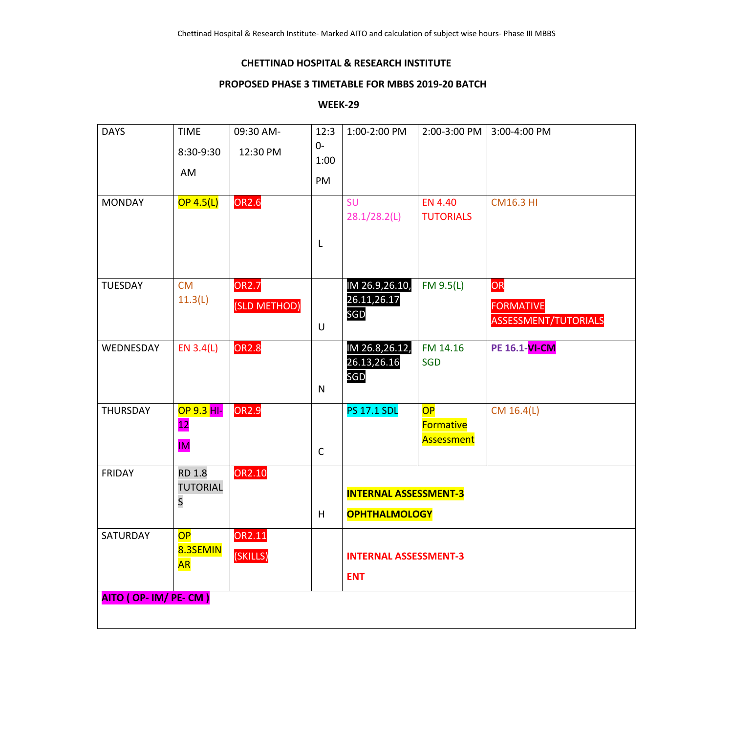# **CHETTINAD HOSPITAL & RESEARCH INSTITUTE**

#### **PROPOSED PHASE 3 TIMETABLE FOR MBBS 2019-20 BATCH**

| <b>DAYS</b>     | <b>TIME</b>           | 09:30 AM-     | 12:3         | 1:00-2:00 PM                 | 2:00-3:00 PM     | 3:00-4:00 PM                             |  |  |  |
|-----------------|-----------------------|---------------|--------------|------------------------------|------------------|------------------------------------------|--|--|--|
|                 | 8:30-9:30             | 12:30 PM      | 0-           |                              |                  |                                          |  |  |  |
|                 | AM                    |               | 1:00         |                              |                  |                                          |  |  |  |
|                 |                       |               | <b>PM</b>    |                              |                  |                                          |  |  |  |
| <b>MONDAY</b>   | $OP$ 4.5(L)           | <b>OR2.6</b>  |              | <b>SU</b>                    | <b>EN 4.40</b>   | <b>CM16.3 HI</b>                         |  |  |  |
|                 |                       |               |              | 28.1/28.2(L)                 | <b>TUTORIALS</b> |                                          |  |  |  |
|                 |                       |               | L            |                              |                  |                                          |  |  |  |
|                 |                       |               |              |                              |                  |                                          |  |  |  |
| <b>TUESDAY</b>  | <b>CM</b>             |               |              | IM 26.9,26.10,               |                  |                                          |  |  |  |
|                 | 11.3(L)               | <b>OR2.7</b>  |              | 26.11,26.17                  | FM 9.5(L)        | OR                                       |  |  |  |
|                 |                       | (SLD METHOD)  |              | SGD                          |                  | <b>FORMATIVE</b><br>ASSESSMENT/TUTORIALS |  |  |  |
|                 |                       |               | $\cup$       |                              |                  |                                          |  |  |  |
| WEDNESDAY       | EN $3.4(L)$           | <b>OR2.8</b>  |              | IM 26.8,26.12,               | FM 14.16         | <b>PE 16.1-VI-CM</b>                     |  |  |  |
|                 |                       |               |              | 26.13,26.16                  | <b>SGD</b>       |                                          |  |  |  |
|                 |                       |               | $\mathsf{N}$ | <b>SGD</b>                   |                  |                                          |  |  |  |
| <b>THURSDAY</b> | OP 9.3 HI-            | <b>OR2.9</b>  |              | <b>PS 17.1 SDL</b>           | <b>OP</b>        | CM 16.4(L)                               |  |  |  |
|                 | 12                    |               |              |                              | Formative        |                                          |  |  |  |
|                 | <b>IM</b>             |               |              |                              | Assessment       |                                          |  |  |  |
|                 |                       |               | $\mathsf{C}$ |                              |                  |                                          |  |  |  |
| <b>FRIDAY</b>   | <b>RD 1.8</b>         | <b>OR2.10</b> |              |                              |                  |                                          |  |  |  |
|                 | <b>TUTORIAL</b><br>S  |               |              | <b>INTERNAL ASSESSMENT-3</b> |                  |                                          |  |  |  |
|                 |                       |               | H            | <b>OPHTHALMOLOGY</b>         |                  |                                          |  |  |  |
| <b>SATURDAY</b> | <b>OP</b>             | OR2.11        |              |                              |                  |                                          |  |  |  |
|                 | 8.3SEMIN<br><b>AR</b> | (SKILLS)      |              | <b>INTERNAL ASSESSMENT-3</b> |                  |                                          |  |  |  |
|                 |                       |               |              | <b>ENT</b>                   |                  |                                          |  |  |  |
|                 | AITO (OP-IM/PE-CM)    |               |              |                              |                  |                                          |  |  |  |
|                 |                       |               |              |                              |                  |                                          |  |  |  |
|                 |                       |               |              |                              |                  |                                          |  |  |  |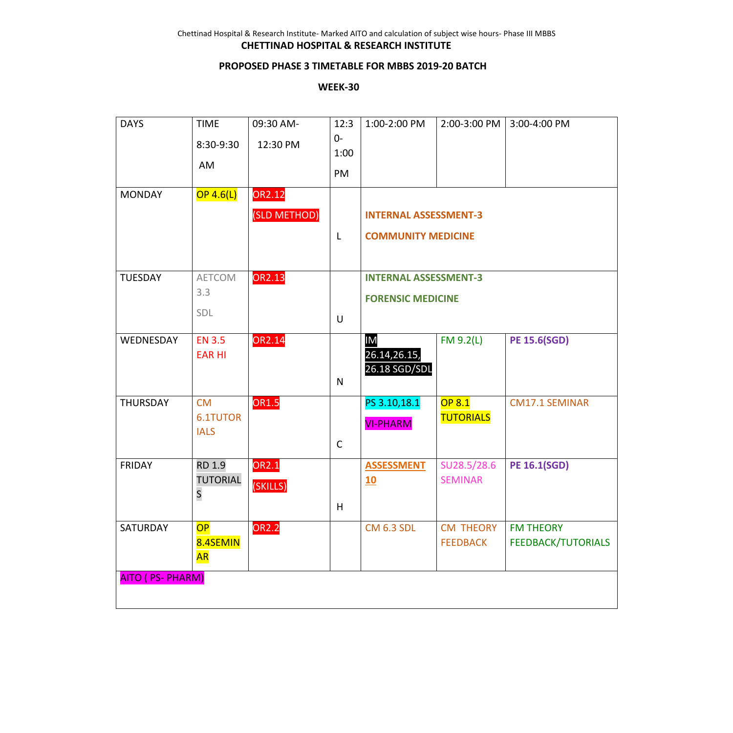# **PROPOSED PHASE 3 TIMETABLE FOR MBBS 2019-20 BATCH**

| <b>DAYS</b>            | <b>TIME</b>                  | 09:30 AM-     | 12:3         | 1:00-2:00 PM                 | 2:00-3:00 PM                      | 3:00-4:00 PM              |
|------------------------|------------------------------|---------------|--------------|------------------------------|-----------------------------------|---------------------------|
|                        | 8:30-9:30                    | 12:30 PM      | $0-$         |                              |                                   |                           |
|                        | AM                           |               | 1:00         |                              |                                   |                           |
|                        |                              |               | PM           |                              |                                   |                           |
| <b>MONDAY</b>          | $OP$ 4.6(L)                  | <b>OR2.12</b> |              |                              |                                   |                           |
|                        |                              | (SLD METHOD)  |              | <b>INTERNAL ASSESSMENT-3</b> |                                   |                           |
|                        |                              |               | L            | <b>COMMUNITY MEDICINE</b>    |                                   |                           |
|                        |                              |               |              |                              |                                   |                           |
|                        |                              |               |              |                              |                                   |                           |
| <b>TUESDAY</b>         | <b>AETCOM</b><br>3.3         | <b>OR2.13</b> |              | <b>INTERNAL ASSESSMENT-3</b> |                                   |                           |
|                        |                              |               |              | <b>FORENSIC MEDICINE</b>     |                                   |                           |
|                        | SDL                          |               | $\cup$       |                              |                                   |                           |
| WEDNESDAY              | <b>EN 3.5</b>                | <b>OR2.14</b> |              | <b>IM</b>                    | FM 9.2(L)                         | <b>PE 15.6(SGD)</b>       |
|                        | <b>EAR HI</b>                |               |              | 26.14,26.15,                 |                                   |                           |
|                        |                              |               | $\mathsf{N}$ | 26.18 SGD/SDL                |                                   |                           |
|                        |                              |               |              |                              |                                   |                           |
| <b>THURSDAY</b>        | <b>CM</b><br><b>6.1TUTOR</b> | <b>OR1.5</b>  |              | PS 3.10,18.1                 | <b>OP 8.1</b><br><b>TUTORIALS</b> | <b>CM17.1 SEMINAR</b>     |
|                        | <b>IALS</b>                  |               |              | <b>VI-PHARM</b>              |                                   |                           |
|                        |                              |               | $\mathsf{C}$ |                              |                                   |                           |
| FRIDAY                 | <b>RD 1.9</b>                | <b>OR2.1</b>  |              | <b>ASSESSMENT</b>            | SU28.5/28.6                       | <b>PE 16.1(SGD)</b>       |
|                        | <b>TUTORIAL</b>              | (SKILLS)      |              | <u>10</u>                    | <b>SEMINAR</b>                    |                           |
|                        | $\mathsf S$                  |               | H            |                              |                                   |                           |
|                        |                              |               |              |                              |                                   |                           |
| SATURDAY               | <b>OP</b>                    | <b>OR2.2</b>  |              | <b>CM 6.3 SDL</b>            | <b>CM THEORY</b>                  | <b>FM THEORY</b>          |
|                        | 8.4SEMIN<br><b>AR</b>        |               |              |                              | <b>FEEDBACK</b>                   | <b>FEEDBACK/TUTORIALS</b> |
|                        |                              |               |              |                              |                                   |                           |
| <b>AITO (PS-PHARM)</b> |                              |               |              |                              |                                   |                           |
|                        |                              |               |              |                              |                                   |                           |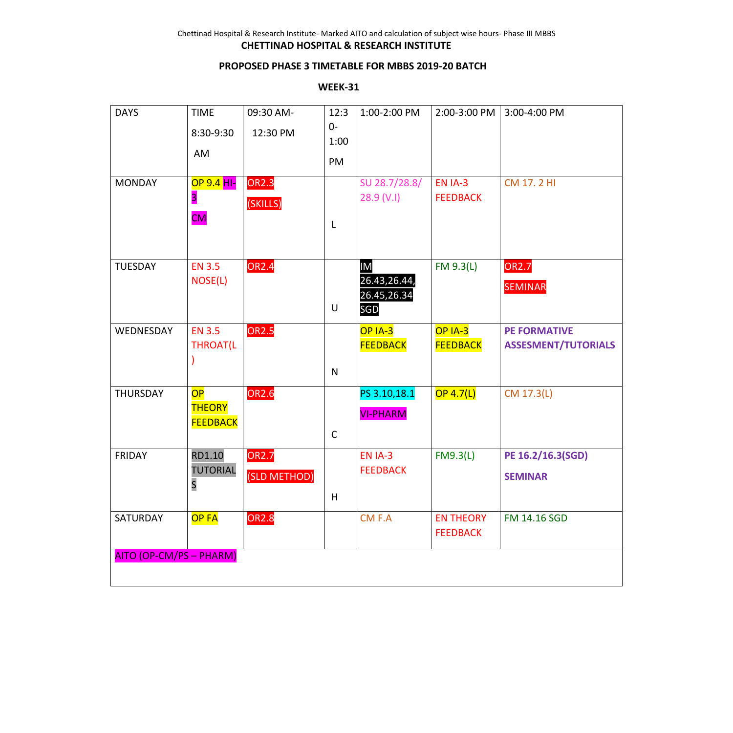# **PROPOSED PHASE 3 TIMETABLE FOR MBBS 2019-20 BATCH**

| <b>DAYS</b>             | <b>TIME</b>               | 09:30 AM-    | 12:3         | 1:00-2:00 PM                | 2:00-3:00 PM     | 3:00-4:00 PM               |
|-------------------------|---------------------------|--------------|--------------|-----------------------------|------------------|----------------------------|
|                         | 8:30-9:30                 | 12:30 PM     | $0-$         |                             |                  |                            |
|                         | AM                        |              | 1:00         |                             |                  |                            |
|                         |                           |              | PM           |                             |                  |                            |
| <b>MONDAY</b>           | OP 9.4 HI-                | <b>OR2.3</b> |              | SU 28.7/28.8/               | EN IA-3          | CM 17.2 HI                 |
|                         | $\overline{\mathbf{3}}$   | (SKILLS)     |              | $28.9$ (V.I)                | <b>FEEDBACK</b>  |                            |
|                         | <b>CM</b>                 |              | L            |                             |                  |                            |
|                         |                           |              |              |                             |                  |                            |
|                         |                           |              |              |                             |                  |                            |
| <b>TUESDAY</b>          | <b>EN 3.5</b>             | <b>OR2.4</b> |              | <b>IM</b>                   | <b>FM 9.3(L)</b> | <b>OR2.7</b>               |
|                         | NOSE(L)                   |              |              | 26.43,26.44,<br>26.45,26.34 |                  | <b>SEMINAR</b>             |
|                         |                           |              | $\cup$       | <b>SGD</b>                  |                  |                            |
| WEDNESDAY               | <b>EN 3.5</b>             | <b>OR2.5</b> |              | OP IA-3                     | OP IA-3          | <b>PE FORMATIVE</b>        |
|                         | <b>THROAT(L</b>           |              |              | <b>FEEDBACK</b>             | <b>FEEDBACK</b>  | <b>ASSESMENT/TUTORIALS</b> |
|                         |                           |              |              |                             |                  |                            |
|                         |                           |              | $\mathsf{N}$ |                             |                  |                            |
| <b>THURSDAY</b>         | <b>OP</b>                 | <b>OR2.6</b> |              | PS 3.10,18.1                | OP $4.7(L)$      | CM 17.3(L)                 |
|                         | <b>THEORY</b>             |              |              | <b>VI-PHARM</b>             |                  |                            |
|                         | <b>FEEDBACK</b>           |              | $\mathsf{C}$ |                             |                  |                            |
|                         |                           |              |              |                             |                  |                            |
| <b>FRIDAY</b>           | RD1.10<br><b>TUTORIAL</b> | <b>OR2.7</b> |              | EN IA-3<br><b>FEEDBACK</b>  | FM9.3(L)         | PE 16.2/16.3(SGD)          |
|                         | $\mathsf{S}$              | (SLD METHOD) |              |                             |                  | <b>SEMINAR</b>             |
|                         |                           |              | H            |                             |                  |                            |
| SATURDAY                | <b>OP FA</b>              | <b>OR2.8</b> |              | CM F.A                      | <b>EN THEORY</b> | <b>FM 14.16 SGD</b>        |
|                         |                           |              |              |                             | <b>FEEDBACK</b>  |                            |
| AITO (OP-CM/PS - PHARM) |                           |              |              |                             |                  |                            |
|                         |                           |              |              |                             |                  |                            |
|                         |                           |              |              |                             |                  |                            |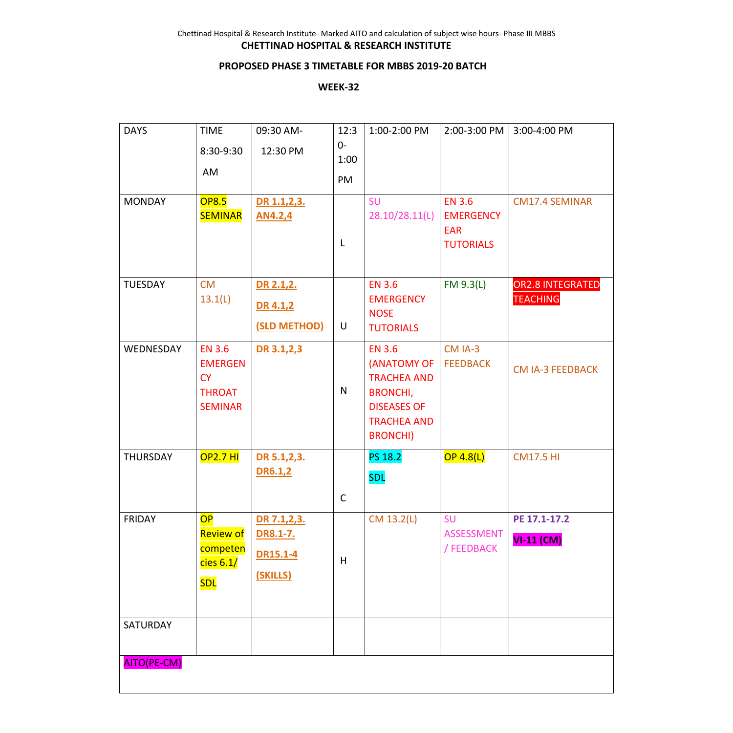# **PROPOSED PHASE 3 TIMETABLE FOR MBBS 2019-20 BATCH**

| <b>DAYS</b><br><b>MONDAY</b> | <b>TIME</b><br>8:30-9:30<br>AM<br><b>OP8.5</b><br><b>SEMINAR</b>                | 09:30 AM-<br>12:30 PM<br>DR 1.1,2,3.<br><b>AN4.2,4</b>        | 12:3<br>$0-$<br>1:00<br><b>PM</b><br>L | 1:00-2:00 PM<br><b>SU</b><br>28.10/28.11(L)                                                                                           | 2:00-3:00 PM<br><b>EN 3.6</b><br><b>EMERGENCY</b><br><b>EAR</b><br><b>TUTORIALS</b> | 3:00-4:00 PM<br><b>CM17.4 SEMINAR</b>      |
|------------------------------|---------------------------------------------------------------------------------|---------------------------------------------------------------|----------------------------------------|---------------------------------------------------------------------------------------------------------------------------------------|-------------------------------------------------------------------------------------|--------------------------------------------|
| <b>TUESDAY</b>               | <b>CM</b><br>13.1(L)                                                            | DR 2.1,2.<br>DR 4.1,2<br>(SLD METHOD)                         | U                                      | <b>EN 3.6</b><br><b>EMERGENCY</b><br><b>NOSE</b><br><b>TUTORIALS</b>                                                                  | FM 9.3(L)                                                                           | <b>OR2.8 INTEGRATED</b><br><b>TEACHING</b> |
| WEDNESDAY                    | <b>EN 3.6</b><br><b>EMERGEN</b><br><b>CY</b><br><b>THROAT</b><br><b>SEMINAR</b> | DR 3.1, 2, 3                                                  | $\mathsf{N}$                           | <b>EN 3.6</b><br>(ANATOMY OF<br><b>TRACHEA AND</b><br><b>BRONCHI,</b><br><b>DISEASES OF</b><br><b>TRACHEA AND</b><br><b>BRONCHI</b> ) | CM IA-3<br><b>FEEDBACK</b>                                                          | <b>CM IA-3 FEEDBACK</b>                    |
| <b>THURSDAY</b>              | <b>OP2.7 HI</b>                                                                 | DR 5.1,2,3.<br>DR6.1,2                                        | $\mathsf C$                            | <b>PS 18.2</b><br><b>SDL</b>                                                                                                          | $OP$ 4.8(L)                                                                         | <b>CM17.5 HI</b>                           |
| <b>FRIDAY</b>                | <b>OP</b><br><b>Review of</b><br>competen<br>cies 6.1/<br><b>SDL</b>            | DR 7.1,2,3.<br>DR8.1-7.<br><b>DR15.1-4</b><br><b>(SKILLS)</b> | H                                      | $CM$ 13.2(L)                                                                                                                          | <b>SU</b><br><b>ASSESSMENT</b><br>/ FEEDBACK                                        | PE 17.1-17.2<br><b>VI-11 (CM)</b>          |
| <b>SATURDAY</b>              |                                                                                 |                                                               |                                        |                                                                                                                                       |                                                                                     |                                            |
| AITO(PE-CM)                  |                                                                                 |                                                               |                                        |                                                                                                                                       |                                                                                     |                                            |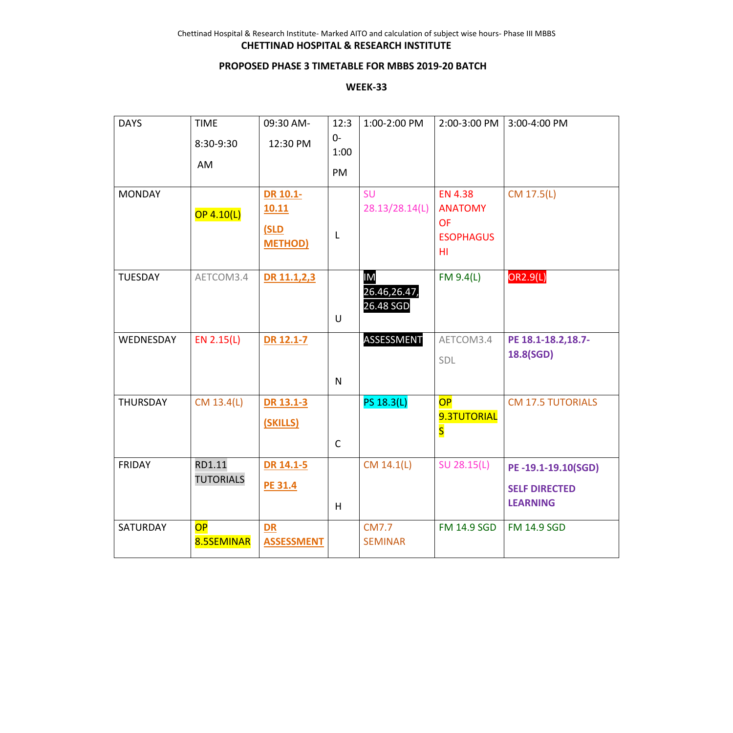# **PROPOSED PHASE 3 TIMETABLE FOR MBBS 2019-20 BATCH**

| <b>DAYS</b>     | <b>TIME</b>      | 09:30 AM-         | 12:3         | 1:00-2:00 PM      | 2:00-3:00 PM            | 3:00-4:00 PM                    |
|-----------------|------------------|-------------------|--------------|-------------------|-------------------------|---------------------------------|
|                 | 8:30-9:30        | 12:30 PM          | $0 -$        |                   |                         |                                 |
|                 | AM               |                   | 1:00         |                   |                         |                                 |
|                 |                  |                   | PM           |                   |                         |                                 |
| <b>MONDAY</b>   |                  | DR 10.1-          |              | <b>SU</b>         | <b>EN 4.38</b>          | CM 17.5(L)                      |
|                 | $OP$ 4.10(L)     | <u>10.11</u>      |              | 28.13/28.14(L)    | <b>ANATOMY</b>          |                                 |
|                 |                  | <u>(SLD</u>       |              |                   | <b>OF</b>               |                                 |
|                 |                  | <b>METHOD</b>     | L            |                   | <b>ESOPHAGUS</b><br>H1  |                                 |
|                 |                  |                   |              |                   |                         |                                 |
| <b>TUESDAY</b>  | AETCOM3.4        | DR 11.1,2,3       |              | <b>IM</b>         | FM $9.4(L)$             | <b>OR2.9(L)</b>                 |
|                 |                  |                   |              | 26.46,26.47,      |                         |                                 |
|                 |                  |                   | U            | 26.48 SGD         |                         |                                 |
|                 |                  |                   |              |                   |                         |                                 |
| WEDNESDAY       | EN 2.15(L)       | DR 12.1-7         |              | ASSESSMENT        | AETCOM3.4               | PE 18.1-18.2,18.7-<br>18.8(SGD) |
|                 |                  |                   |              |                   | SDL                     |                                 |
|                 |                  |                   | $\mathsf{N}$ |                   |                         |                                 |
| <b>THURSDAY</b> | CM 13.4(L)       | DR 13.1-3         |              | <b>PS 18.3(L)</b> | OP                      | <b>CM 17.5 TUTORIALS</b>        |
|                 |                  | (SKILLS)          |              |                   | 9.3TUTORIAL             |                                 |
|                 |                  |                   | $\mathsf C$  |                   | $\overline{\mathsf{S}}$ |                                 |
|                 |                  |                   |              |                   |                         |                                 |
| FRIDAY          | RD1.11           | DR 14.1-5         |              | $CM$ 14.1(L)      | SU 28.15(L)             | PE-19.1-19.10(SGD)              |
|                 | <b>TUTORIALS</b> | <b>PE 31.4</b>    |              |                   |                         | <b>SELF DIRECTED</b>            |
|                 |                  |                   | H            |                   |                         | <b>LEARNING</b>                 |
| SATURDAY        | OP               | DR                |              | <b>CM7.7</b>      | <b>FM 14.9 SGD</b>      | <b>FM 14.9 SGD</b>              |
|                 | 8.5SEMINAR       | <b>ASSESSMENT</b> |              | <b>SEMINAR</b>    |                         |                                 |
|                 |                  |                   |              |                   |                         |                                 |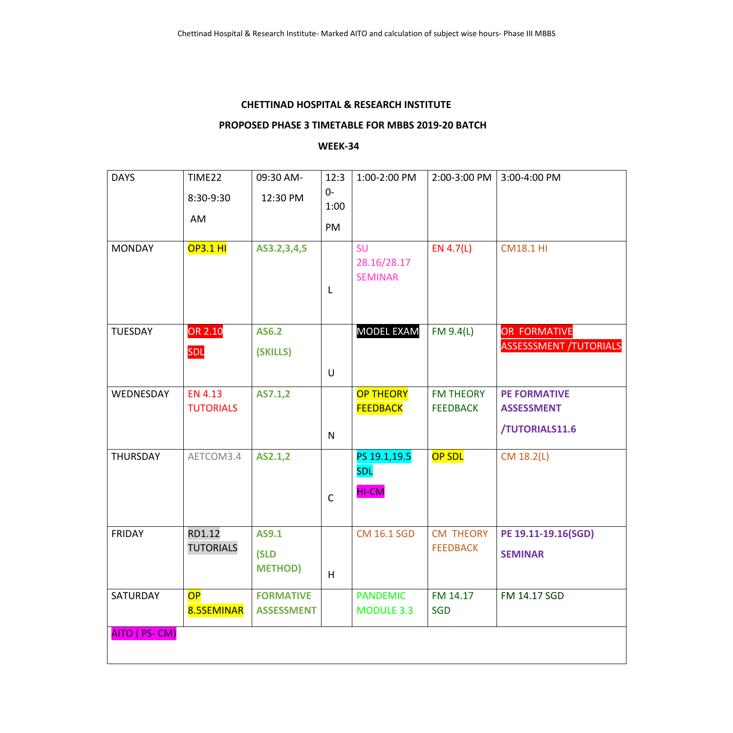### **CHETTINAD HOSPITAL & RESEARCH INSTITUTE**

#### **PROPOSED PHASE 3 TIMETABLE FOR MBBS 2019-20 BATCH**

| <b>DAYS</b>                     | TIME22<br>8:30-9:30<br>AM          | 09:30 AM-<br>12:30 PM                 | 12:3<br>$0-$<br>1:00<br>PM | 1:00-2:00 PM                               | 2:00-3:00 PM                        | 3:00-4:00 PM                                                      |
|---------------------------------|------------------------------------|---------------------------------------|----------------------------|--------------------------------------------|-------------------------------------|-------------------------------------------------------------------|
| <b>MONDAY</b>                   | <b>OP3.1 HI</b>                    | AS3.2,3,4,5                           | L                          | <b>SU</b><br>28.16/28.17<br><b>SEMINAR</b> | $EN$ 4.7(L)                         | <b>CM18.1 HI</b>                                                  |
| <b>TUESDAY</b>                  | OR 2.10<br><b>SDL</b>              | AS6.2<br>(SKILLS)                     | $\cup$                     | <b>MODEL EXAM</b>                          | FM 9.4(L)                           | OR FORMATIVE<br><b>ASSESSSMENT /TUTORIALS</b>                     |
| WEDNESDAY                       | <b>EN 4.13</b><br><b>TUTORIALS</b> | AS7.1,2                               | $\mathsf{N}$               | <b>OP THEORY</b><br><b>FEEDBACK</b>        | <b>FM THEORY</b><br><b>FEEDBACK</b> | <b>PE FORMATIVE</b><br><b>ASSESSMENT</b><br><b>/TUTORIALS11.6</b> |
| <b>THURSDAY</b>                 | AETCOM3.4                          | AS2.1,2                               | $\mathsf C$                | PS 19.1,19.5<br><b>SDL</b><br><b>HI-CM</b> | <b>OP SDL</b>                       | CM 18.2(L)                                                        |
| <b>FRIDAY</b>                   | RD1.12<br><b>TUTORIALS</b>         | AS9.1<br>(SLD<br><b>METHOD</b>        | H                          | <b>CM 16.1 SGD</b>                         | <b>CM THEORY</b><br><b>FEEDBACK</b> | PE 19.11-19.16(SGD)<br><b>SEMINAR</b>                             |
| <b>SATURDAY</b><br>AITO (PS-CM) | <b>OP</b><br>8.5SEMINAR            | <b>FORMATIVE</b><br><b>ASSESSMENT</b> |                            | <b>PANDEMIC</b><br><b>MODULE 3.3</b>       | FM 14.17<br><b>SGD</b>              | FM 14.17 SGD                                                      |
|                                 |                                    |                                       |                            |                                            |                                     |                                                                   |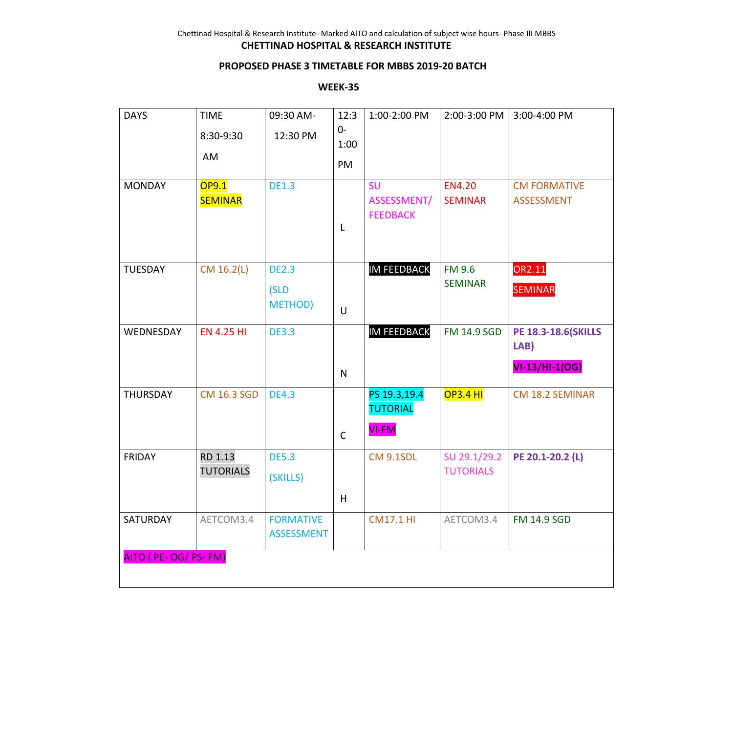# **PROPOSED PHASE 3 TIMETABLE FOR MBBS 2019-20 BATCH**

| <b>DAYS</b>            | <b>TIME</b><br>8:30-9:30       | 09:30 AM-<br>12:30 PM                   | 12:3<br>$O -$<br>1:00 | 1:00-2:00 PM                                    | 2:00-3:00 PM                     | 3:00-4:00 PM                                                |
|------------------------|--------------------------------|-----------------------------------------|-----------------------|-------------------------------------------------|----------------------------------|-------------------------------------------------------------|
|                        | <b>AM</b>                      |                                         | <b>PM</b>             |                                                 |                                  |                                                             |
| <b>MONDAY</b>          | <b>OP9.1</b><br><b>SEMINAR</b> | <b>DE1.3</b>                            | L                     | <b>SU</b><br>ASSESSMENT/<br><b>FEEDBACK</b>     | <b>EN4.20</b><br><b>SEMINAR</b>  | <b>CM FORMATIVE</b><br><b>ASSESSMENT</b>                    |
| <b>TUESDAY</b>         | CM 16.2(L)                     | <b>DE2.3</b><br>(SLD<br><b>METHOD</b> ) | $\cup$                | <b>IM FEEDBACK</b>                              | <b>FM 9.6</b><br><b>SEMINAR</b>  | OR2.11<br><b>SEMINAR</b>                                    |
| WEDNESDAY              | <b>EN 4.25 HI</b>              | <b>DE3.3</b>                            | N                     | <b>IM FEEDBACK</b>                              | <b>FM 14.9 SGD</b>               | <b>PE 18.3-18.6(SKILLS</b><br>LAB)<br><b>VI-13/HI-1(OG)</b> |
| <b>THURSDAY</b>        | <b>CM 16.3 SGD</b>             | <b>DE4.3</b>                            | $\mathsf{C}$          | PS 19.3,19.4<br><b>TUTORIAL</b><br><b>VI-FM</b> | <b>OP3.4 HI</b>                  | <b>CM 18.2 SEMINAR</b>                                      |
| <b>FRIDAY</b>          | RD 1.13<br><b>TUTORIALS</b>    | <b>DE5.3</b><br>(SKILLS)                | H                     | <b>CM 9.1SDL</b>                                | SU 29.1/29.2<br><b>TUTORIALS</b> | PE 20.1-20.2 (L)                                            |
| <b>SATURDAY</b>        | AETCOM3.4                      | <b>FORMATIVE</b><br><b>ASSESSMENT</b>   |                       | <b>CM17.1 HI</b>                                | AETCOM3.4                        | <b>FM 14.9 SGD</b>                                          |
| AITO ( PE- OG/ PS- FM) |                                |                                         |                       |                                                 |                                  |                                                             |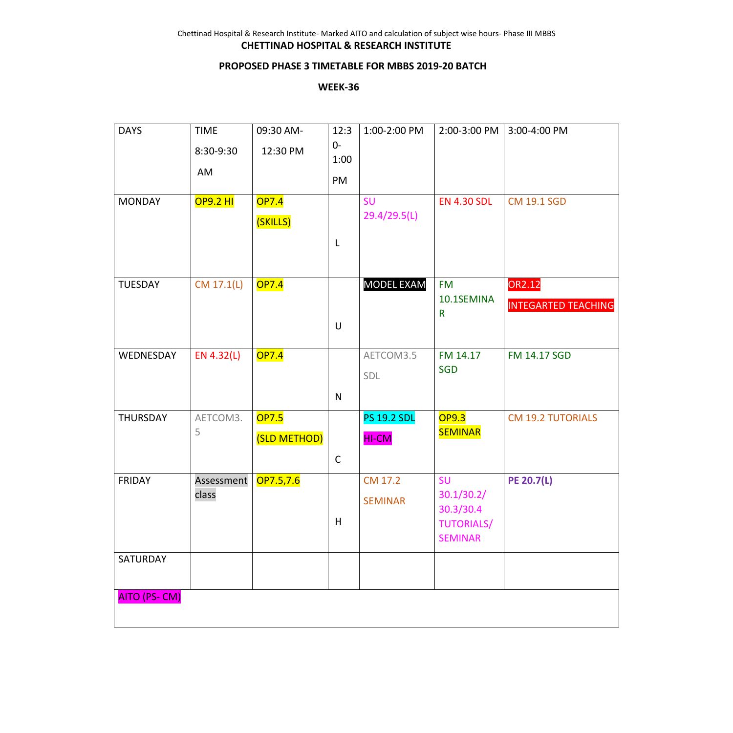# **PROPOSED PHASE 3 TIMETABLE FOR MBBS 2019-20 BATCH**

| <b>DAYS</b><br><b>MONDAY</b>    | <b>TIME</b><br>8:30-9:30<br>AM<br><b>OP9.2 HI</b> | 09:30 AM-<br>12:30 PM<br><b>OP7.4</b><br>(SKILLS) | 12:3<br>$0 -$<br>1:00<br>PM<br>L | 1:00-2:00 PM<br>SU<br>29.4/29.5(L) | 2:00-3:00 PM<br><b>EN 4.30 SDL</b>                            | 3:00-4:00 PM<br><b>CM 19.1 SGD</b>   |
|---------------------------------|---------------------------------------------------|---------------------------------------------------|----------------------------------|------------------------------------|---------------------------------------------------------------|--------------------------------------|
| <b>TUESDAY</b>                  | CM 17.1(L)                                        | <b>OP7.4</b>                                      | $\mathsf U$                      | <b>MODEL EXAM</b>                  | <b>FM</b><br>10.1SEMINA<br>$\mathsf{R}$                       | OR2.12<br><b>INTEGARTED TEACHING</b> |
| WEDNESDAY                       | EN 4.32(L)                                        | <b>OP7.4</b>                                      | $\mathsf{N}$                     | AETCOM3.5<br>SDL                   | FM 14.17<br><b>SGD</b>                                        | <b>FM 14.17 SGD</b>                  |
| <b>THURSDAY</b>                 | AETCOM3.<br>5                                     | <b>OP7.5</b><br>(SLD METHOD)                      | $\mathsf C$                      | <b>PS 19.2 SDL</b><br><b>HI-CM</b> | <b>OP9.3</b><br><b>SEMINAR</b>                                | <b>CM 19.2 TUTORIALS</b>             |
| <b>FRIDAY</b>                   | Assessment<br>class                               | OP7.5,7.6                                         | H                                | <b>CM 17.2</b><br><b>SEMINAR</b>   | SU<br>30.1/30.2/<br>30.3/30.4<br>TUTORIALS/<br><b>SEMINAR</b> | <b>PE 20.7(L)</b>                    |
| SATURDAY<br><b>AITO (PS-CM)</b> |                                                   |                                                   |                                  |                                    |                                                               |                                      |
|                                 |                                                   |                                                   |                                  |                                    |                                                               |                                      |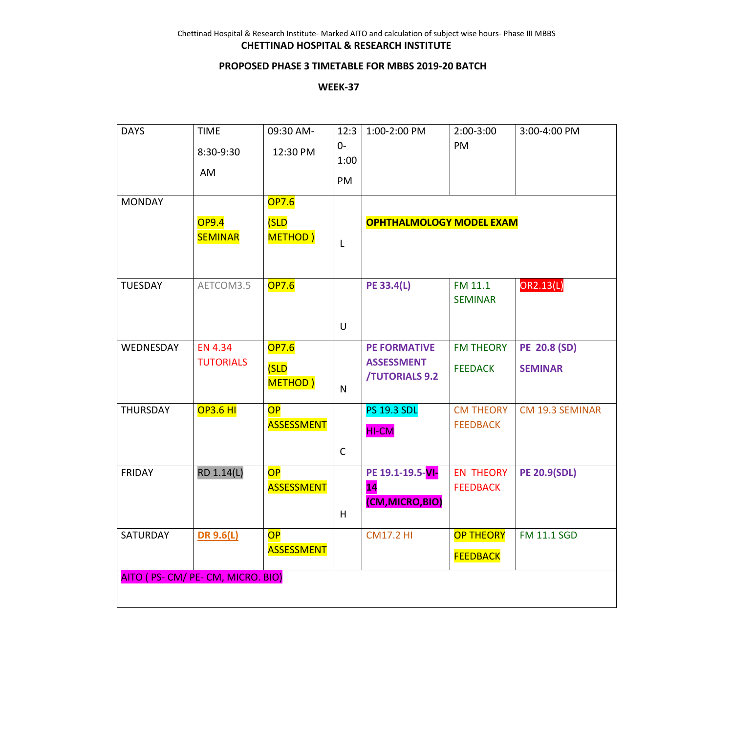# **PROPOSED PHASE 3 TIMETABLE FOR MBBS 2019-20 BATCH**

| <b>DAYS</b>     | <b>TIME</b>                        | 09:30 AM-         | 12:3         | 1:00-2:00 PM                               | $2:00-3:00$      | 3:00-4:00 PM           |
|-----------------|------------------------------------|-------------------|--------------|--------------------------------------------|------------------|------------------------|
|                 | 8:30-9:30                          | 12:30 PM          | $0-$<br>1:00 |                                            | <b>PM</b>        |                        |
|                 | AM                                 |                   | PM           |                                            |                  |                        |
| <b>MONDAY</b>   |                                    | <b>OP7.6</b>      |              |                                            |                  |                        |
|                 | <b>OP9.4</b>                       | (SLD              |              | <b>OPHTHALMOLOGY MODEL EXAM</b>            |                  |                        |
|                 | <b>SEMINAR</b>                     | <b>METHOD</b> )   | $\mathsf{L}$ |                                            |                  |                        |
|                 |                                    |                   |              |                                            |                  |                        |
| <b>TUESDAY</b>  | AETCOM3.5                          | <b>OP7.6</b>      |              | <b>PE 33.4(L)</b>                          | FM 11.1          | OR2.13(L)              |
|                 |                                    |                   |              |                                            | <b>SEMINAR</b>   |                        |
|                 |                                    |                   | $\cup$       |                                            |                  |                        |
| WEDNESDAY       | <b>EN 4.34</b>                     | <b>OP7.6</b>      |              | <b>PE FORMATIVE</b>                        | <b>FM THEORY</b> | <b>PE 20.8 (SD)</b>    |
|                 | <b>TUTORIALS</b>                   | (SLD              |              | <b>ASSESSMENT</b><br><b>/TUTORIALS 9.2</b> | <b>FEEDACK</b>   | <b>SEMINAR</b>         |
|                 |                                    | <b>METHOD</b> )   | $\mathsf{N}$ |                                            |                  |                        |
| <b>THURSDAY</b> | <b>OP3.6 HI</b>                    | <b>OP</b>         |              | <b>PS 19.3 SDL</b>                         | <b>CM THEORY</b> | <b>CM 19.3 SEMINAR</b> |
|                 |                                    | <b>ASSESSMENT</b> |              | <b>HI-CM</b>                               | <b>FEEDBACK</b>  |                        |
|                 |                                    |                   | $\mathsf{C}$ |                                            |                  |                        |
| <b>FRIDAY</b>   | RD 1.14(L)                         | <b>OP</b>         |              | PE 19.1-19.5-VI-                           | <b>EN THEORY</b> | <b>PE 20.9(SDL)</b>    |
|                 |                                    | <b>ASSESSMENT</b> |              | 14<br>(CM, MICRO, BIO)                     | <b>FEEDBACK</b>  |                        |
|                 |                                    |                   | H            |                                            |                  |                        |
| <b>SATURDAY</b> | <b>DR 9.6(L)</b>                   | <b>OP</b>         |              | <b>CM17.2 HI</b>                           | <b>OP THEORY</b> | <b>FM 11.1 SGD</b>     |
|                 |                                    | <b>ASSESSMENT</b> |              |                                            | <b>FEEDBACK</b>  |                        |
|                 | AITO ( PS- CM/ PE- CM, MICRO. BIO) |                   |              |                                            |                  |                        |
|                 |                                    |                   |              |                                            |                  |                        |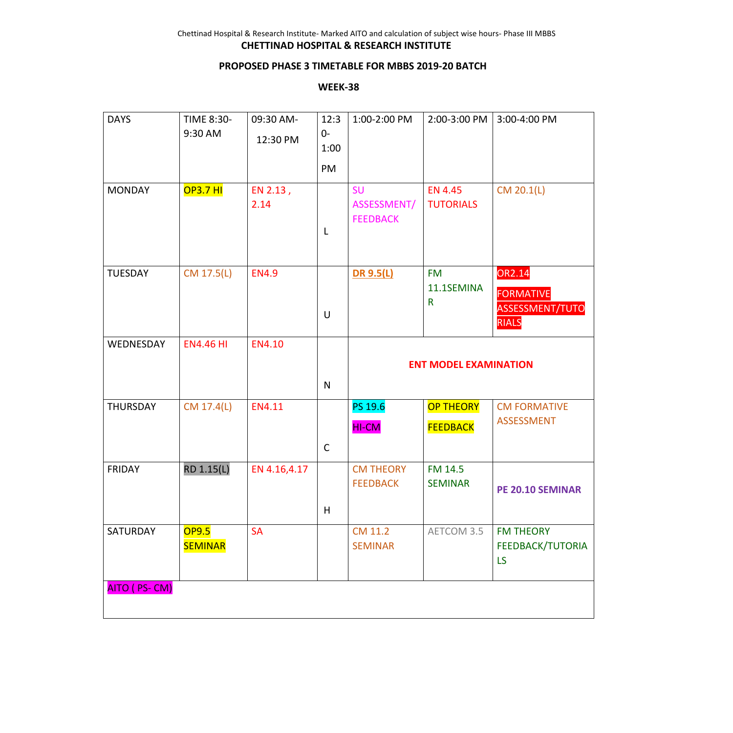# **PROPOSED PHASE 3 TIMETABLE FOR MBBS 2019-20 BATCH**

| <b>DAYS</b>              | <b>TIME 8:30-</b><br>9:30 AM   | 09:30 AM-<br>12:30 PM | 12:3<br>$0-$<br>1:00<br><b>PM</b> | 1:00-2:00 PM                                | 2:00-3:00 PM                            | 3:00-4:00 PM                                                         |
|--------------------------|--------------------------------|-----------------------|-----------------------------------|---------------------------------------------|-----------------------------------------|----------------------------------------------------------------------|
| <b>MONDAY</b>            | <b>OP3.7 HI</b>                | EN 2.13,<br>2.14      | L                                 | <b>SU</b><br>ASSESSMENT/<br><b>FEEDBACK</b> | <b>EN 4.45</b><br><b>TUTORIALS</b>      | CM 20.1(L)                                                           |
| <b>TUESDAY</b>           | CM 17.5(L)                     | <b>EN4.9</b>          | $\bigcup$                         | <b>DR 9.5(L)</b>                            | <b>FM</b><br>11.1SEMINA<br>$\mathsf{R}$ | <b>OR2.14</b><br><b>FORMATIVE</b><br>ASSESSMENT/TUTO<br><b>RIALS</b> |
| WEDNESDAY                | <b>EN4.46 HI</b>               | <b>EN4.10</b>         | N                                 |                                             | <b>ENT MODEL EXAMINATION</b>            |                                                                      |
| THURSDAY                 | CM 17.4(L)                     | EN4.11                | $\mathsf C$                       | PS 19.6<br><b>HI-CM</b>                     | <b>OP THEORY</b><br><b>FEEDBACK</b>     | <b>CM FORMATIVE</b><br><b>ASSESSMENT</b>                             |
| <b>FRIDAY</b>            | RD 1.15(L)                     | EN 4.16,4.17          | H                                 | <b>CM THEORY</b><br><b>FEEDBACK</b>         | <b>FM 14.5</b><br><b>SEMINAR</b>        | PE 20.10 SEMINAR                                                     |
| SATURDAY<br>AITO (PS-CM) | <b>OP9.5</b><br><b>SEMINAR</b> | <b>SA</b>             |                                   | <b>CM 11.2</b><br><b>SEMINAR</b>            | AETCOM 3.5                              | <b>FM THEORY</b><br>FEEDBACK/TUTORIA<br>LS                           |
|                          |                                |                       |                                   |                                             |                                         |                                                                      |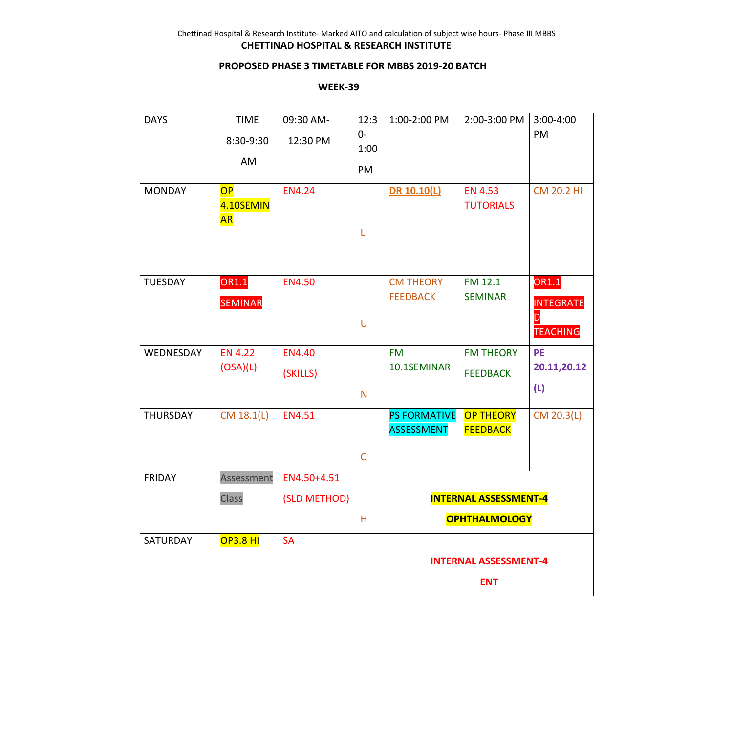# **PROPOSED PHASE 3 TIMETABLE FOR MBBS 2019-20 BATCH**

| <b>DAYS</b>     | <b>TIME</b><br>8:30-9:30<br>AM            | 09:30 AM-<br>12:30 PM       | 12:3<br>$0-$<br>1:00<br>PM | 1:00-2:00 PM                             | 2:00-3:00 PM                                         | 3:00-4:00<br>PM                                   |
|-----------------|-------------------------------------------|-----------------------------|----------------------------|------------------------------------------|------------------------------------------------------|---------------------------------------------------|
| <b>MONDAY</b>   | <b>OP</b><br>4.10SEMIN<br><mark>AR</mark> | <b>EN4.24</b>               | L                          | <b>DR 10.10(L)</b>                       | <b>EN 4.53</b><br><b>TUTORIALS</b>                   | <b>CM 20.2 HI</b>                                 |
| <b>TUESDAY</b>  | <b>OR1.1</b><br><b>SEMINAR</b>            | <b>EN4.50</b>               | $\cup$                     | <b>CM THEORY</b><br><b>FEEDBACK</b>      | FM 12.1<br><b>SEMINAR</b>                            | OR1.1<br><b>INTEGRATE</b><br>D<br><b>TEACHING</b> |
| WEDNESDAY       | <b>EN 4.22</b><br>OSA)(L)                 | <b>EN4.40</b><br>(SKILLS)   | N                          | <b>FM</b><br>10.1SEMINAR                 | <b>FM THEORY</b><br><b>FEEDBACK</b>                  | <b>PE</b><br>20.11,20.12<br>(L)                   |
| <b>THURSDAY</b> | $CM$ 18.1(L)                              | <b>EN4.51</b>               | $\mathsf C$                | <b>PS FORMATIVE</b><br><b>ASSESSMENT</b> | <b>OP THEORY</b><br><b>FEEDBACK</b>                  | CM 20.3(L)                                        |
| <b>FRIDAY</b>   | Assessment<br><b>Class</b>                | EN4.50+4.51<br>(SLD METHOD) | H                          |                                          | <b>INTERNAL ASSESSMENT-4</b><br><b>OPHTHALMOLOGY</b> |                                                   |
| <b>SATURDAY</b> | <b>OP3.8 HI</b>                           | <b>SA</b>                   |                            |                                          | <b>INTERNAL ASSESSMENT-4</b><br><b>ENT</b>           |                                                   |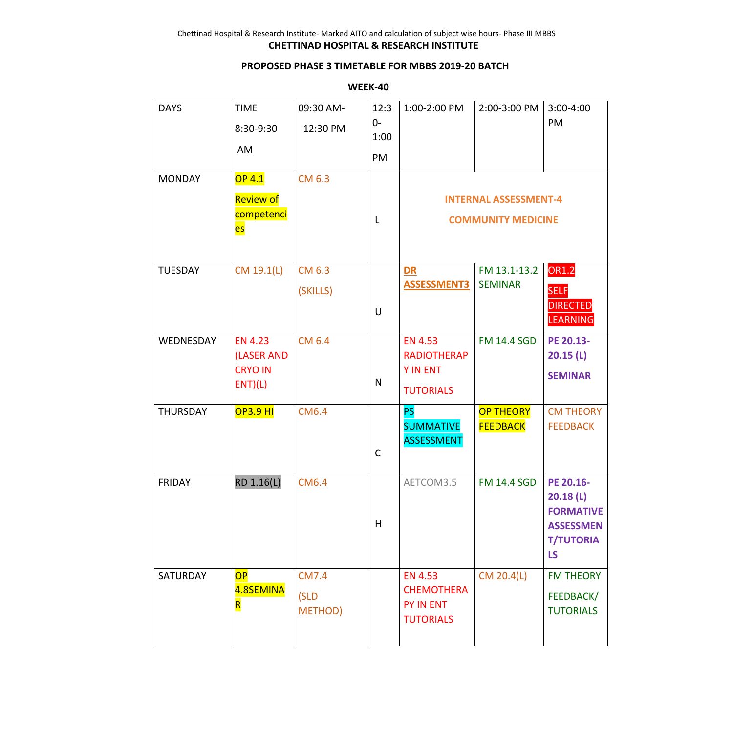# **PROPOSED PHASE 3 TIMETABLE FOR MBBS 2019-20 BATCH**

| <b>DAYS</b><br><b>MONDAY</b> | <b>TIME</b><br>8:30-9:30<br>AM<br><b>OP 4.1</b><br><b>Review of</b><br>competenci<br>es | 09:30 AM-<br>12:30 PM<br>CM 6.3         | 12:3<br>$0 -$<br>1:00<br><b>PM</b><br>L | 1:00-2:00 PM                                                                | 2:00-3:00 PM<br><b>INTERNAL ASSESSMENT-4</b><br><b>COMMUNITY MEDICINE</b> | $3:00-4:00$<br>PM                                                                              |
|------------------------------|-----------------------------------------------------------------------------------------|-----------------------------------------|-----------------------------------------|-----------------------------------------------------------------------------|---------------------------------------------------------------------------|------------------------------------------------------------------------------------------------|
| <b>TUESDAY</b>               | CM 19.1(L)                                                                              | CM 6.3<br>(SKILLS)                      | $\cup$                                  | DR<br><b>ASSESSMENT3</b>                                                    | FM 13.1-13.2<br><b>SEMINAR</b>                                            | <b>OR1.2</b><br><b>SELF</b><br><b>DIRECTED</b><br><b>LEARNING</b>                              |
| WEDNESDAY                    | <b>EN 4.23</b><br>(LASER AND<br><b>CRYO IN</b><br>ENT)(L)                               | <b>CM 6.4</b>                           | $\mathsf{N}$                            | <b>EN 4.53</b><br><b>RADIOTHERAP</b><br><b>Y IN ENT</b><br><b>TUTORIALS</b> | <b>FM 14.4 SGD</b>                                                        | PE 20.13-<br>20.15(L)<br><b>SEMINAR</b>                                                        |
| <b>THURSDAY</b>              | <b>OP3.9 HI</b>                                                                         | <b>CM6.4</b>                            | $\mathsf C$                             | <b>PS</b><br><b>SUMMATIVE</b><br><b>ASSESSMENT</b>                          | <b>OP THEORY</b><br><b>FEEDBACK</b>                                       | <b>CM THEORY</b><br><b>FEEDBACK</b>                                                            |
| <b>FRIDAY</b>                | RD 1.16(L)                                                                              | <b>CM6.4</b>                            | H                                       | AETCOM3.5                                                                   | <b>FM 14.4 SGD</b>                                                        | PE 20.16-<br>20.18(L)<br><b>FORMATIVE</b><br><b>ASSESSMEN</b><br><b>T/TUTORIA</b><br><b>LS</b> |
| <b>SATURDAY</b>              | <b>OP</b><br>4.8SEMINA<br>$\overline{\mathsf{R}}$                                       | <b>CM7.4</b><br>(SLD<br><b>METHOD</b> ) |                                         | <b>EN 4.53</b><br><b>CHEMOTHERA</b><br>PY IN ENT<br><b>TUTORIALS</b>        | CM 20.4(L)                                                                | <b>FM THEORY</b><br>FEEDBACK/<br><b>TUTORIALS</b>                                              |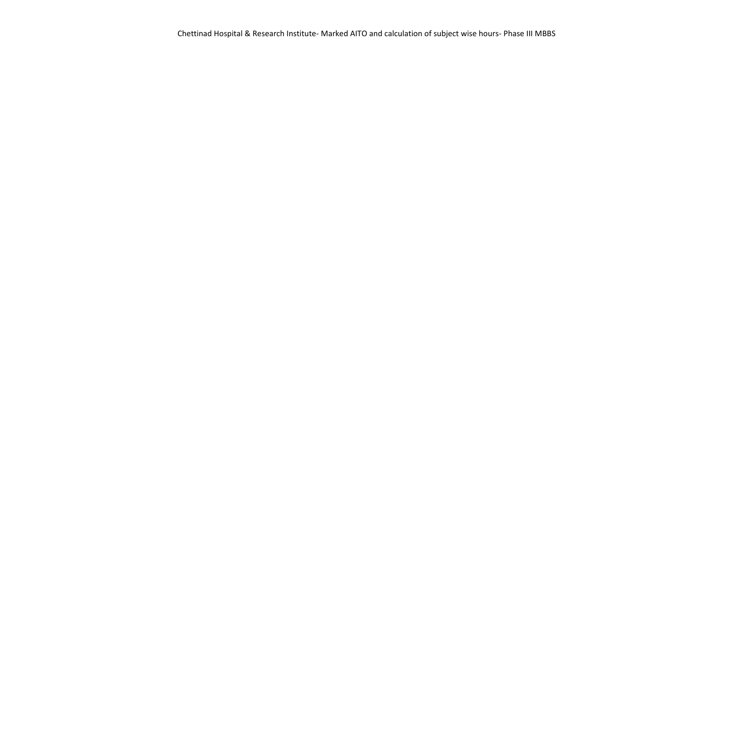Chettinad Hospital & Research Institute- Marked AITO and calculation of subject wise hours- Phase III MBBS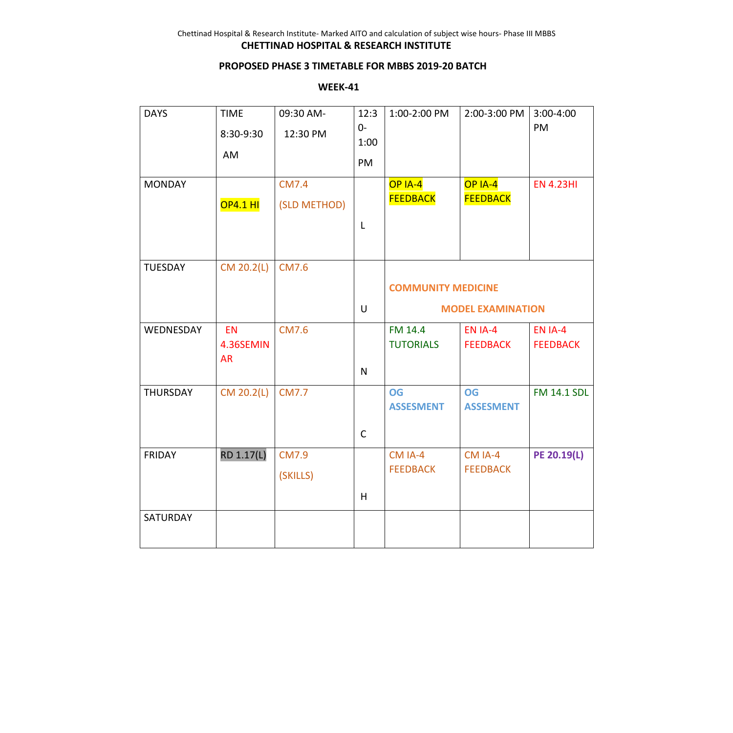# **PROPOSED PHASE 3 TIMETABLE FOR MBBS 2019-20 BATCH**

| <b>DAYS</b>     | <b>TIME</b><br>8:30-9:30<br>AM | 09:30 AM-<br>12:30 PM | 12:3<br>$0-$<br>1:00 | 1:00-2:00 PM                  | 2:00-3:00 PM                  | $3:00-4:00$<br>PM          |
|-----------------|--------------------------------|-----------------------|----------------------|-------------------------------|-------------------------------|----------------------------|
|                 |                                |                       | PM                   |                               |                               |                            |
| <b>MONDAY</b>   |                                | <b>CM7.4</b>          |                      | OP IA-4                       | OP IA-4                       | <b>EN 4.23HI</b>           |
|                 | <b>OP4.1 HI</b>                | (SLD METHOD)          |                      | <b>FEEDBACK</b>               | <b>FEEDBACK</b>               |                            |
|                 |                                |                       | L                    |                               |                               |                            |
|                 |                                |                       |                      |                               |                               |                            |
| <b>TUESDAY</b>  | $CM$ 20.2(L)                   | <b>CM7.6</b>          |                      |                               |                               |                            |
|                 |                                |                       |                      | <b>COMMUNITY MEDICINE</b>     |                               |                            |
|                 |                                |                       | $\cup$               |                               | <b>MODEL EXAMINATION</b>      |                            |
| WEDNESDAY       | <b>EN</b><br>4.36SEMIN         | <b>CM7.6</b>          |                      | FM 14.4<br><b>TUTORIALS</b>   | EN IA-4<br><b>FEEDBACK</b>    | EN IA-4<br><b>FEEDBACK</b> |
|                 | <b>AR</b>                      |                       | $\mathsf{N}$         |                               |                               |                            |
| <b>THURSDAY</b> | $CM$ 20.2(L)                   | <b>CM7.7</b>          |                      | <b>OG</b><br><b>ASSESMENT</b> | <b>OG</b><br><b>ASSESMENT</b> | <b>FM 14.1 SDL</b>         |
|                 |                                |                       | $\mathsf{C}$         |                               |                               |                            |
| <b>FRIDAY</b>   | RD 1.17(L)                     | <b>CM7.9</b>          |                      | CM IA-4                       | CM IA-4                       | PE 20.19(L)                |
|                 |                                | (SKILLS)              |                      | <b>FEEDBACK</b>               | <b>FEEDBACK</b>               |                            |
|                 |                                |                       | H                    |                               |                               |                            |
| SATURDAY        |                                |                       |                      |                               |                               |                            |
|                 |                                |                       |                      |                               |                               |                            |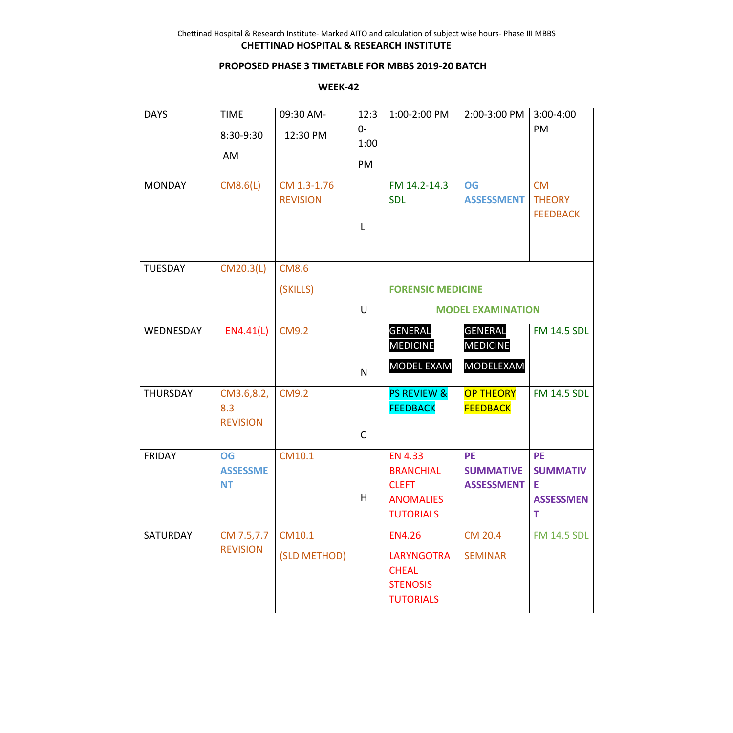# **PROPOSED PHASE 3 TIMETABLE FOR MBBS 2019-20 BATCH**

| <b>DAYS</b>     | <b>TIME</b><br>8:30-9:30<br>AM            | 09:30 AM-<br>12:30 PM          | 12:3<br>$0-$<br>1:00<br><b>PM</b> | 1:00-2:00 PM                                                                              | 2:00-3:00 PM                                          | $3:00 - 4:00$<br>PM                                         |
|-----------------|-------------------------------------------|--------------------------------|-----------------------------------|-------------------------------------------------------------------------------------------|-------------------------------------------------------|-------------------------------------------------------------|
| <b>MONDAY</b>   | CM8.6(L)                                  | CM 1.3-1.76<br><b>REVISION</b> | L                                 | FM 14.2-14.3<br><b>SDL</b>                                                                | <b>OG</b><br><b>ASSESSMENT</b>                        | <b>CM</b><br><b>THEORY</b><br><b>FEEDBACK</b>               |
| <b>TUESDAY</b>  | CM20.3(L)                                 | <b>CM8.6</b><br>(SKILLS)       |                                   | <b>FORENSIC MEDICINE</b>                                                                  |                                                       |                                                             |
|                 |                                           |                                | $\cup$                            |                                                                                           | <b>MODEL EXAMINATION</b>                              |                                                             |
| WEDNESDAY       | EN4.41(L)                                 | <b>CM9.2</b>                   | $\mathsf{N}$                      | <b>GENERAL</b><br><b>MEDICINE</b><br><b>MODEL EXAM</b>                                    | <b>GENERAL</b><br><b>MEDICINE</b><br><b>MODELEXAM</b> | <b>FM 14.5 SDL</b>                                          |
| <b>THURSDAY</b> | CM3.6,8.2,<br>8.3<br><b>REVISION</b>      | <b>CM9.2</b>                   | $\mathsf{C}$                      | <b>PS REVIEW &amp;</b><br><b>FEEDBACK</b>                                                 | <b>OP THEORY</b><br><b>FEEDBACK</b>                   | <b>FM 14.5 SDL</b>                                          |
| <b>FRIDAY</b>   | <b>OG</b><br><b>ASSESSME</b><br><b>NT</b> | CM10.1                         | H                                 | EN 4.33<br><b>BRANCHIAL</b><br><b>CLEFT</b><br><b>ANOMALIES</b><br><b>TUTORIALS</b>       | <b>PE</b><br><b>SUMMATIVE</b><br><b>ASSESSMENT</b>    | <b>PE</b><br><b>SUMMATIV</b><br>E.<br><b>ASSESSMEN</b><br>т |
| <b>SATURDAY</b> | CM 7.5,7.7<br><b>REVISION</b>             | CM10.1<br>(SLD METHOD)         |                                   | <b>EN4.26</b><br><b>LARYNGOTRA</b><br><b>CHEAL</b><br><b>STENOSIS</b><br><b>TUTORIALS</b> | <b>CM 20.4</b><br><b>SEMINAR</b>                      | <b>FM 14.5 SDL</b>                                          |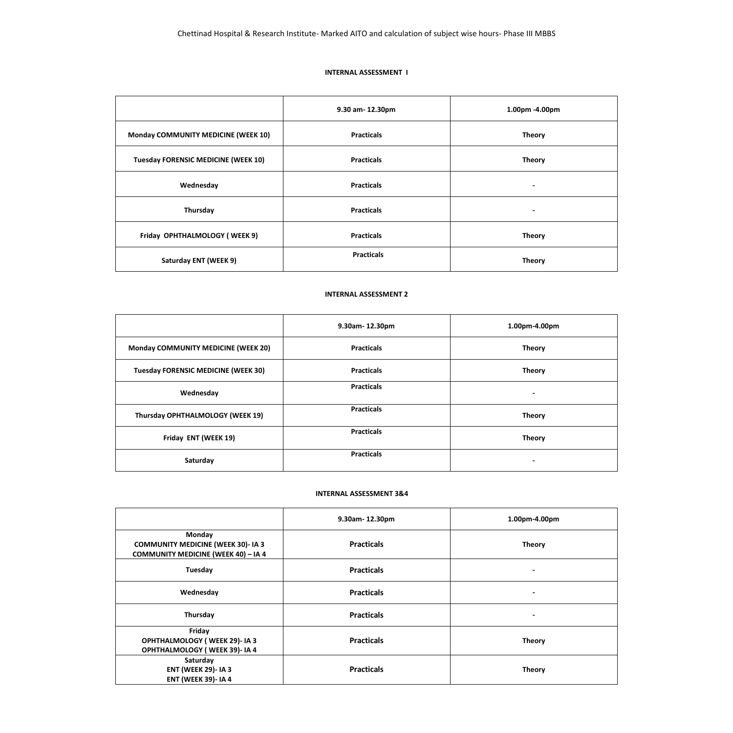#### **INTERNAL ASSESSMENT I**

|                                     | 9.30 am-12.30pm   | 1.00pm -4.00pm           |
|-------------------------------------|-------------------|--------------------------|
| Monday COMMUNITY MEDICINE (WEEK 10) | <b>Practicals</b> | <b>Theory</b>            |
| Tuesday FORENSIC MEDICINE (WEEK 10) | <b>Practicals</b> | <b>Theory</b>            |
| Wednesday                           | <b>Practicals</b> | $\overline{\phantom{a}}$ |
| Thursday                            | <b>Practicals</b> |                          |
| Friday OPHTHALMOLOGY (WEEK 9)       | <b>Practicals</b> | <b>Theory</b>            |
| <b>Saturday ENT (WEEK 9)</b>        | <b>Practicals</b> | <b>Theory</b>            |

#### **INTERNAL ASSESSMENT 2**

|                                     | 9.30am-12.30pm    | 1.00pm-4.00pm |
|-------------------------------------|-------------------|---------------|
| Monday COMMUNITY MEDICINE (WEEK 20) | <b>Practicals</b> | <b>Theory</b> |
| Tuesday FORENSIC MEDICINE (WEEK 30) | <b>Practicals</b> | <b>Theory</b> |
| Wednesday                           | <b>Practicals</b> |               |
| Thursday OPHTHALMOLOGY (WEEK 19)    | <b>Practicals</b> | <b>Theory</b> |
| Friday ENT (WEEK 19)                | <b>Practicals</b> | <b>Theory</b> |
| Saturday                            | <b>Practicals</b> |               |

#### **INTERNAL ASSESSMENT 3&4**

|                                                                                                          | 9.30am-12.30pm    | 1.00pm-4.00pm |
|----------------------------------------------------------------------------------------------------------|-------------------|---------------|
| <b>Monday</b><br><b>COMMUNITY MEDICINE (WEEK 30)- IA 3</b><br><b>COMMUNITY MEDICINE (WEEK 40) - IA 4</b> | <b>Practicals</b> | <b>Theory</b> |
| Tuesday                                                                                                  | <b>Practicals</b> |               |
| Wednesday                                                                                                | <b>Practicals</b> |               |
| Thursday                                                                                                 | <b>Practicals</b> | -             |
| Friday<br><b>OPHTHALMOLOGY (WEEK 29)-IA3</b><br><b>OPHTHALMOLOGY (WEEK 39)-IA 4</b>                      | <b>Practicals</b> | <b>Theory</b> |
| Saturday<br><b>ENT (WEEK 29)-IA 3</b><br><b>ENT (WEEK 39)-IA 4</b>                                       | <b>Practicals</b> | <b>Theory</b> |